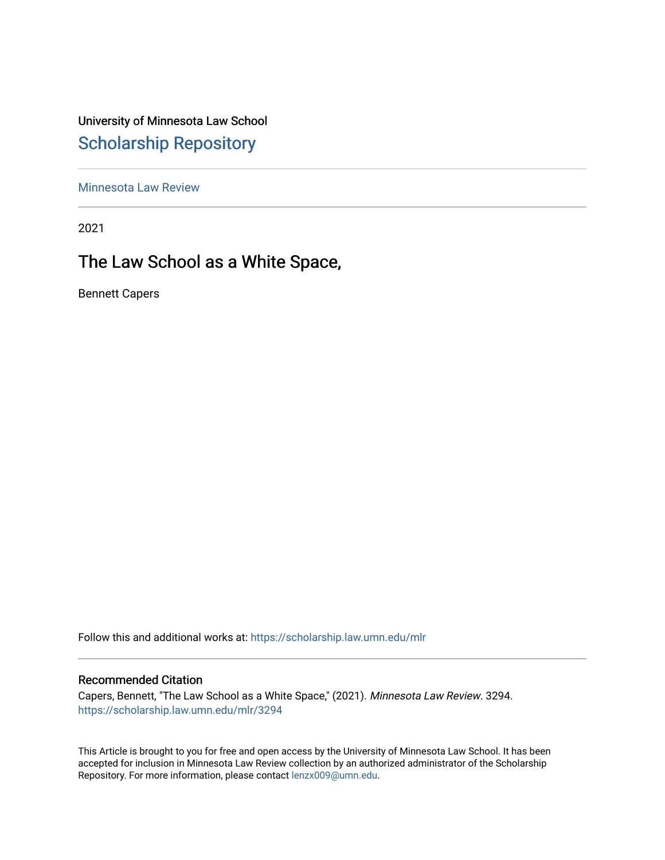University of Minnesota Law School [Scholarship Repository](https://scholarship.law.umn.edu/) 

[Minnesota Law Review](https://scholarship.law.umn.edu/mlr) 

2021

# The Law School as a White Space,

Bennett Capers

Follow this and additional works at: [https://scholarship.law.umn.edu/mlr](https://scholarship.law.umn.edu/mlr?utm_source=scholarship.law.umn.edu%2Fmlr%2F3294&utm_medium=PDF&utm_campaign=PDFCoverPages)

## Recommended Citation

Capers, Bennett, "The Law School as a White Space," (2021). Minnesota Law Review. 3294. [https://scholarship.law.umn.edu/mlr/3294](https://scholarship.law.umn.edu/mlr/3294?utm_source=scholarship.law.umn.edu%2Fmlr%2F3294&utm_medium=PDF&utm_campaign=PDFCoverPages)

This Article is brought to you for free and open access by the University of Minnesota Law School. It has been accepted for inclusion in Minnesota Law Review collection by an authorized administrator of the Scholarship Repository. For more information, please contact [lenzx009@umn.edu.](mailto:lenzx009@umn.edu)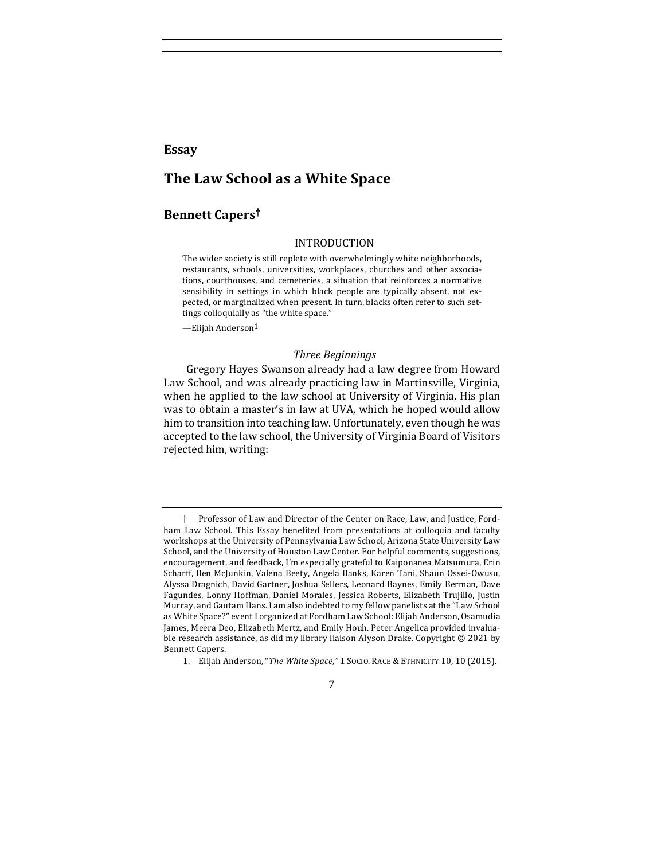## **Essay**

## **The Law School as a White Space**

## **Bennett Capers†**

#### INTRODUCTION

The wider society is still replete with overwhelmingly white neighborhoods, restaurants, schools, universities, workplaces, churches and other associations, courthouses, and cemeteries, a situation that reinforces a normative sensibility in settings in which black people are typically absent, not expected, or marginalized when present. In turn, blacks often refer to such settings colloquially as "the white space."

—Elijah Anderson1

#### *Three Beginnings*

Gregory Hayes Swanson already had a law degree from Howard Law School, and was already practicing law in Martinsville, Virginia, when he applied to the law school at University of Virginia. His plan was to obtain a master's in law at UVA, which he hoped would allow him to transition into teaching law. Unfortunately, even though he was accepted to the law school, the University of Virginia Board of Visitors rejected him, writing:

7

<sup>†</sup> Professor of Law and Director of the Center on Race, Law, and Justice, Fordham Law School. This Essay benefited from presentations at colloquia and faculty workshops at the University of Pennsylvania Law School, Arizona State University Law School, and the University of Houston Law Center. For helpful comments, suggestions, encouragement, and feedback, I'm especially grateful to Kaiponanea Matsumura, Erin Scharff, Ben McJunkin, Valena Beety, Angela Banks, Karen Tani, Shaun Ossei-Owusu, Alyssa Dragnich, David Gartner, Joshua Sellers, Leonard Baynes, Emily Berman, Dave Fagundes, Lonny Hoffman, Daniel Morales, Jessica Roberts, Elizabeth Trujillo, Justin Murray, and Gautam Hans. I am also indebted to my fellow panelists at the "Law School as White Space?" event I organized at Fordham Law School: Elijah Anderson, Osamudia James, Meera Deo, Elizabeth Mertz, and Emily Houh. Peter Angelica provided invaluable research assistance, as did my library liaison Alyson Drake. Copyright © 2021 by Bennett Capers.

<sup>1.</sup> Elijah Anderson, "The White Space," 1 SOCIO. RACE & ETHNICITY 10, 10 (2015).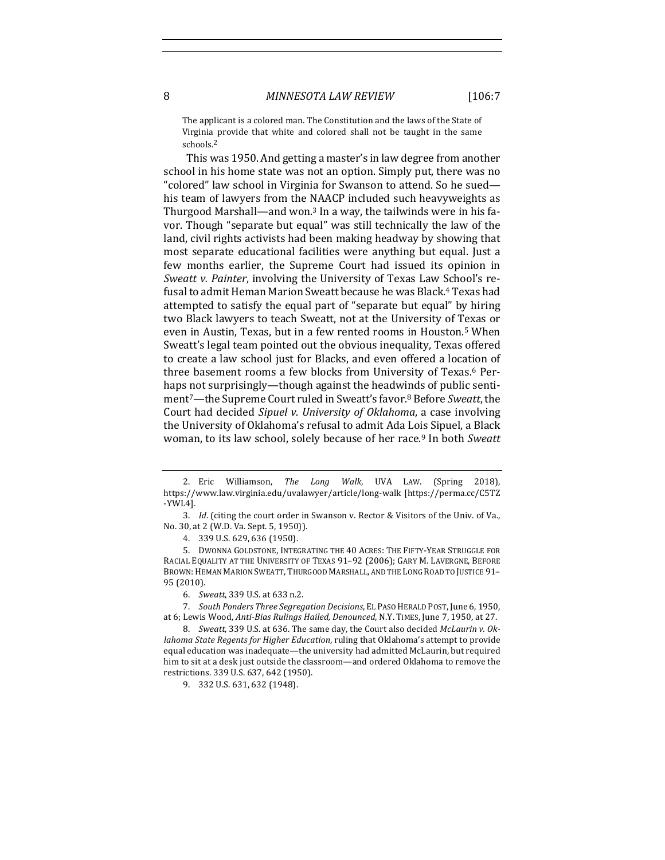The applicant is a colored man. The Constitution and the laws of the State of Virginia provide that white and colored shall not be taught in the same schools.2

This was 1950. And getting a master's in law degree from another school in his home state was not an option. Simply put, there was no "colored" law school in Virginia for Swanson to attend. So he sued his team of lawyers from the NAACP included such heavyweights as Thurgood Marshall—and won.<sup>3</sup> In a way, the tailwinds were in his favor. Though "separate but equal" was still technically the law of the land, civil rights activists had been making headway by showing that most separate educational facilities were anything but equal. Just a few months earlier, the Supreme Court had issued its opinion in *Sweatt v. Painter*, involving the University of Texas Law School's refusal to admit Heman Marion Sweatt because he was Black.<sup>4</sup> Texas had attempted to satisfy the equal part of "separate but equal" by hiring two Black lawyers to teach Sweatt, not at the University of Texas or even in Austin, Texas, but in a few rented rooms in Houston.<sup>5</sup> When Sweatt's legal team pointed out the obvious inequality, Texas offered to create a law school just for Blacks, and even offered a location of three basement rooms a few blocks from University of Texas.<sup>6</sup> Perhaps not surprisingly—though against the headwinds of public sentiment<sup>7</sup>—the Supreme Court ruled in Sweatt's favor.<sup>8</sup> Before Sweatt, the Court had decided *Sipuel v. University of Oklahoma*, a case involving the University of Oklahoma's refusal to admit Ada Lois Sipuel, a Black woman, to its law school, solely because of her race.<sup>9</sup> In both *Sweatt* 

4. 339 U.S. 629, 636 (1950).

5. DWONNA GOLDSTONE, INTEGRATING THE 40 ACRES: THE FIFTY-YEAR STRUGGLE FOR RACIAL EQUALITY AT THE UNIVERSITY OF TEXAS 91-92 (2006); GARY M. LAVERGNE, BEFORE BROWN: HEMAN MARION SWEATT, THURGOOD MARSHALL, AND THE LONG ROAD TO JUSTICE 91-95 (2010).

8. Sweatt, 339 U.S. at 636. The same day, the Court also decided McLaurin v. Ok*lahoma State Regents for Higher Education*, ruling that Oklahoma's attempt to provide equal education was inadequate—the university had admitted McLaurin, but required him to sit at a desk just outside the classroom—and ordered Oklahoma to remove the restrictions. 339 U.S. 637, 642 (1950).

9. 332 U.S. 631, 632 (1948).

<sup>2.</sup> Eric Williamson, The Long Walk, UVA LAW. (Spring 2018), https://www.law.virginia.edu/uvalawyer/article/long-walk [https://perma.cc/C5TZ -YWL4].

<sup>3.</sup> *Id.* (citing the court order in Swanson v. Rector & Visitors of the Univ. of Va., No. 30, at 2 (W.D. Va. Sept. 5, 1950)).

<sup>6.</sup> *Sweatt*, 339 U.S. at 633 n.2.

<sup>7.</sup> *South Ponders Three Segregation Decisions*, EL PASO HERALD POST, June 6, 1950, at 6; Lewis Wood, Anti-Bias Rulings Hailed, Denounced, N.Y. TIMES, June 7, 1950, at 27.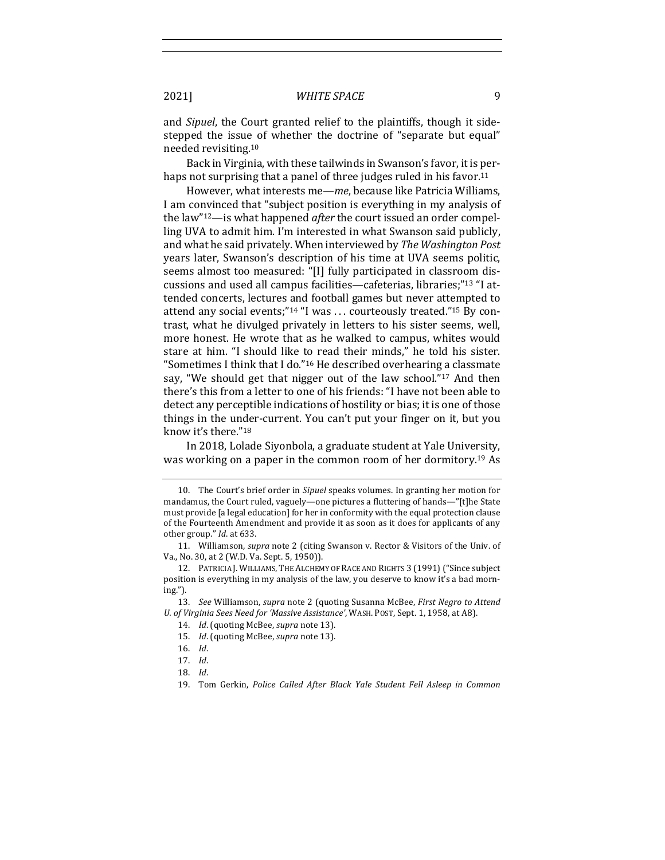and *Sipuel*, the Court granted relief to the plaintiffs, though it sidestepped the issue of whether the doctrine of "separate but equal" needed revisiting.10

Back in Virginia, with these tailwinds in Swanson's favor, it is perhaps not surprising that a panel of three judges ruled in his favor.<sup>11</sup>

However, what interests me—*me*, because like Patricia Williams, I am convinced that "subject position is everything in my analysis of the law"<sup>12</sup>—is what happened *after* the court issued an order compelling UVA to admit him. I'm interested in what Swanson said publicly, and what he said privately. When interviewed by The Washington Post years later, Swanson's description of his time at UVA seems politic, seems almost too measured: "[I] fully participated in classroom discussions and used all campus facilities—cafeterias, libraries;"<sup>13</sup> "I attended concerts, lectures and football games but never attempted to attend any social events;"<sup>14</sup> "I was ... courteously treated."<sup>15</sup> By contrast, what he divulged privately in letters to his sister seems, well, more honest. He wrote that as he walked to campus, whites would stare at him. "I should like to read their minds," he told his sister. "Sometimes I think that I do."<sup>16</sup> He described overhearing a classmate say, "We should get that nigger out of the law school."<sup>17</sup> And then there's this from a letter to one of his friends: "I have not been able to detect any perceptible indications of hostility or bias; it is one of those things in the under-current. You can't put your finger on it, but you know it's there."<sup>18</sup>

In 2018, Lolade Siyonbola, a graduate student at Yale University, was working on a paper in the common room of her dormitory.<sup>19</sup> As

<sup>10.</sup> The Court's brief order in *Sipuel* speaks volumes. In granting her motion for mandamus, the Court ruled, vaguely—one pictures a fluttering of hands—"[t]he State must provide [a legal education] for her in conformity with the equal protection clause of the Fourteenth Amendment and provide it as soon as it does for applicants of any other group." *Id.* at 633.

<sup>11.</sup> Williamson, *supra* note 2 (citing Swanson v. Rector & Visitors of the Univ. of Va., No. 30, at 2 (W.D. Va. Sept. 5, 1950)).

<sup>12.</sup> PATRICIA J. WILLIAMS, THE ALCHEMY OF RACE AND RIGHTS 3 (1991) ("Since subject position is everything in my analysis of the law, you deserve to know it's a bad morning.").

<sup>13.</sup> *See* Williamson, *supra* note 2 (quoting Susanna McBee, *First Negro to Attend* U. of Virginia Sees Need for 'Massive Assistance', WASH. POST, Sept. 1, 1958, at A8).

<sup>14.</sup> *Id.* (quoting McBee, *supra* note 13).

<sup>15.</sup> *Id.* (quoting McBee, *supra* note 13).

<sup>16.</sup> *Id*.

<sup>17.</sup> *Id*.

<sup>18.</sup> *Id*.

<sup>19.</sup> Tom Gerkin, *Police Called After Black Yale Student Fell Asleep in Common*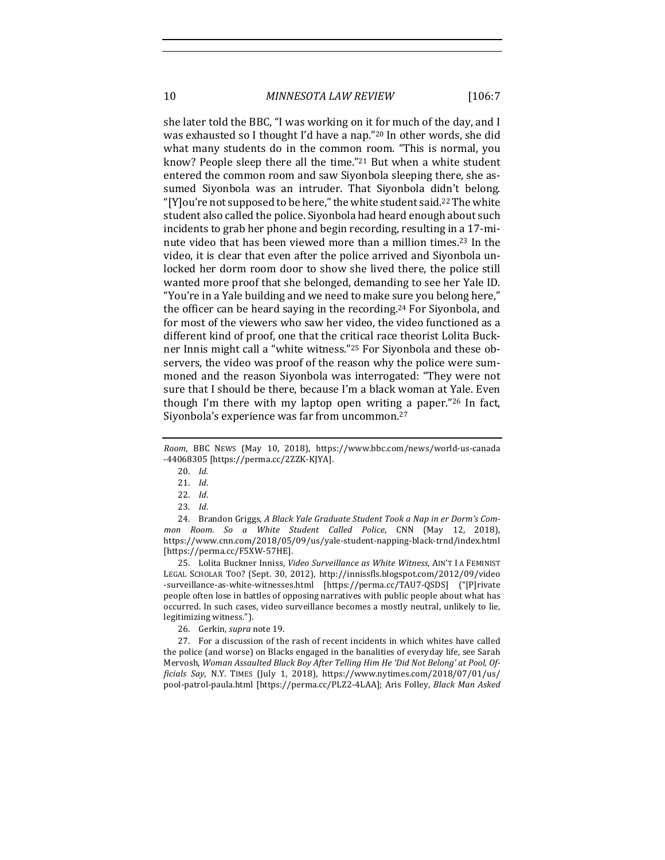10 *MINNESOTA LAW REVIEW* [106:7

she later told the BBC, "I was working on it for much of the day, and I was exhausted so I thought I'd have a nap."<sup>20</sup> In other words, she did what many students do in the common room. "This is normal, you know? People sleep there all the time."<sup>21</sup> But when a white student entered the common room and saw Siyonbola sleeping there, she assumed Siyonbola was an intruder. That Siyonbola didn't belong. "[Y] ou're not supposed to be here," the white student said.<sup>22</sup> The white student also called the police. Siyonbola had heard enough about such incidents to grab her phone and begin recording, resulting in a 17-minute video that has been viewed more than a million times.<sup>23</sup> In the video, it is clear that even after the police arrived and Siyonbola unlocked her dorm room door to show she lived there, the police still wanted more proof that she belonged, demanding to see her Yale ID. "You're in a Yale building and we need to make sure you belong here," the officer can be heard saying in the recording.<sup>24</sup> For Siyonbola, and for most of the viewers who saw her video, the video functioned as a different kind of proof, one that the critical race theorist Lolita Buckner Innis might call a "white witness."<sup>25</sup> For Siyonbola and these observers, the video was proof of the reason why the police were summoned and the reason Siyonbola was interrogated: "They were not sure that I should be there, because I'm a black woman at Yale. Even though I'm there with my laptop open writing a paper." $26$  In fact, Siyonbola's experience was far from uncommon.<sup>27</sup>

24. Brandon Griggs, A Black Yale Graduate Student Took a Nap in er Dorm's Com*mon Room. So a White Student Called Police*, CNN (May 12, 2018), https://www.cnn.com/2018/05/09/us/yale-student-napping-black-trnd/index.html [https://perma.cc/F5XW-57HE].

25. Lolita Buckner Inniss, *Video Surveillance as White Witness*, AIN'T I A FEMINIST LEGAL SCHOLAR TOO? (Sept. 30, 2012), http://innissfls.blogspot.com/2012/09/video -surveillance-as-white-witnesses.html [https://perma.cc/TAU7-QSDS] ("[P]rivate people often lose in battles of opposing narratives with public people about what has occurred. In such cases, video surveillance becomes a mostly neutral, unlikely to lie, legitimizing witness.").

26. Gerkin, *supra* note 19.

27. For a discussion of the rash of recent incidents in which whites have called the police (and worse) on Blacks engaged in the banalities of everyday life, see Sarah Mervosh, Woman Assaulted Black Boy After Telling Him He 'Did Not Belong' at Pool, Of*ficials Say*, N.Y. TIMES (July 1, 2018), https://www.nytimes.com/2018/07/01/us/ pool-patrol-paula.html [https://perma.cc/PLZ2-4LAA]; Aris Folley, *Black Man Asked* 

*Room*, BBC NEWS (May 10, 2018), https://www.bbc.com/news/world-us-canada -44068305 [https://perma.cc/2ZZK-KJYA].

<sup>20.</sup> *Id.*

<sup>21.</sup> *Id*.

<sup>22.</sup> *Id*.

<sup>23.</sup> *Id*.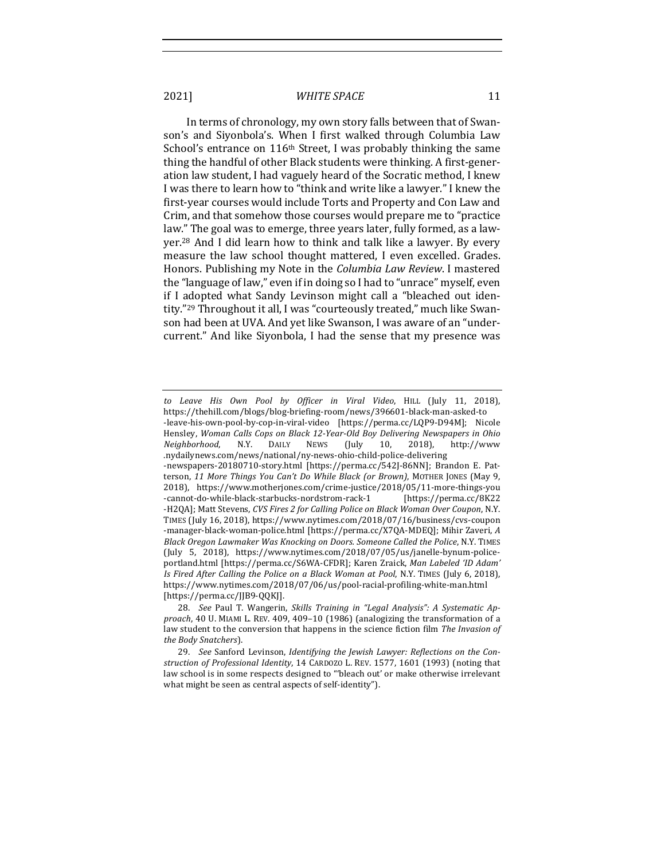In terms of chronology, my own story falls between that of Swanson's and Siyonbola's. When I first walked through Columbia Law School's entrance on 116<sup>th</sup> Street, I was probably thinking the same thing the handful of other Black students were thinking. A first-generation law student, I had vaguely heard of the Socratic method, I knew I was there to learn how to "think and write like a lawyer." I knew the first-year courses would include Torts and Property and Con Law and Crim, and that somehow those courses would prepare me to "practice law." The goal was to emerge, three years later, fully formed, as a lawyer.<sup>28</sup> And I did learn how to think and talk like a lawyer. By every measure the law school thought mattered, I even excelled. Grades. Honors. Publishing my Note in the *Columbia Law Review*. I mastered the "language of law," even if in doing so I had to "unrace" myself, even if I adopted what Sandy Levinson might call a "bleached out identity."<sup>29</sup> Throughout it all, I was "courteously treated," much like Swanson had been at UVA. And yet like Swanson, I was aware of an "undercurrent." And like Siyonbola, I had the sense that my presence was

*to Leave His Own Pool by Officer in Viral Video*, HILL (July 11, 2018), https://thehill.com/blogs/blog-briefing-room/news/396601-black-man-asked-to -leave-his-own-pool-by-cop-in-viral-video [https://perma.cc/LQP9-D94M]; Nicole Hensley, *Woman Calls Cops on Black 12-Year-Old Boy Delivering Newspapers in Ohio Neighborhood*, N.Y. DAILY NEWS (July 10, 2018), http://www .nydailynews.com/news/national/ny-news-ohio-child-police-delivering -newspapers-20180710-story.html [https://perma.cc/542J-86NN]; Brandon E. Patterson, 11 More Things You Can't Do While Black (or Brown), MOTHER JONES (May 9, 2018), https://www.motherjones.com/crime-justice/2018/05/11-more-things-you -cannot-do-while-black-starbucks-nordstrom-rack-1 [https://perma.cc/8K22 -H2QA]; Matt Stevens, *CVS Fires 2 for Calling Police on Black Woman Over Coupon*, N.Y. TIMES (July 16, 2018), https://www.nytimes.com/2018/07/16/business/cvs-coupon -manager-black-woman-police.html [https://perma.cc/X7QA-MDEQ]; Mihir Zaveri, A *Black Oregon Lawmaker Was Knocking on Doors. Someone Called the Police*, N.Y. TIMES (July 5, 2018), https://www.nytimes.com/2018/07/05/us/janelle-bynum-policeportland.html [https://perma.cc/S6WA-CFDR]; Karen Zraick, Man Labeled 'ID Adam' *Is Fired After Calling the Police on a Black Woman at Pool, N.Y. TIMES (July 6, 2018),* https://www.nytimes.com/2018/07/06/us/pool-racial-profiling-white-man.html [https://perma.cc/JJB9-QQKJ].

<sup>28.</sup> *See* Paul T. Wangerin, *Skills Training in "Legal Analysis": A Systematic Ap*proach, 40 U. MIAMI L. REV. 409, 409-10 (1986) (analogizing the transformation of a law student to the conversion that happens in the science fiction film *The Invasion of the Body Snatchers*).

<sup>29.</sup> See Sanford Levinson, *Identifying the Jewish Lawyer: Reflections on the Con*struction of Professional Identity, 14 CARDOZO L. REV. 1577, 1601 (1993) (noting that law school is in some respects designed to "'bleach out' or make otherwise irrelevant what might be seen as central aspects of self-identity").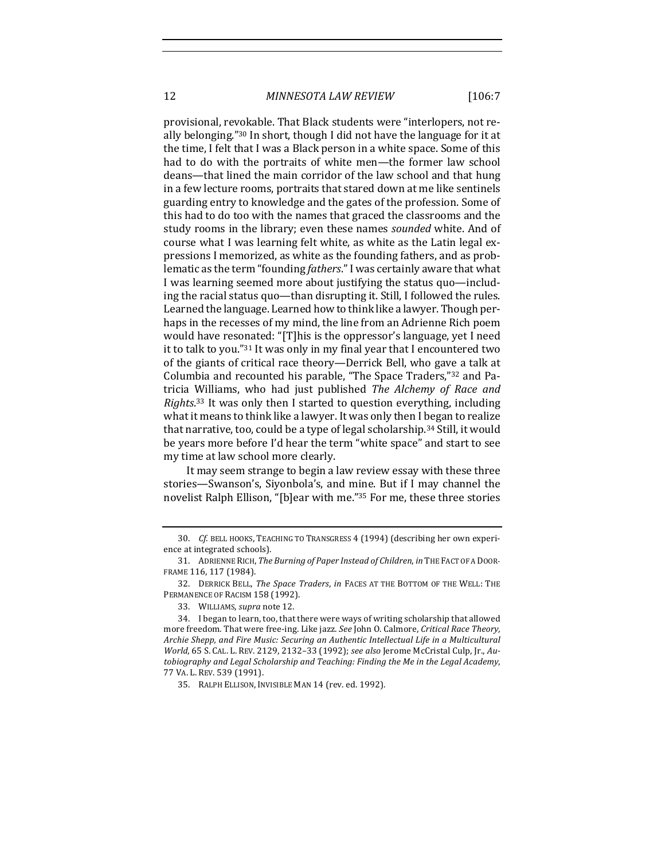12 *MINNESOTA LAW REVIEW* [106:7

provisional, revokable. That Black students were "interlopers, not really belonging."<sup>30</sup> In short, though I did not have the language for it at the time, I felt that I was a Black person in a white space. Some of this had to do with the portraits of white men—the former law school deans—that lined the main corridor of the law school and that hung in a few lecture rooms, portraits that stared down at me like sentinels guarding entry to knowledge and the gates of the profession. Some of this had to do too with the names that graced the classrooms and the study rooms in the library; even these names *sounded* white. And of course what I was learning felt white, as white as the Latin legal expressions I memorized, as white as the founding fathers, and as problematic as the term "founding *fathers*." I was certainly aware that what I was learning seemed more about justifying the status quo—including the racial status quo—than disrupting it. Still, I followed the rules. Learned the language. Learned how to think like a lawyer. Though perhaps in the recesses of my mind, the line from an Adrienne Rich poem would have resonated: "[T]his is the oppressor's language, yet I need it to talk to you." $31$  It was only in my final year that I encountered two of the giants of critical race theory—Derrick Bell, who gave a talk at Columbia and recounted his parable, "The Space Traders,"32 and Patricia Williams, who had just published *The Alchemy of Race and* Rights.<sup>33</sup> It was only then I started to question everything, including what it means to think like a lawyer. It was only then I began to realize that narrative, too, could be a type of legal scholarship.<sup>34</sup> Still, it would be years more before I'd hear the term "white space" and start to see my time at law school more clearly.

It may seem strange to begin a law review essay with these three stories—Swanson's, Siyonbola's, and mine. But if I may channel the novelist Ralph Ellison, "[b]ear with me."<sup>35</sup> For me, these three stories

<sup>30.</sup> *Cf.* BELL HOOKS, TEACHING TO TRANSGRESS 4 (1994) (describing her own experience at integrated schools).

<sup>31.</sup> ADRIENNE RICH, *The Burning of Paper Instead of Children*, *in* THE FACT OF A DOOR-FRAME 116, 117 (1984).

<sup>32.</sup> DERRICK BELL, *The Space Traders*, *in* FACES AT THE BOTTOM OF THE WELL: THE PERMANENCE OF RACISM 158 (1992).

<sup>33.</sup> WILLIAMS, *supra* note 12.

<sup>34.</sup> I began to learn, too, that there were ways of writing scholarship that allowed more freedom. That were free-ing. Like jazz. *See* John O. Calmore, *Critical Race Theory*, Archie Shepp, and Fire Music: Securing an Authentic Intellectual Life in a Multicultural *World*, 65 S. CAL. L. REV. 2129, 2132-33 (1992); see also Jerome McCristal Culp, Jr., Au*tobiography and Legal Scholarship and Teaching: Finding the Me in the Legal Academy*, 77 VA. L. REV. 539 (1991).

<sup>35.</sup> RALPH ELLISON, INVISIBLE MAN 14 (rev. ed. 1992).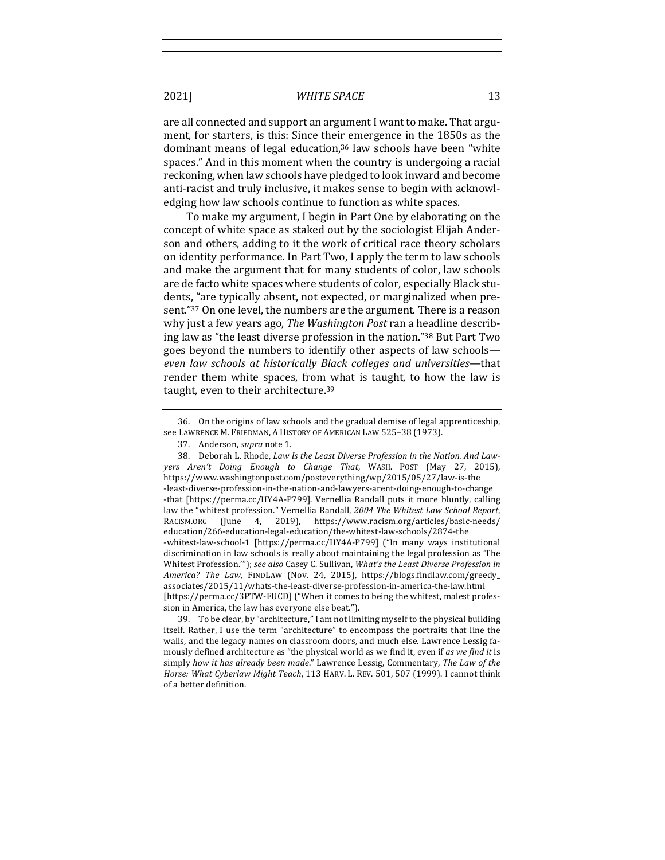are all connected and support an argument I want to make. That argument, for starters, is this: Since their emergence in the 1850s as the dominant means of legal education,<sup>36</sup> law schools have been "white spaces." And in this moment when the country is undergoing a racial reckoning, when law schools have pledged to look inward and become anti-racist and truly inclusive, it makes sense to begin with acknowledging how law schools continue to function as white spaces.

To make my argument, I begin in Part One by elaborating on the concept of white space as staked out by the sociologist Elijah Anderson and others, adding to it the work of critical race theory scholars on identity performance. In Part Two, I apply the term to law schools and make the argument that for many students of color, law schools are de facto white spaces where students of color, especially Black students, "are typically absent, not expected, or marginalized when present."37 On one level, the numbers are the argument. There is a reason why just a few years ago, *The Washington Post* ran a headline describing law as "the least diverse profession in the nation."<sup>38</sup> But Part Two goes beyond the numbers to identify other aspects of law schools*even law schools at historically Black colleges and universities*—that render them white spaces, from what is taught, to how the law is taught, even to their architecture.<sup>39</sup>

39. To be clear, by "architecture," I am not limiting myself to the physical building itself. Rather, I use the term "architecture" to encompass the portraits that line the walls, and the legacy names on classroom doors, and much else. Lawrence Lessig famously defined architecture as "the physical world as we find it, even if as we find it is simply how it has already been made." Lawrence Lessig, Commentary, The Law of the *Horse: What Cyberlaw Might Teach,* 113 HARV. L. REV. 501, 507 (1999). I cannot think of a better definition.

<sup>36.</sup> On the origins of law schools and the gradual demise of legal apprenticeship, see LAWRENCE M. FRIEDMAN, A HISTORY OF AMERICAN LAW 525-38 (1973).

<sup>37.</sup> Anderson, *supra* note 1.

<sup>38.</sup> Deborah L. Rhode, *Law Is the Least Diverse Profession in the Nation. And Lawyers Aren't Doing Enough to Change That*, WASH. POST (May 27, 2015), https://www.washingtonpost.com/posteverything/wp/2015/05/27/law-is-the -least-diverse-profession-in-the-nation-and-lawyers-arent-doing-enough-to-change -that [https://perma.cc/HY4A-P799]. Vernellia Randall puts it more bluntly, calling law the "whitest profession." Vernellia Randall, 2004 The Whitest Law School Report, RACISM.ORG (June 4, 2019), https://www.racism.org/articles/basic-needs/ education/266-education-legal-education/the-whitest-law-schools/2874-the -whitest-law-school-1 [https://perma.cc/HY4A-P799] ("In many ways institutional discrimination in law schools is really about maintaining the legal profession as 'The Whitest Profession.""); see also Casey C. Sullivan, What's the Least Diverse Profession in *America? The Law, FINDLAW (Nov. 24, 2015), https://blogs.findlaw.com/greedy\_* associates/2015/11/whats-the-least-diverse-profession-in-america-the-law.html [https://perma.cc/3PTW-FUCD] ("When it comes to being the whitest, malest profession in America, the law has everyone else beat.").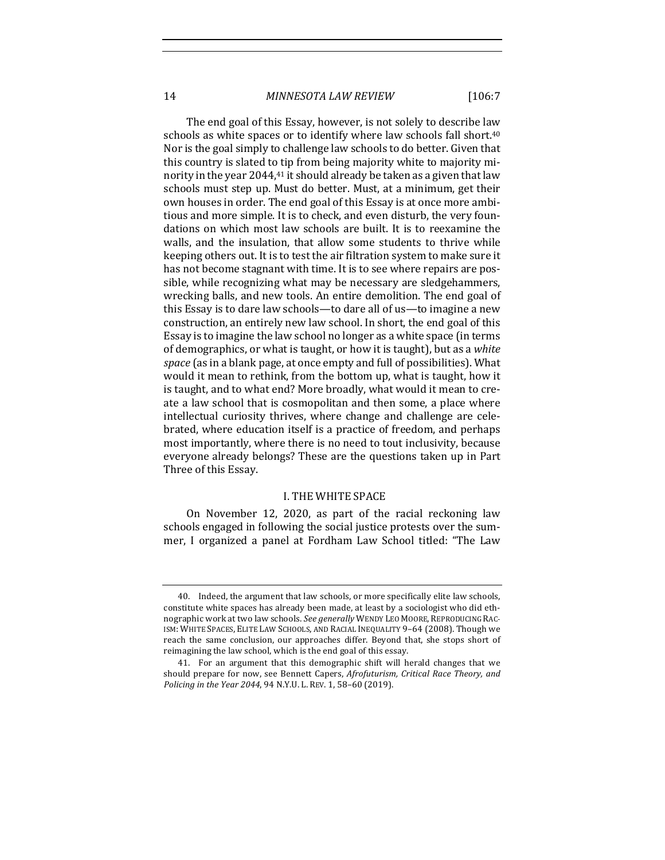14 *MINNESOTA LAW REVIEW* [106:7

The end goal of this Essay, however, is not solely to describe law schools as white spaces or to identify where law schools fall short.<sup>40</sup> Nor is the goal simply to challenge law schools to do better. Given that this country is slated to tip from being majority white to majority minority in the year  $2044<sub>1</sub>$ <sup>41</sup> it should already be taken as a given that law schools must step up. Must do better. Must, at a minimum, get their own houses in order. The end goal of this Essay is at once more ambitious and more simple. It is to check, and even disturb, the very foundations on which most law schools are built. It is to reexamine the walls, and the insulation, that allow some students to thrive while keeping others out. It is to test the air filtration system to make sure it has not become stagnant with time. It is to see where repairs are possible, while recognizing what may be necessary are sledgehammers, wrecking balls, and new tools. An entire demolition. The end goal of this Essay is to dare law schools—to dare all of us—to imagine a new construction, an entirely new law school. In short, the end goal of this Essay is to imagine the law school no longer as a white space (in terms of demographics, or what is taught, or how it is taught), but as a *white space* (as in a blank page, at once empty and full of possibilities). What would it mean to rethink, from the bottom up, what is taught, how it is taught, and to what end? More broadly, what would it mean to create a law school that is cosmopolitan and then some, a place where intellectual curiosity thrives, where change and challenge are celebrated, where education itself is a practice of freedom, and perhaps most importantly, where there is no need to tout inclusivity, because everyone already belongs? These are the questions taken up in Part Three of this Essay.

#### I. THE WHITE SPACE

On November 12, 2020, as part of the racial reckoning law schools engaged in following the social justice protests over the summer, I organized a panel at Fordham Law School titled: "The Law

<sup>40.</sup> Indeed, the argument that law schools, or more specifically elite law schools, constitute white spaces has already been made, at least by a sociologist who did ethnographic work at two law schools. See generally WENDY LEO MOORE, REPRODUCING RAC-ISM: WHITE SPACES, ELITE LAW SCHOOLS, AND RACIAL INEQUALITY 9-64 (2008). Though we reach the same conclusion, our approaches differ. Beyond that, she stops short of reimagining the law school, which is the end goal of this essay.

<sup>41.</sup> For an argument that this demographic shift will herald changes that we should prepare for now, see Bennett Capers, *Afrofuturism, Critical Race Theory, and Policing in the Year 2044,* 94 N.Y.U. L. REV. 1, 58-60 (2019).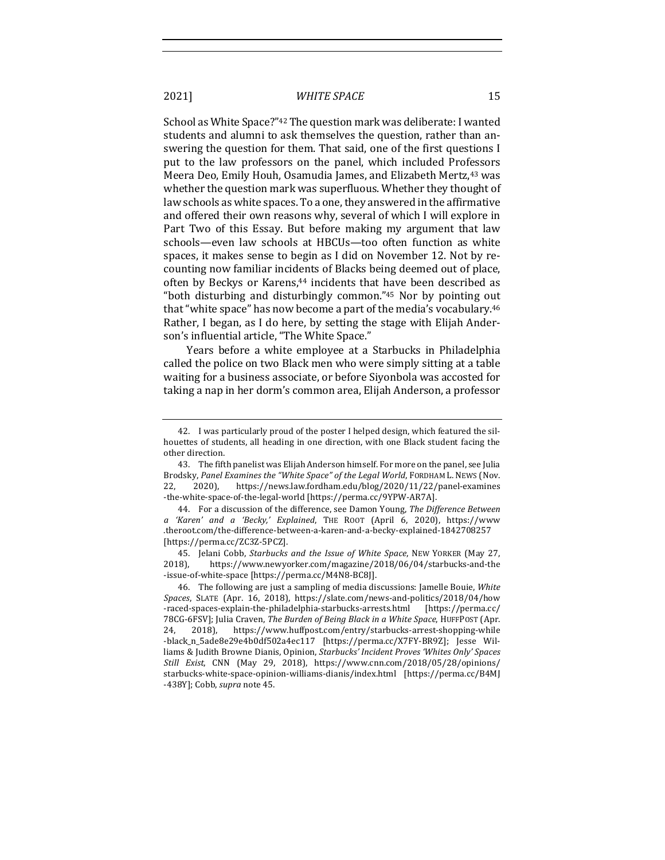School as White Space?"<sup>42</sup> The question mark was deliberate: I wanted students and alumni to ask themselves the question, rather than answering the question for them. That said, one of the first questions I put to the law professors on the panel, which included Professors Meera Deo, Emily Houh, Osamudia James, and Elizabeth Mertz,<sup>43</sup> was whether the question mark was superfluous. Whether they thought of law schools as white spaces. To a one, they answered in the affirmative and offered their own reasons why, several of which I will explore in Part Two of this Essay. But before making my argument that law schools—even law schools at HBCUs—too often function as white spaces, it makes sense to begin as I did on November 12. Not by recounting now familiar incidents of Blacks being deemed out of place, often by Beckys or Karens,<sup>44</sup> incidents that have been described as "both disturbing and disturbingly common." $45$  Nor by pointing out that "white space" has now become a part of the media's vocabulary.<sup>46</sup> Rather, I began, as I do here, by setting the stage with Elijah Anderson's influential article, "The White Space."

Years before a white employee at a Starbucks in Philadelphia called the police on two Black men who were simply sitting at a table waiting for a business associate, or before Siyonbola was accosted for taking a nap in her dorm's common area, Elijah Anderson, a professor

<sup>42.</sup> I was particularly proud of the poster I helped design, which featured the silhouettes of students, all heading in one direction, with one Black student facing the other direction.

<sup>43.</sup> The fifth panelist was Elijah Anderson himself. For more on the panel, see Julia Brodsky, Panel Examines the "White Space" of the Legal World, FORDHAM L. NEWS (Nov. 22, 2020), https://news.law.fordham.edu/blog/2020/11/22/panel-examines -the-white-space-of-the-legal-world [https://perma.cc/9YPW-AR7A].

<sup>44.</sup> For a discussion of the difference, see Damon Young, *The Difference Between a 'Karen' and a 'Becky,' Explained*, THE ROOT (April 6, 2020), https://www .theroot.com/the-difference-between-a-karen-and-a-becky-explained-1842708257 [https://perma.cc/ZC3Z-5PCZ].

<sup>45.</sup> Jelani Cobb, *Starbucks and the Issue of White Space*, NEW YORKER (May 27, 2018), https://www.newyorker.com/magazine/2018/06/04/starbucks-and-the -issue-of-white-space [https://perma.cc/M4N8-BC8J].

<sup>46.</sup> The following are just a sampling of media discussions: Jamelle Bouie, White *Spaces*, SLATE (Apr. 16, 2018), https://slate.com/news-and-politics/2018/04/how -raced-spaces-explain-the-philadelphia-starbucks-arrests.html [https://perma.cc/ 78CG-6FSV]; Julia Craven, *The Burden of Being Black in a White Space*, HUFFPOST (Apr. 24, 2018), https://www.huffpost.com/entry/starbucks-arrest-shopping-while -black\_n\_5ade8e29e4b0df502a4ec117 [https://perma.cc/X7FY-BR9Z]; Jesse Williams & Judith Browne Dianis, Opinion, *Starbucks' Incident Proves 'Whites Only' Spaces Still Exist*, CNN (May 29, 2018), https://www.cnn.com/2018/05/28/opinions/ starbucks-white-space-opinion-williams-dianis/index.html [https://perma.cc/B4MJ -438Y]; Cobb, *supra* note 45.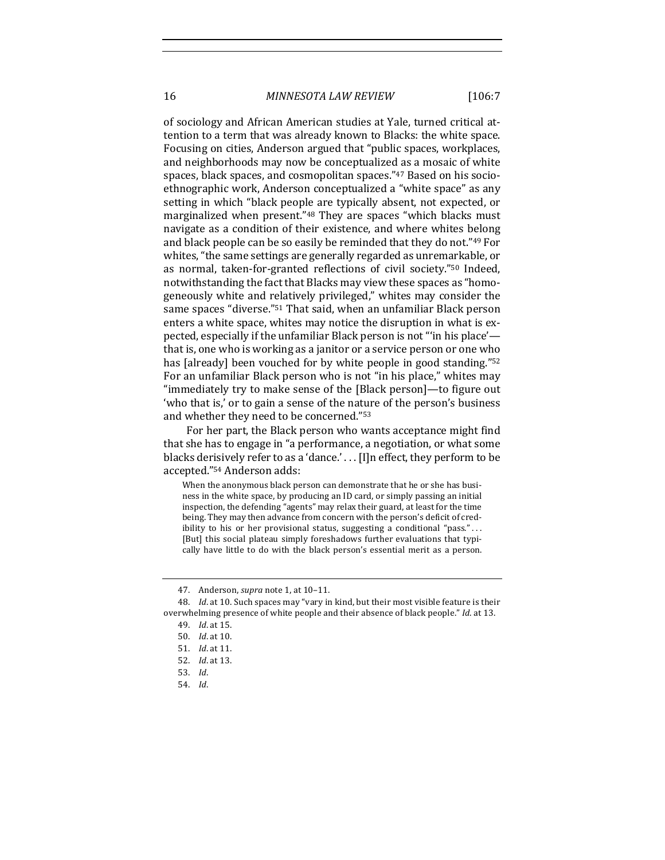16 *MINNESOTA LAW REVIEW* [106:7

of sociology and African American studies at Yale, turned critical attention to a term that was already known to Blacks: the white space. Focusing on cities, Anderson argued that "public spaces, workplaces, and neighborhoods may now be conceptualized as a mosaic of white spaces, black spaces, and cosmopolitan spaces."<sup>47</sup> Based on his socioethnographic work, Anderson conceptualized a "white space" as any setting in which "black people are typically absent, not expected, or marginalized when present."<sup>48</sup> They are spaces "which blacks must navigate as a condition of their existence, and where whites belong and black people can be so easily be reminded that they do not."<sup>49</sup> For whites, "the same settings are generally regarded as unremarkable, or as normal, taken-for-granted reflections of civil society."<sup>50</sup> Indeed, notwithstanding the fact that Blacks may view these spaces as "homogeneously white and relatively privileged," whites may consider the same spaces "diverse."<sup>51</sup> That said, when an unfamiliar Black person enters a white space, whites may notice the disruption in what is expected, especially if the unfamiliar Black person is not "in his place' that is, one who is working as a janitor or a service person or one who has [already] been vouched for by white people in good standing."<sup>52</sup> For an unfamiliar Black person who is not "in his place," whites may "immediately try to make sense of the [Black person]—to figure out 'who that is,' or to gain a sense of the nature of the person's business and whether they need to be concerned."<sup>53</sup>

For her part, the Black person who wants acceptance might find that she has to engage in "a performance, a negotiation, or what some blacks derisively refer to as a 'dance.' . . . [I]n effect, they perform to be accepted."<sup>54</sup> Anderson adds:

When the anonymous black person can demonstrate that he or she has business in the white space, by producing an ID card, or simply passing an initial inspection, the defending "agents" may relax their guard, at least for the time being. They may then advance from concern with the person's deficit of credibility to his or her provisional status, suggesting a conditional "pass."... [But] this social plateau simply foreshadows further evaluations that typically have little to do with the black person's essential merit as a person.

54. *Id*.

<sup>47.</sup> Anderson, *supra* note 1, at 10-11.

<sup>48.</sup> *Id.* at 10. Such spaces may "vary in kind, but their most visible feature is their overwhelming presence of white people and their absence of black people." *Id.* at 13.

<sup>49.</sup> *Id*. at 15.

<sup>50.</sup> *Id.* at 10.

<sup>51.</sup> *Id*. at 11.

<sup>52.</sup> *Id*. at 13.

<sup>53.</sup> *Id*.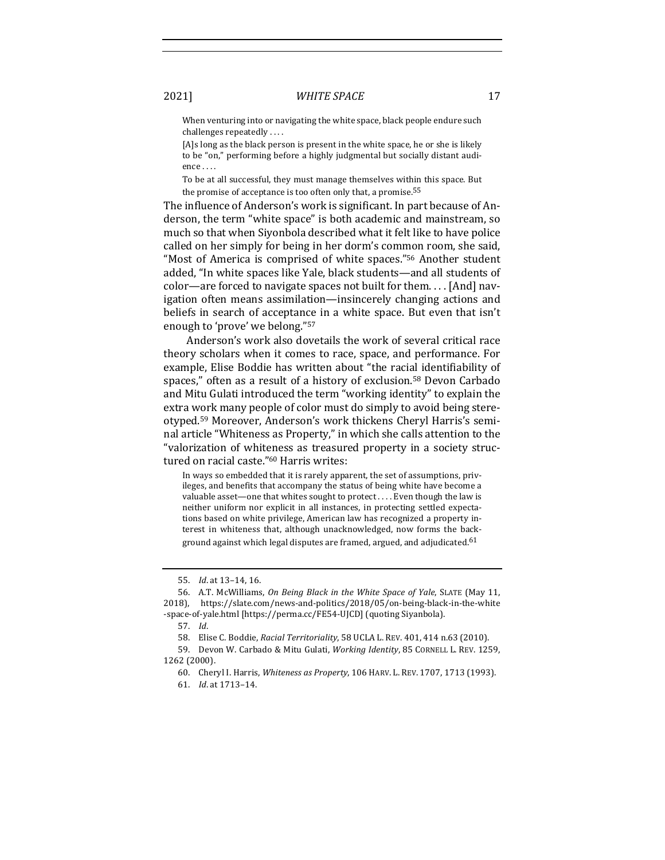When venturing into or navigating the white space, black people endure such challenges repeatedly  $\dots$ 

[A]s long as the black person is present in the white space, he or she is likely to be "on," performing before a highly judgmental but socially distant audience . . . .

To be at all successful, they must manage themselves within this space. But the promise of acceptance is too often only that, a promise.<sup>55</sup>

The influence of Anderson's work is significant. In part because of Anderson, the term "white space" is both academic and mainstream, so much so that when Siyonbola described what it felt like to have police called on her simply for being in her dorm's common room, she said, "Most of America is comprised of white spaces."<sup>56</sup> Another student added, "In white spaces like Yale, black students—and all students of  $color—are$  forced to navigate spaces not built for them.... [And] navigation often means assimilation—insincerely changing actions and beliefs in search of acceptance in a white space. But even that isn't enough to 'prove' we belong."<sup>57</sup>

Anderson's work also dovetails the work of several critical race theory scholars when it comes to race, space, and performance. For example, Elise Boddie has written about "the racial identifiability of spaces," often as a result of a history of exclusion.<sup>58</sup> Devon Carbado and Mitu Gulati introduced the term "working identity" to explain the extra work many people of color must do simply to avoid being stereotyped.<sup>59</sup> Moreover, Anderson's work thickens Cheryl Harris's seminal article "Whiteness as Property," in which she calls attention to the "valorization of whiteness as treasured property in a society structured on racial caste."<sup>60</sup> Harris writes:

In ways so embedded that it is rarely apparent, the set of assumptions, privileges, and benefits that accompany the status of being white have become a valuable asset-one that whites sought to protect . . . . Even though the law is neither uniform nor explicit in all instances, in protecting settled expectations based on white privilege, American law has recognized a property interest in whiteness that, although unacknowledged, now forms the background against which legal disputes are framed, argued, and adjudicated.<sup>61</sup>

<sup>55.</sup> *Id.* at 13-14, 16.

<sup>56.</sup> A.T. McWilliams, *On Being Black in the White Space of Yale*, SLATE (May 11, 2018), https://slate.com/news-and-politics/2018/05/on-being-black-in-the-white -space-of-yale.html [https://perma.cc/FE54-UJCD] (quoting Siyanbola).

<sup>57.</sup> *Id*.

<sup>58.</sup> Elise C. Boddie, *Racial Territoriality*, 58 UCLA L. REV. 401, 414 n.63 (2010).

<sup>59.</sup> Devon W. Carbado & Mitu Gulati, *Working Identity*, 85 CORNELL L. REV. 1259, 1262 (2000).

<sup>60.</sup> Cheryl I. Harris, Whiteness as Property, 106 HARV. L. REV. 1707, 1713 (1993).

<sup>61.</sup> *Id*. at 1713–14.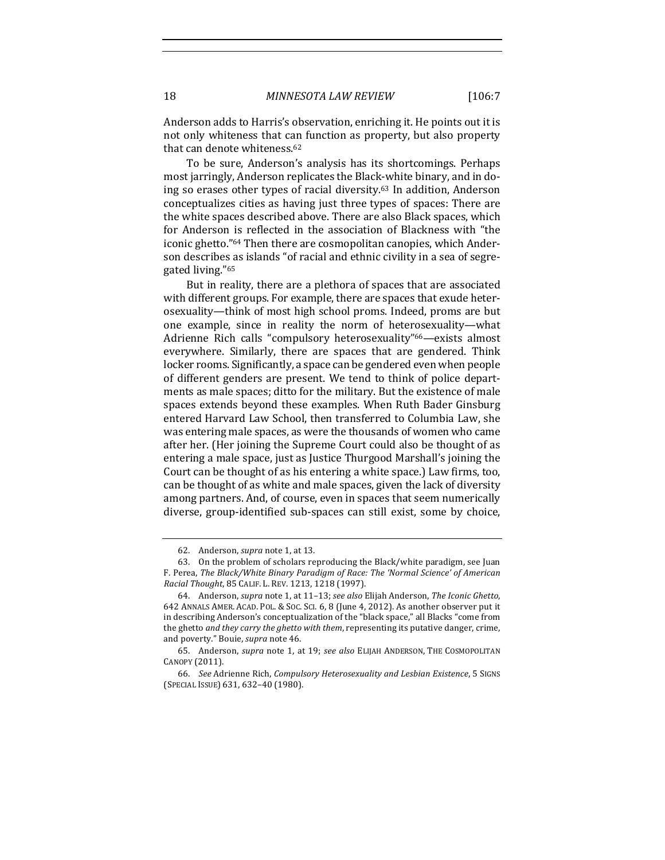Anderson adds to Harris's observation, enriching it. He points out it is not only whiteness that can function as property, but also property that can denote whiteness.<sup>62</sup>

To be sure, Anderson's analysis has its shortcomings. Perhaps most jarringly, Anderson replicates the Black-white binary, and in doing so erases other types of racial diversity.<sup>63</sup> In addition, Anderson conceptualizes cities as having just three types of spaces: There are the white spaces described above. There are also Black spaces, which for Anderson is reflected in the association of Blackness with "the iconic ghetto."<sup>64</sup> Then there are cosmopolitan canopies, which Anderson describes as islands "of racial and ethnic civility in a sea of segregated living."<sup>65</sup>

But in reality, there are a plethora of spaces that are associated with different groups. For example, there are spaces that exude heterosexuality—think of most high school proms. Indeed, proms are but one example, since in reality the norm of heterosexuality—what Adrienne Rich calls "compulsory heterosexuality"<sup>66</sup>—exists almost everywhere. Similarly, there are spaces that are gendered. Think locker rooms. Significantly, a space can be gendered even when people of different genders are present. We tend to think of police departments as male spaces; ditto for the military. But the existence of male spaces extends beyond these examples. When Ruth Bader Ginsburg entered Harvard Law School, then transferred to Columbia Law, she was entering male spaces, as were the thousands of women who came after her. (Her joining the Supreme Court could also be thought of as entering a male space, just as Justice Thurgood Marshall's joining the Court can be thought of as his entering a white space.) Law firms, too, can be thought of as white and male spaces, given the lack of diversity among partners. And, of course, even in spaces that seem numerically diverse, group-identified sub-spaces can still exist, some by choice,

<sup>62.</sup> Anderson, *supra* note 1, at 13.

<sup>63.</sup> On the problem of scholars reproducing the Black/white paradigm, see Juan F. Perea, The Black/White Binary Paradigm of Race: The 'Normal Science' of American *Racial Thought*, 85 CALIF. L. REV. 1213, 1218 (1997).

<sup>64.</sup> Anderson, *supra* note 1, at 11-13; see also Elijah Anderson, The Iconic Ghetto, 642 ANNALS AMER. ACAD. POL. & SOC. SCI. 6, 8 (June 4, 2012). As another observer put it in describing Anderson's conceptualization of the "black space," all Blacks "come from the ghetto and they carry the ghetto with them, representing its putative danger, crime, and poverty." Bouie, *supra* note 46.

<sup>65.</sup> Anderson, *supra* note 1, at 19; see also ELIJAH ANDERSON, THE COSMOPOLITAN CANOPY (2011).

<sup>66.</sup> See Adrienne Rich, *Compulsory Heterosexuality and Lesbian Existence*, 5 SIGNS (SPECIAL ISSUE) 631, 632–40 (1980).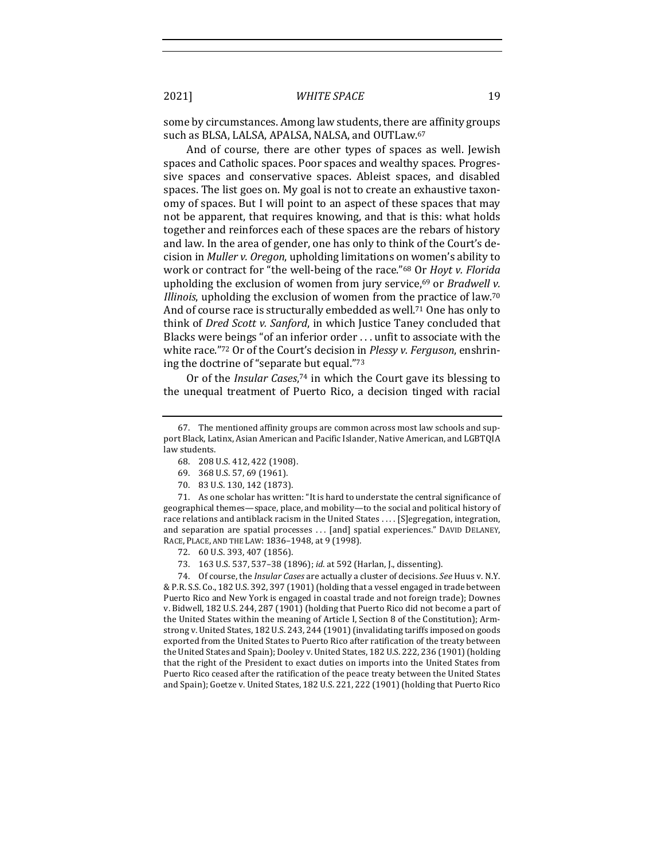some by circumstances. Among law students, there are affinity groups such as BLSA, LALSA, APALSA, NALSA, and OUTLaw.<sup>67</sup>

And of course, there are other types of spaces as well. Jewish spaces and Catholic spaces. Poor spaces and wealthy spaces. Progressive spaces and conservative spaces. Ableist spaces, and disabled spaces. The list goes on. My goal is not to create an exhaustive taxonomy of spaces. But I will point to an aspect of these spaces that may not be apparent, that requires knowing, and that is this: what holds together and reinforces each of these spaces are the rebars of history and law. In the area of gender, one has only to think of the Court's decision in *Muller v. Oregon*, upholding limitations on women's ability to work or contract for "the well-being of the race."<sup>68</sup> Or *Hoyt v. Florida* upholding the exclusion of women from jury service,<sup>69</sup> or *Bradwell v. Illinois*, upholding the exclusion of women from the practice of law.<sup>70</sup> And of course race is structurally embedded as well.<sup>71</sup> One has only to think of *Dred Scott v. Sanford*, in which Justice Taney concluded that Blacks were beings "of an inferior order  $\dots$  unfit to associate with the white race."72 Or of the Court's decision in *Plessy v. Ferguson*, enshrining the doctrine of "separate but equal."73

Or of the *Insular Cases*,<sup>74</sup> in which the Court gave its blessing to the unequal treatment of Puerto Rico, a decision tinged with racial

70. 83 U.S. 130, 142 (1873).

71. As one scholar has written: "It is hard to understate the central significance of geographical themes—space, place, and mobility—to the social and political history of race relations and antiblack racism in the United States . . . . [S]egregation, integration, and separation are spatial processes ... [and] spatial experiences." DAVID DELANEY, RACE, PLACE, AND THE LAW: 1836-1948, at 9 (1998).

74. Of course, the *Insular Cases* are actually a cluster of decisions. *See* Huus v. N.Y. & P.R. S.S. Co., 182 U.S. 392, 397 (1901) (holding that a vessel engaged in trade between Puerto Rico and New York is engaged in coastal trade and not foreign trade); Downes v. Bidwell, 182 U.S. 244, 287 (1901) (holding that Puerto Rico did not become a part of the United States within the meaning of Article I, Section 8 of the Constitution); Armstrong v. United States, 182 U.S. 243, 244 (1901) (invalidating tariffs imposed on goods exported from the United States to Puerto Rico after ratification of the treaty between the United States and Spain); Dooley v. United States, 182 U.S. 222, 236 (1901) (holding that the right of the President to exact duties on imports into the United States from Puerto Rico ceased after the ratification of the peace treaty between the United States and Spain); Goetze v. United States, 182 U.S. 221, 222 (1901) (holding that Puerto Rico

<sup>67.</sup> The mentioned affinity groups are common across most law schools and support Black, Latinx, Asian American and Pacific Islander, Native American, and LGBTQIA law students.

<sup>68. 208</sup> U.S. 412, 422 (1908).

<sup>69. 368</sup> U.S. 57, 69 (1961).

<sup>72. 60</sup> U.S. 393, 407 (1856).

<sup>73. 163</sup> U.S. 537, 537-38 (1896); *id.* at 592 (Harlan, J., dissenting).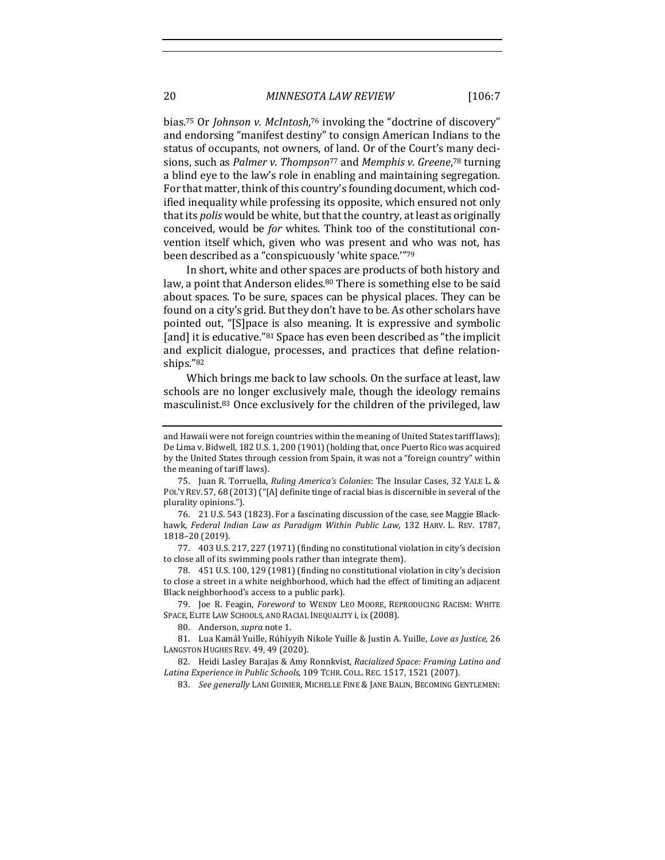bias.<sup>75</sup> Or *Johnson v. McIntosh*,<sup>76</sup> invoking the "doctrine of discovery" and endorsing "manifest destiny" to consign American Indians to the status of occupants, not owners, of land. Or of the Court's many decisions, such as *Palmer v. Thompson<sup>77</sup>* and *Memphis v. Greene*,<sup>78</sup> turning a blind eye to the law's role in enabling and maintaining segregation. For that matter, think of this country's founding document, which codified inequality while professing its opposite, which ensured not only that its *polis* would be white, but that the country, at least as originally conceived, would be *for* whites. Think too of the constitutional convention itself which, given who was present and who was not, has been described as a "conspicuously 'white space.""79

In short, white and other spaces are products of both history and law, a point that Anderson elides.<sup>80</sup> There is something else to be said about spaces. To be sure, spaces can be physical places. They can be found on a city's grid. But they don't have to be. As other scholars have pointed out, "[S]pace is also meaning. It is expressive and symbolic [and] it is educative."<sup>81</sup> Space has even been described as "the implicit and explicit dialogue, processes, and practices that define relationships."82

Which brings me back to law schools. On the surface at least, law schools are no longer exclusively male, though the ideology remains masculinist.<sup>83</sup> Once exclusively for the children of the privileged, law

77. 403 U.S. 217, 227 (1971) (finding no constitutional violation in city's decision to close all of its swimming pools rather than integrate them).

78. 451 U.S. 100, 129 (1981) (finding no constitutional violation in city's decision to close a street in a white neighborhood, which had the effect of limiting an adjacent Black neighborhood's access to a public park).

79. Joe R. Feagin, *Foreword* to WENDY LEO MOORE, REPRODUCING RACISM: WHITE SPACE, ELITE LAW SCHOOLS, AND RACIAL INEQUALITY i, ix (2008).

80. Anderson, *supra* note 1.

81. Lua Kamál Yuille, Rúhíyyih Nikole Yuille & Justin A. Yuille, Love as Justice, 26 LANGSTON HUGHES REV. 49, 49 (2020).

82. Heidi Lasley Barajas & Amy Ronnkvist, *Racialized Space: Framing Latino and* Latina Experience in Public Schools, 109 TCHR. COLL. REC. 1517, 1521 (2007).

83. See generally LANI GUINIER, MICHELLE FINE & JANE BALIN, BECOMING GENTLEMEN:

and Hawaii were not foreign countries within the meaning of United States tariff laws); De Lima v. Bidwell, 182 U.S. 1, 200 (1901) (holding that, once Puerto Rico was acquired by the United States through cession from Spain, it was not a "foreign country" within the meaning of tariff laws).

<sup>75.</sup> Juan R. Torruella, *Ruling America's Colonies*: The Insular Cases, 32 YALE L. & POL'Y REV. 57, 68 (2013) ("[A] definite tinge of racial bias is discernible in several of the plurality opinions.").

<sup>76. 21</sup> U.S. 543 (1823). For a fascinating discussion of the case, see Maggie Blackhawk, Federal Indian Law as Paradigm Within Public Law, 132 HARV. L. REV. 1787, 1818–20 (2019).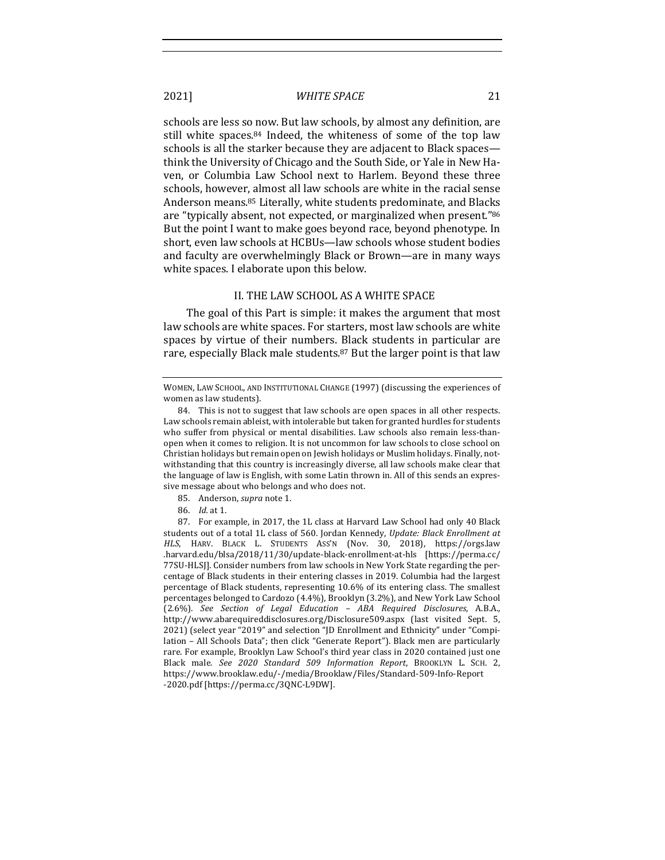schools are less so now. But law schools, by almost any definition, are still white spaces. $84$  Indeed, the whiteness of some of the top law schools is all the starker because they are adjacent to Black spacesthink the University of Chicago and the South Side, or Yale in New Haven, or Columbia Law School next to Harlem. Beyond these three schools, however, almost all law schools are white in the racial sense Anderson means.<sup>85</sup> Literally, white students predominate, and Blacks are "typically absent, not expected, or marginalized when present."86 But the point I want to make goes beyond race, beyond phenotype. In short, even law schools at HCBUs-law schools whose student bodies and faculty are overwhelmingly Black or Brown—are in many ways white spaces. I elaborate upon this below.

#### II. THE LAW SCHOOL AS A WHITE SPACE

The goal of this Part is simple: it makes the argument that most law schools are white spaces. For starters, most law schools are white spaces by virtue of their numbers. Black students in particular are rare, especially Black male students.<sup>87</sup> But the larger point is that law

- 85. Anderson, *supra* note 1.
- 86. *Id.* at 1.

87. For example, in 2017, the 1L class at Harvard Law School had only 40 Black students out of a total 1L class of 560. Jordan Kennedy, *Update: Black Enrollment at* HLS, HARV. BLACK L. STUDENTS ASS'N (Nov. 30, 2018), https://orgs.law .harvard.edu/blsa/2018/11/30/update-black-enrollment-at-hls [https://perma.cc/ 77SU-HLSJ]. Consider numbers from law schools in New York State regarding the percentage of Black students in their entering classes in 2019. Columbia had the largest percentage of Black students, representing 10.6% of its entering class. The smallest percentages belonged to Cardozo (4.4%), Brooklyn (3.2%), and New York Law School (2.6%). *See Section of Legal Education – ABA Required Disclosures*, A.B.A., http://www.abarequireddisclosures.org/Disclosure509.aspx (last visited Sept. 5, 2021) (select year "2019" and selection "JD Enrollment and Ethnicity" under "Compilation – All Schools Data"; then click "Generate Report"). Black men are particularly rare. For example, Brooklyn Law School's third year class in 2020 contained just one Black male. *See 2020 Standard 509 Information Report*, BROOKLYN L. SCH. 2, https://www.brooklaw.edu/-/media/Brooklaw/Files/Standard-509-Info-Report -2020.pdf [https://perma.cc/3QNC-L9DW].

WOMEN, LAW SCHOOL, AND INSTITUTIONAL CHANGE (1997) (discussing the experiences of women as law students).

<sup>84.</sup> This is not to suggest that law schools are open spaces in all other respects. Law schools remain ableist, with intolerable but taken for granted hurdles for students who suffer from physical or mental disabilities. Law schools also remain less-thanopen when it comes to religion. It is not uncommon for law schools to close school on Christian holidays but remain open on Jewish holidays or Muslim holidays. Finally, notwithstanding that this country is increasingly diverse, all law schools make clear that the language of law is English, with some Latin thrown in. All of this sends an expressive message about who belongs and who does not.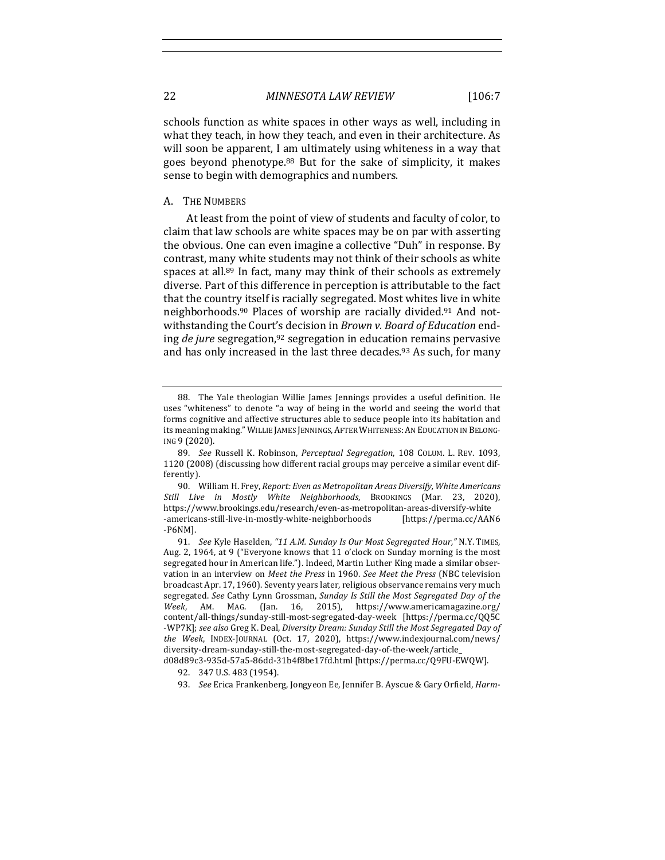schools function as white spaces in other ways as well, including in what they teach, in how they teach, and even in their architecture. As will soon be apparent, I am ultimately using whiteness in a way that goes beyond phenotype. $88$  But for the sake of simplicity, it makes sense to begin with demographics and numbers.

#### A. THE NUMBERS

At least from the point of view of students and faculty of color, to claim that law schools are white spaces may be on par with asserting the obvious. One can even imagine a collective "Duh" in response. By contrast, many white students may not think of their schools as white spaces at all.<sup>89</sup> In fact, many may think of their schools as extremely diverse. Part of this difference in perception is attributable to the fact that the country itself is racially segregated. Most whites live in white neighborhoods.<sup>90</sup> Places of worship are racially divided.<sup>91</sup> And notwithstanding the Court's decision in *Brown v. Board of Education* ending *de jure* segregation,<sup>92</sup> segregation in education remains pervasive and has only increased in the last three decades.<sup>93</sup> As such, for many

<sup>88.</sup> The Yale theologian Willie James Jennings provides a useful definition. He uses "whiteness" to denote "a way of being in the world and seeing the world that forms cognitive and affective structures able to seduce people into its habitation and its meaning making." WILLIE JAMES JENNINGS, AFTER WHITENESS: AN EDUCATION IN BELONG-ING 9 (2020).

<sup>89.</sup> *See* Russell K. Robinson, *Perceptual Segregation*, 108 COLUM. L. REV. 1093, 1120 (2008) (discussing how different racial groups may perceive a similar event differently).

<sup>90.</sup> William H. Frey, *Report: Even as Metropolitan Areas Diversify, White Americans Still Live in Mostly White Neighborhoods*, BROOKINGS (Mar. 23, 2020), https://www.brookings.edu/research/even-as-metropolitan-areas-diversify-white -americans-still-live-in-mostly-white-neighborhoods [https://perma.cc/AAN6 -P6NM].

<sup>91.</sup> *See* Kyle Haselden, "11 A.M. Sunday Is Our Most Segregated Hour," N.Y. TIMES, Aug. 2, 1964, at 9 ("Everyone knows that 11 o'clock on Sunday morning is the most segregated hour in American life."). Indeed, Martin Luther King made a similar observation in an interview on Meet the Press in 1960. See Meet the Press (NBC television broadcast Apr. 17, 1960). Seventy years later, religious observance remains very much segregated. See Cathy Lynn Grossman, Sunday Is Still the Most Segregated Day of the Week, AM. MAG. (Jan. 16, 2015), https://www.americamagazine.org/ content/all-things/sunday-still-most-segregated-day-week [https://perma.cc/QQ5C -WP7K]; see also Greg K. Deal, Diversity Dream: Sunday Still the Most Segregated Day of *the Week*, INDEX-JOURNAL (Oct. 17, 2020), https://www.indexjournal.com/news/ diversity-dream-sunday-still-the-most-segregated-day-of-the-week/article\_

d08d89c3-935d-57a5-86dd-31b4f8be17fd.html [https://perma.cc/Q9FU-EWQW].

<sup>92. 347</sup> U.S. 483 (1954).

<sup>93.</sup> *See* Erica Frankenberg, Jongyeon Ee, Jennifer B. Ayscue & Gary Orfield, *Harm-*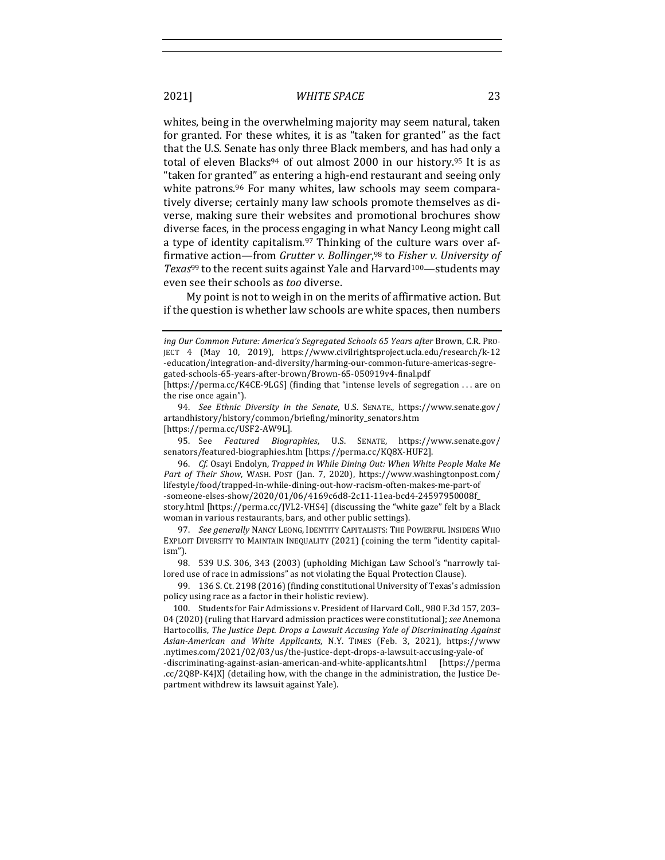whites, being in the overwhelming majority may seem natural, taken for granted. For these whites, it is as "taken for granted" as the fact that the U.S. Senate has only three Black members, and has had only a total of eleven Blacks<sup>94</sup> of out almost  $2000$  in our history.<sup>95</sup> It is as "taken for granted" as entering a high-end restaurant and seeing only white patrons.<sup>96</sup> For many whites, law schools may seem comparatively diverse; certainly many law schools promote themselves as diverse, making sure their websites and promotional brochures show diverse faces, in the process engaging in what Nancy Leong might call a type of identity capitalism. $97$  Thinking of the culture wars over affirmative action—from *Grutter v. Bollinger*,<sup>98</sup> to *Fisher v. University of Texas*<sup>99</sup> to the recent suits against Yale and Harvard<sup>100</sup>—students may even see their schools as *too* diverse.

My point is not to weigh in on the merits of affirmative action. But if the question is whether law schools are white spaces, then numbers

the rise once again").

95. See *Featured Biographies*, U.S. SENATE, https://www.senate.gov/ senators/featured-biographies.htm [https://perma.cc/KQ8X-HUF2].

*ing Our Common Future: America's Segregated Schools 65 Years after Brown, C.R. PRO-*JECT 4 (May 10, 2019), https://www.civilrightsproject.ucla.edu/research/k-12 -education/integration-and-diversity/harming-our-common-future-americas-segregated-schools-65-years-after-brown/Brown-65-050919v4-final.pdf  $[https://perma.cc/K4CE-9LGS]$  (finding that "intense levels of segregation ... are on

<sup>94.</sup> *See Ethnic Diversity in the Senate*, U.S. SENATE., https://www.senate.gov/ artandhistory/history/common/briefing/minority\_senators.htm [https://perma.cc/USF2-AW9L].

<sup>96.</sup> *Cf.* Osayi Endolyn, *Trapped in While Dining Out: When White People Make Me* Part of Their Show, WASH. POST (Jan. 7, 2020), https://www.washingtonpost.com/ lifestyle/food/trapped-in-while-dining-out-how-racism-often-makes-me-part-of -someone-elses-show/2020/01/06/4169c6d8-2c11-11ea-bcd4-24597950008f\_ story.html [https://perma.cc/JVL2-VHS4] (discussing the "white gaze" felt by a Black woman in various restaurants, bars, and other public settings).

<sup>97.</sup> *See generally* NANCY LEONG, IDENTITY CAPITALISTS: THE POWERFUL INSIDERS WHO EXPLOIT DIVERSITY TO MAINTAIN INEQUALITY (2021) (coining the term "identity capitalism").

<sup>98. 539</sup> U.S. 306, 343 (2003) (upholding Michigan Law School's "narrowly tailored use of race in admissions" as not violating the Equal Protection Clause).

<sup>99. 136</sup> S. Ct. 2198 (2016) (finding constitutional University of Texas's admission policy using race as a factor in their holistic review).

<sup>100.</sup> Students for Fair Admissions v. President of Harvard Coll., 980 F.3d 157, 203-04 (2020) (ruling that Harvard admission practices were constitutional); *see* Anemona Hartocollis, The Justice Dept. Drops a Lawsuit Accusing Yale of Discriminating Against *Asian-American and White Applicants*, N.Y. TIMES (Feb. 3, 2021), https://www .nytimes.com/2021/02/03/us/the-justice-dept-drops-a-lawsuit-accusing-yale-of

<sup>-</sup>discriminating-against-asian-american-and-white-applicants.html [https://perma .cc/2Q8P-K4JX] (detailing how, with the change in the administration, the Justice Department withdrew its lawsuit against Yale).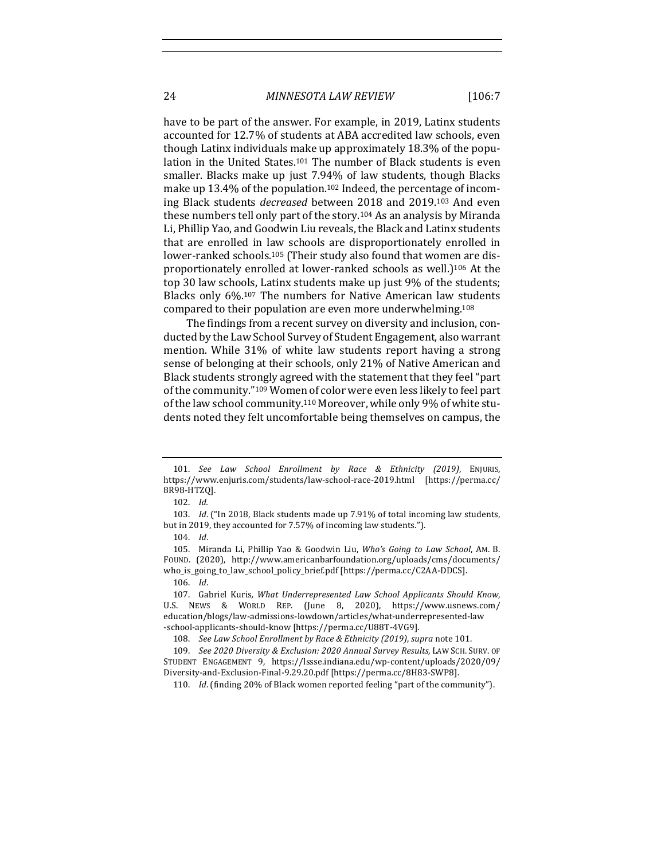#### 24 *MINNESOTA LAW REVIEW* [106:7

have to be part of the answer. For example, in 2019, Latinx students accounted for 12.7% of students at ABA accredited law schools, even though Latinx individuals make up approximately 18.3% of the population in the United States.<sup>101</sup> The number of Black students is even smaller. Blacks make up just 7.94% of law students, though Blacks make up 13.4% of the population.<sup>102</sup> Indeed, the percentage of incoming Black students *decreased* between 2018 and 2019.<sup>103</sup> And even these numbers tell only part of the story.<sup>104</sup> As an analysis by Miranda Li, Phillip Yao, and Goodwin Liu reveals, the Black and Latinx students that are enrolled in law schools are disproportionately enrolled in lower-ranked schools.<sup>105</sup> (Their study also found that women are disproportionately enrolled at lower-ranked schools as well.)<sup>106</sup> At the top 30 law schools, Latinx students make up just 9% of the students; Blacks only 6%.<sup>107</sup> The numbers for Native American law students compared to their population are even more underwhelming.<sup>108</sup>

The findings from a recent survey on diversity and inclusion, conducted by the Law School Survey of Student Engagement, also warrant mention. While 31% of white law students report having a strong sense of belonging at their schools, only 21% of Native American and Black students strongly agreed with the statement that they feel "part" of the community."<sup>109</sup> Women of color were even less likely to feel part of the law school community.<sup>110</sup> Moreover, while only 9% of white students noted they felt uncomfortable being themselves on campus, the

<sup>101.</sup> *See Law School Enrollment by Race & Ethnicity (2019)*, ENJURIS, https://www.enjuris.com/students/law-school-race-2019.html [https://perma.cc/ 8R98-HTZQ].

<sup>102.</sup> *Id.*

<sup>103.</sup> *Id.* ("In 2018, Black students made up 7.91% of total incoming law students, but in 2019, they accounted for 7.57% of incoming law students.").

<sup>104.</sup> *Id*.

<sup>105.</sup> Miranda Li, Phillip Yao & Goodwin Liu, Who's Going to Law School, AM. B. FOUND. (2020), http://www.americanbarfoundation.org/uploads/cms/documents/ who\_is\_going\_to\_law\_school\_policy\_brief.pdf [https://perma.cc/C2AA-DDCS]. 106. *Id*.

<sup>107.</sup> Gabriel Kuris, What Underrepresented Law School Applicants Should Know, U.S. NEWS & WORLD REP. (June 8, 2020), https://www.usnews.com/ education/blogs/law-admissions-lowdown/articles/what-underrepresented-law -school-applicants-should-know [https://perma.cc/U88T-4VG9].

<sup>108.</sup> *See Law School Enrollment by Race & Ethnicity (2019), supra note 101.* 

<sup>109.</sup> *See 2020 Diversity & Exclusion: 2020 Annual Survey Results*, LAW SCH. SURV. OF STUDENT ENGAGEMENT 9, https://lssse.indiana.edu/wp-content/uploads/2020/09/ Diversity-and-Exclusion-Final-9.29.20.pdf [https://perma.cc/8H83-SWP8].

<sup>110.</sup> *Id.* (finding 20% of Black women reported feeling "part of the community").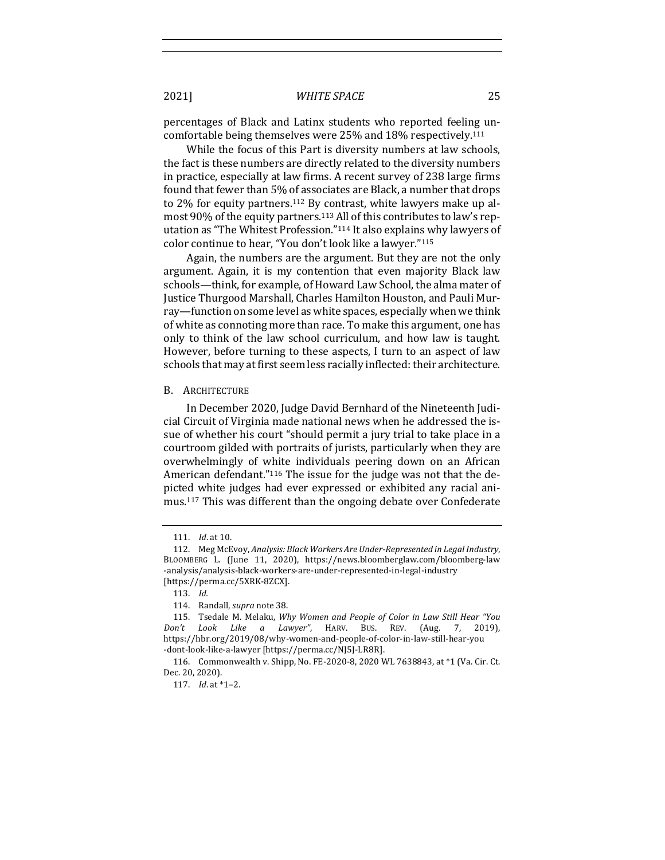percentages of Black and Latinx students who reported feeling uncomfortable being themselves were 25% and 18% respectively.<sup>111</sup>

While the focus of this Part is diversity numbers at law schools, the fact is these numbers are directly related to the diversity numbers in practice, especially at law firms. A recent survey of 238 large firms found that fewer than 5% of associates are Black, a number that drops to  $2\%$  for equity partners.<sup>112</sup> By contrast, white lawyers make up almost 90% of the equity partners.<sup>113</sup> All of this contributes to law's reputation as "The Whitest Profession."<sup>114</sup> It also explains why lawyers of color continue to hear, "You don't look like a lawyer."115

Again, the numbers are the argument. But they are not the only argument. Again, it is my contention that even majority Black law schools—think, for example, of Howard Law School, the alma mater of Justice Thurgood Marshall, Charles Hamilton Houston, and Pauli Murray—function on some level as white spaces, especially when we think of white as connoting more than race. To make this argument, one has only to think of the law school curriculum, and how law is taught. However, before turning to these aspects, I turn to an aspect of law schools that may at first seem less racially inflected: their architecture.

#### B. ARCHITECTURE

In December 2020, Judge David Bernhard of the Nineteenth Judicial Circuit of Virginia made national news when he addressed the issue of whether his court "should permit a jury trial to take place in a courtroom gilded with portraits of jurists, particularly when they are overwhelmingly of white individuals peering down on an African American defendant."<sup>116</sup> The issue for the judge was not that the depicted white judges had ever expressed or exhibited any racial animus.<sup>117</sup> This was different than the ongoing debate over Confederate

<sup>111.</sup> *Id.* at 10.

<sup>112.</sup> Meg McEvoy, Analysis: Black Workers Are Under-Represented in Legal Industry, BLOOMBERG L. (June 11, 2020), https://news.bloomberglaw.com/bloomberg-law -analysis/analysis-black-workers-are-under-represented-in-legal-industry [https://perma.cc/5XRK-8ZCX].

<sup>113.</sup> *Id.*

<sup>114.</sup> Randall, *supra* note 38.

<sup>115.</sup> Tsedale M. Melaku, *Why Women and People of Color in Law Still Hear "You Don't Look Like a Lawyer"*, HARV. BUS. REV. (Aug. 7, 2019), https://hbr.org/2019/08/why-women-and-people-of-color-in-law-still-hear-you -dont-look-like-a-lawyer [https://perma.cc/NJ5J-LR8R].

<sup>116.</sup> Commonwealth v. Shipp, No. FE-2020-8, 2020 WL 7638843, at \*1 (Va. Cir. Ct. Dec. 20, 2020).

<sup>117.</sup> *Id.* at \*1-2.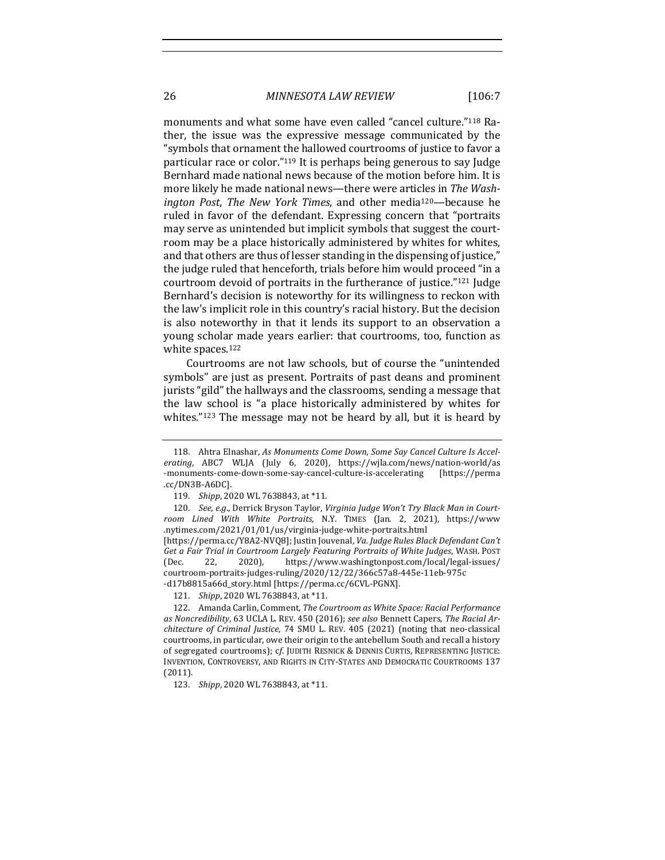26 *MINNESOTA LAW REVIEW* [106:7

monuments and what some have even called "cancel culture."118 Rather, the issue was the expressive message communicated by the "symbols that ornament the hallowed courtrooms of justice to favor a particular race or color. $n^{119}$  It is perhaps being generous to say Judge Bernhard made national news because of the motion before him. It is more likely he made national news—there were articles in *The Washington Post, The New York Times,* and other media<sup>120</sup>—because he ruled in favor of the defendant. Expressing concern that "portraits may serve as unintended but implicit symbols that suggest the courtroom may be a place historically administered by whites for whites, and that others are thus of lesser standing in the dispensing of justice," the judge ruled that henceforth, trials before him would proceed "in a courtroom devoid of portraits in the furtherance of justice."<sup>121</sup> Judge Bernhard's decision is noteworthy for its willingness to reckon with the law's implicit role in this country's racial history. But the decision is also noteworthy in that it lends its support to an observation a young scholar made years earlier: that courtrooms, too, function as white spaces.<sup>122</sup>

Courtrooms are not law schools, but of course the "unintended symbols" are just as present. Portraits of past deans and prominent jurists "gild" the hallways and the classrooms, sending a message that the law school is "a place historically administered by whites for whites." $123$  The message may not be heard by all, but it is heard by

<sup>118.</sup> Ahtra Elnashar, As Monuments Come Down, Some Say Cancel Culture Is Accelerating, ABC7 WLJA (July 6, 2020), https://wjla.com/news/nation-world/as -monuments-come-down-some-say-cancel-culture-is-accelerating [https://perma .cc/DN3B-A6DC].

<sup>119.</sup> *Shipp*, 2020 WL 7638843, at \*11.

<sup>120.</sup> See, e.g., Derrick Bryson Taylor, Virginia Judge Won't Try Black Man in Court*room Lined With White Portraits*, N.Y. TIMES (Jan. 2, 2021), https://www .nytimes.com/2021/01/01/us/virginia-judge-white-portraits.html 

<sup>[</sup>https://perma.cc/Y8A2-NVQ8]; Justin Jouvenal, *Va. Judge Rules Black Defendant Can't* Get a Fair Trial in Courtroom Largely Featuring Portraits of White Judges, WASH. POST (Dec. 22, 2020), https://www.washingtonpost.com/local/legal-issues/ courtroom-portraits-judges-ruling/2020/12/22/366c57a8-445e-11eb-975c -d17b8815a66d\_story.html [https://perma.cc/6CVL-PGNX].

<sup>121.</sup> *Shipp*, 2020 WL 7638843, at \*11.

<sup>122.</sup> Amanda Carlin, Comment, *The Courtroom as White Space: Racial Performance* as Noncredibility, 63 UCLA L. REV. 450 (2016); see also Bennett Capers, The Racial Ar*chitecture of Criminal Justice,* 74 SMU L. REV. 405 (2021) (noting that neo-classical courtrooms, in particular, owe their origin to the antebellum South and recall a history of segregated courtrooms); cf. JUDITH RESNICK & DENNIS CURTIS, REPRESENTING JUSTICE: INVENTION, CONTROVERSY, AND RIGHTS IN CITY-STATES AND DEMOCRATIC COURTROOMS 137 (2011).

<sup>123.</sup> *Shipp*, 2020 WL 7638843, at \*11.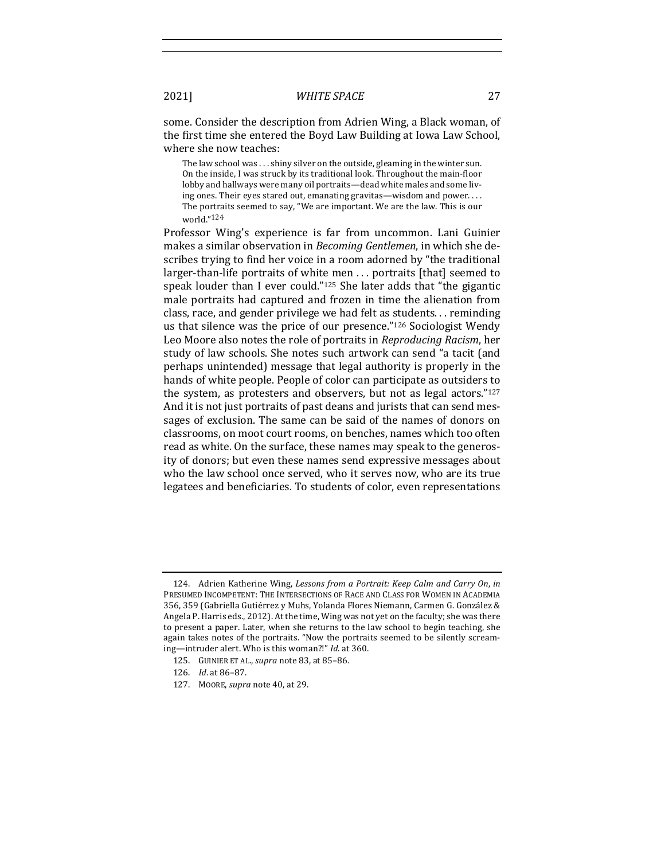some. Consider the description from Adrien Wing, a Black woman, of the first time she entered the Boyd Law Building at Iowa Law School, where she now teaches:

The law school was  $\dots$  shiny silver on the outside, gleaming in the winter sun. On the inside, I was struck by its traditional look. Throughout the main-floor lobby and hallways were many oil portraits—dead white males and some living ones. Their eyes stared out, emanating gravitas—wisdom and power.... The portraits seemed to say, "We are important. We are the law. This is our world."124

Professor Wing's experience is far from uncommon. Lani Guinier makes a similar observation in *Becoming Gentlemen*, in which she describes trying to find her voice in a room adorned by "the traditional larger-than-life portraits of white men ... portraits [that] seemed to speak louder than I ever could." $125$  She later adds that "the gigantic male portraits had captured and frozen in time the alienation from class, race, and gender privilege we had felt as students. . . reminding us that silence was the price of our presence." $126$  Sociologist Wendy Leo Moore also notes the role of portraits in *Reproducing Racism*, her study of law schools. She notes such artwork can send "a tacit (and perhaps unintended) message that legal authority is properly in the hands of white people. People of color can participate as outsiders to the system, as protesters and observers, but not as legal actors." $127$ And it is not just portraits of past deans and jurists that can send messages of exclusion. The same can be said of the names of donors on classrooms, on moot court rooms, on benches, names which too often read as white. On the surface, these names may speak to the generosity of donors; but even these names send expressive messages about who the law school once served, who it serves now, who are its true legatees and beneficiaries. To students of color, even representations

<sup>124.</sup> Adrien Katherine Wing, Lessons from a Portrait: Keep Calm and Carry On, in PRESUMED INCOMPETENT: THE INTERSECTIONS OF RACE AND CLASS FOR WOMEN IN ACADEMIA 356, 359 (Gabriella Gutiérrez y Muhs, Yolanda Flores Niemann, Carmen G. González & Angela P. Harris eds., 2012). At the time, Wing was not yet on the faculty; she was there to present a paper. Later, when she returns to the law school to begin teaching, she again takes notes of the portraits. "Now the portraits seemed to be silently screaming-intruder alert. Who is this woman?!" *Id.* at 360.

<sup>125.</sup> GUINIER ET AL., *supra* note 83, at 85-86.

<sup>126.</sup> *Id.* at 86-87.

<sup>127.</sup> MOORE, *supra* note 40, at 29.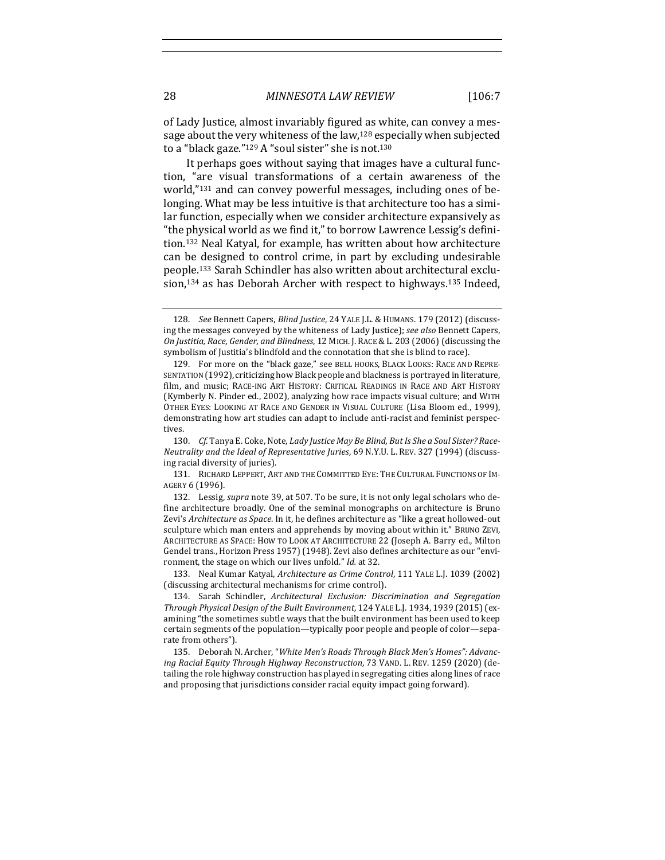of Lady Justice, almost invariably figured as white, can convey a message about the very whiteness of the law, $128$  especially when subjected to a "black gaze." $129$  A "soul sister" she is not. $130$ 

It perhaps goes without saying that images have a cultural function, "are visual transformations of a certain awareness of the world,"<sup>131</sup> and can convey powerful messages, including ones of belonging. What may be less intuitive is that architecture too has a similar function, especially when we consider architecture expansively as "the physical world as we find it," to borrow Lawrence Lessig's definition.<sup>132</sup> Neal Katyal, for example, has written about how architecture can be designed to control crime, in part by excluding undesirable people.<sup>133</sup> Sarah Schindler has also written about architectural exclusion,<sup>134</sup> as has Deborah Archer with respect to highways.<sup>135</sup> Indeed,

<sup>128.</sup> *See* Bennett Capers, *Blind Justice*, 24 YALE J.L. & HUMANS. 179 (2012) (discussing the messages conveyed by the whiteness of Lady Justice); *see also* Bennett Capers, *On Justitia, Race, Gender, and Blindness,* 12 MICH. J. RACE & L. 203 (2006) (discussing the symbolism of Justitia's blindfold and the connotation that she is blind to race).

<sup>129.</sup> For more on the "black gaze," see BELL HOOKS, BLACK LOOKS: RACE AND REPRE-SENTATION (1992), criticizing how Black people and blackness is portrayed in literature, film, and music; RACE-ING ART HISTORY: CRITICAL READINGS IN RACE AND ART HISTORY (Kymberly N. Pinder ed., 2002), analyzing how race impacts visual culture; and WITH OTHER EYES: LOOKING AT RACE AND GENDER IN VISUAL CULTURE (Lisa Bloom ed., 1999), demonstrating how art studies can adapt to include anti-racist and feminist perspectives.

<sup>130.</sup> Cf. Tanya E. Coke, Note, *Lady Justice May Be Blind, But Is She a Soul Sister? Race-Neutrality and the Ideal of Representative Juries*, 69 N.Y.U. L. REV. 327 (1994) (discussing racial diversity of juries).

<sup>131.</sup> RICHARD LEPPERT, ART AND THE COMMITTED EYE: THE CULTURAL FUNCTIONS OF IM-AGERY 6 (1996).

<sup>132.</sup> Lessig, *supra* note 39, at 507. To be sure, it is not only legal scholars who define architecture broadly. One of the seminal monographs on architecture is Bruno Zevi's *Architecture as Space*. In it, he defines architecture as "like a great hollowed-out sculpture which man enters and apprehends by moving about within it." BRUNO ZEVI, ARCHITECTURE AS SPACE: HOW TO LOOK AT ARCHITECTURE 22 (Joseph A. Barry ed., Milton Gendel trans., Horizon Press 1957) (1948). Zevi also defines architecture as our "environment, the stage on which our lives unfold." *Id.* at 32.

<sup>133.</sup> Neal Kumar Katyal, *Architecture as Crime Control*, 111 YALE L.J. 1039 (2002) (discussing architectural mechanisms for crime control).

<sup>134.</sup> Sarah Schindler, *Architectural Exclusion: Discrimination and Segregation Through Physical Design of the Built Environment*, 124 YALE L.J. 1934, 1939 (2015) (examining "the sometimes subtle ways that the built environment has been used to keep certain segments of the population—typically poor people and people of color—separate from others").

<sup>135.</sup> Deborah N. Archer, "White Men's Roads Through Black Men's Homes": Advancing Racial Equity Through Highway Reconstruction, 73 VAND. L. REV. 1259 (2020) (detailing the role highway construction has played in segregating cities along lines of race and proposing that jurisdictions consider racial equity impact going forward).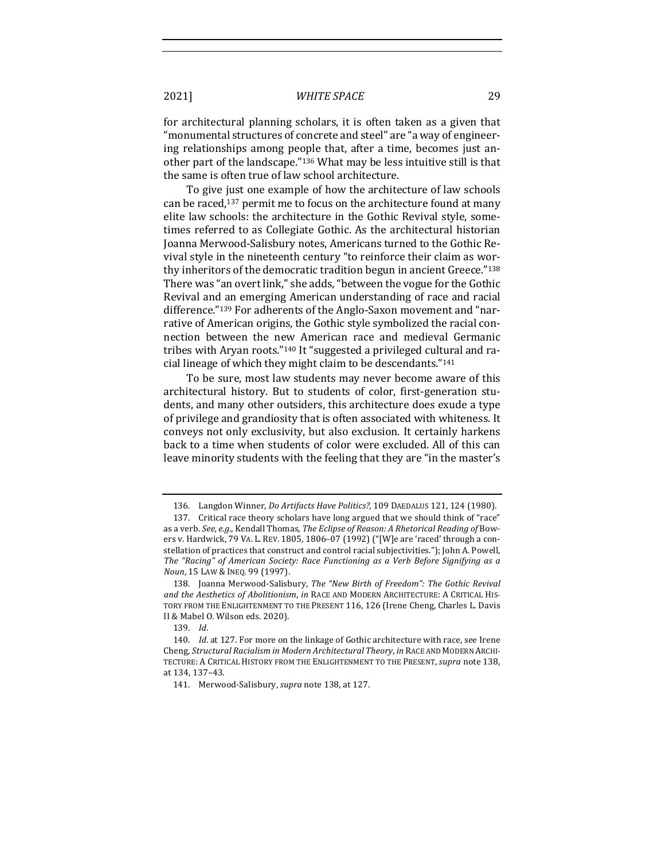for architectural planning scholars, it is often taken as a given that "monumental structures of concrete and steel" are "a way of engineering relationships among people that, after a time, becomes just another part of the landscape."<sup>136</sup> What may be less intuitive still is that the same is often true of law school architecture.

To give just one example of how the architecture of law schools can be raced,<sup>137</sup> permit me to focus on the architecture found at many elite law schools: the architecture in the Gothic Revival style, sometimes referred to as Collegiate Gothic. As the architectural historian Joanna Merwood-Salisbury notes, Americans turned to the Gothic Revival style in the nineteenth century "to reinforce their claim as worthy inheritors of the democratic tradition begun in ancient Greece." $138$ There was "an overt link," she adds, "between the vogue for the Gothic Revival and an emerging American understanding of race and racial difference."<sup>139</sup> For adherents of the Anglo-Saxon movement and "narrative of American origins, the Gothic style symbolized the racial connection between the new American race and medieval Germanic tribes with Aryan roots."<sup>140</sup> It "suggested a privileged cultural and racial lineage of which they might claim to be descendants." $141$ 

To be sure, most law students may never become aware of this architectural history. But to students of color, first-generation students, and many other outsiders, this architecture does exude a type of privilege and grandiosity that is often associated with whiteness. It conveys not only exclusivity, but also exclusion. It certainly harkens back to a time when students of color were excluded. All of this can leave minority students with the feeling that they are "in the master's

<sup>136.</sup> Langdon Winner, *Do Artifacts Have Politics?*, 109 DAEDALUS 121, 124 (1980).

<sup>137.</sup> Critical race theory scholars have long argued that we should think of "race" as a verb. See, e.g., Kendall Thomas, *The Eclipse of Reason: A Rhetorical Reading of Bow*ers v. Hardwick, 79 VA. L. REV. 1805, 1806–07 (1992) ("[W]e are 'raced' through a constellation of practices that construct and control racial subjectivities."); John A. Powell, The "Racing" of American Society: Race Functioning as a Verb Before Signifying as a *Noun*, 15 LAW & INEQ. 99 (1997).

<sup>138.</sup> Joanna Merwood-Salisbury, *The "New Birth of Freedom": The Gothic Revival* and the Aesthetics of Abolitionism, in RACE AND MODERN ARCHITECTURE: A CRITICAL HIS-TORY FROM THE ENLIGHTENMENT TO THE PRESENT 116, 126 (Irene Cheng, Charles L. Davis II & Mabel O. Wilson eds. 2020).

<sup>139.</sup> *Id*.

<sup>140.</sup> *Id.* at 127. For more on the linkage of Gothic architecture with race, see Irene Cheng, *Structural Racialism in Modern Architectural Theory*, *in* RACE AND MODERN ARCHI-TECTURE: A CRITICAL HISTORY FROM THE ENLIGHTENMENT TO THE PRESENT, *supra* note 138, at 134, 137-43.

<sup>141.</sup> Merwood-Salisbury, *supra* note 138, at 127.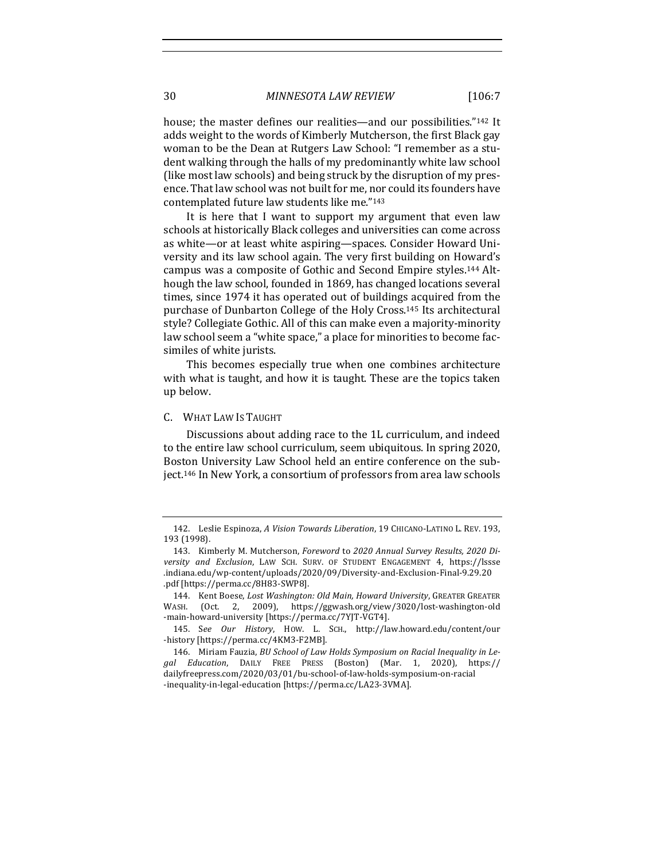house; the master defines our realities—and our possibilities."<sup>142</sup> It adds weight to the words of Kimberly Mutcherson, the first Black gay woman to be the Dean at Rutgers Law School: "I remember as a student walking through the halls of my predominantly white law school (like most law schools) and being struck by the disruption of my presence. That law school was not built for me, nor could its founders have contemplated future law students like me."143

It is here that I want to support my argument that even law schools at historically Black colleges and universities can come across as white—or at least white aspiring—spaces. Consider Howard University and its law school again. The very first building on Howard's campus was a composite of Gothic and Second Empire styles.<sup>144</sup> Although the law school, founded in 1869, has changed locations several times, since 1974 it has operated out of buildings acquired from the purchase of Dunbarton College of the Holy Cross.<sup>145</sup> Its architectural style? Collegiate Gothic. All of this can make even a majority-minority law school seem a "white space," a place for minorities to become facsimiles of white jurists.

This becomes especially true when one combines architecture with what is taught, and how it is taught. These are the topics taken up below.

### C. WHAT LAW IS TAUGHT

Discussions about adding race to the 1L curriculum, and indeed to the entire law school curriculum, seem ubiquitous. In spring 2020, Boston University Law School held an entire conference on the subject.<sup>146</sup> In New York, a consortium of professors from area law schools

<sup>142.</sup> Leslie Espinoza, *A Vision Towards Liberation*, 19 CHICANO-LATINO L. REV. 193, 193 (1998).

<sup>143.</sup> Kimberly M. Mutcherson, *Foreword* to 2020 Annual Survey Results, 2020 Di*versity and Exclusion*, LAW SCH. SURV. OF STUDENT ENGAGEMENT 4, https://lssse .indiana.edu/wp-content/uploads/2020/09/Diversity-and-Exclusion-Final-9.29.20 .pdf [https://perma.cc/8H83-SWP8].

<sup>144.</sup> Kent Boese, Lost Washington: Old Main, Howard University, GREATER GREATER WASH. (Oct. 2, 2009), https://ggwash.org/view/3020/lost-washington-old -main-howard-university [https://perma.cc/7YJT-VGT4].

<sup>145.</sup> S*ee Our History*, HOW. L. SCH., http://law.howard.edu/content/our -history [https://perma.cc/4KM3-F2MB].

<sup>146.</sup> Miriam Fauzia, *BU School of Law Holds Symposium on Racial Inequality in Legal Education*, DAILY FREE PRESS (Boston) (Mar. 1, 2020), https:// dailyfreepress.com/2020/03/01/bu-school-of-law-holds-symposium-on-racial -inequality-in-legal-education [https://perma.cc/LA23-3VMA].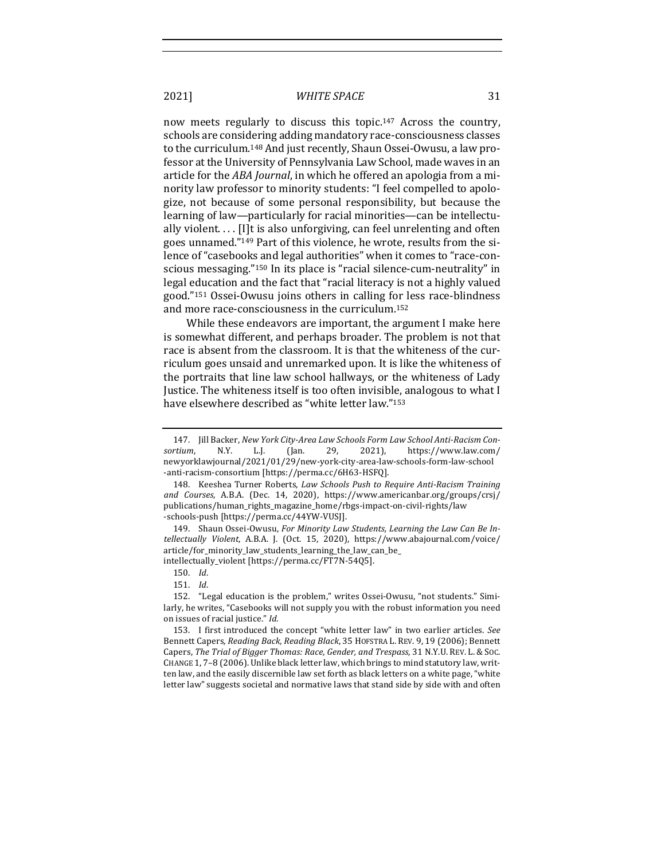now meets regularly to discuss this topic.<sup>147</sup> Across the country, schools are considering adding mandatory race-consciousness classes to the curriculum.<sup>148</sup> And just recently, Shaun Ossei-Owusu, a law professor at the University of Pennsylvania Law School, made waves in an article for the *ABA Journal*, in which he offered an apologia from a minority law professor to minority students: "I feel compelled to apologize, not because of some personal responsibility, but because the learning of law—particularly for racial minorities—can be intellectually violent.  $\ldots$  [I]t is also unforgiving, can feel unrelenting and often goes unnamed."<sup>149</sup> Part of this violence, he wrote, results from the silence of "casebooks and legal authorities" when it comes to "race-conscious messaging."<sup>150</sup> In its place is "racial silence-cum-neutrality" in legal education and the fact that "racial literacy is not a highly valued good."<sup>151</sup> Ossei-Owusu joins others in calling for less race-blindness and more race-consciousness in the curriculum.<sup>152</sup>

While these endeavors are important, the argument I make here is somewhat different, and perhaps broader. The problem is not that race is absent from the classroom. It is that the whiteness of the curriculum goes unsaid and unremarked upon. It is like the whiteness of the portraits that line law school hallways, or the whiteness of Lady Justice. The whiteness itself is too often invisible, analogous to what I have elsewhere described as "white letter law."153

149. Shaun Ossei-Owusu, For Minority Law Students, Learning the Law Can Be In*tellectually Violent*, A.B.A. J. (Oct. 15, 2020), https://www.abajournal.com/voice/ article/for\_minority\_law\_students\_learning\_the\_law\_can\_be\_ intellectually\_violent [https://perma.cc/FT7N-54Q5].

<sup>147.</sup> Jill Backer, New York City-Area Law Schools Form Law School Anti-Racism Con*sortium*, N.Y. L.J. (Jan. 29, 2021), https://www.law.com/ newyorklawjournal/2021/01/29/new-york-city-area-law-schools-form-law-school -anti-racism-consortium [https://perma.cc/6H63-HSFQ].

<sup>148.</sup> Keeshea Turner Roberts, *Law Schools Push to Require Anti-Racism Training and Courses*, A.B.A. (Dec. 14, 2020), https://www.americanbar.org/groups/crsj/ publications/human\_rights\_magazine\_home/rbgs-impact-on-civil-rights/law -schools-push [https://perma.cc/44YW-VUSJ].

<sup>150.</sup> *Id*.

<sup>151.</sup> *Id*.

<sup>152. &</sup>quot;Legal education is the problem," writes Ossei-Owusu, "not students." Similarly, he writes, "Casebooks will not supply you with the robust information you need on issues of racial justice." *Id*.

<sup>153.</sup> I first introduced the concept "white letter law" in two earlier articles. See Bennett Capers, *Reading Back, Reading Black*, 35 HOFSTRA L. REV. 9, 19 (2006); Bennett Capers, The Trial of Bigger Thomas: Race, Gender, and Trespass, 31 N.Y.U. REV. L. & Soc. CHANGE 1, 7-8 (2006). Unlike black letter law, which brings to mind statutory law, written law, and the easily discernible law set forth as black letters on a white page, "white letter law" suggests societal and normative laws that stand side by side with and often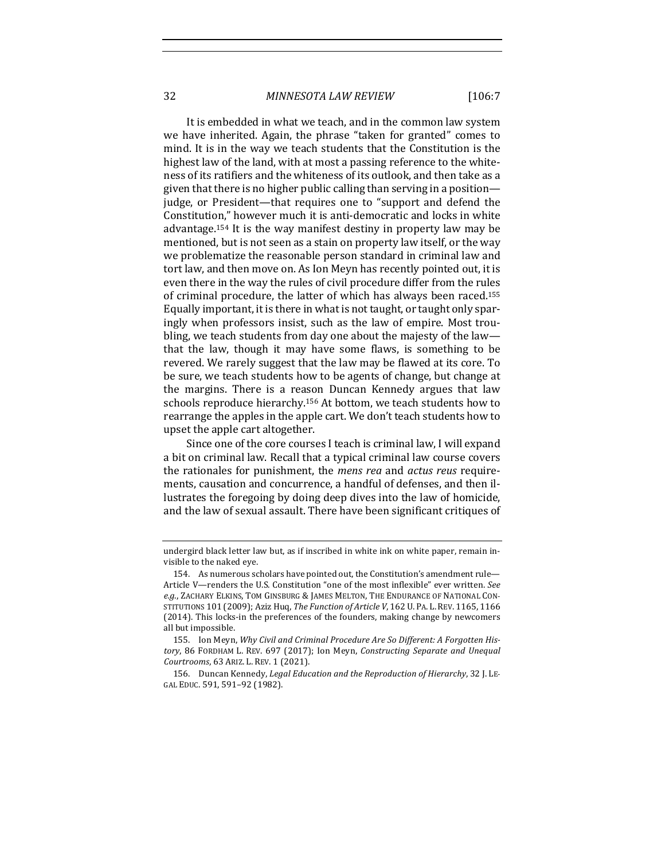32 *MINNESOTA LAW REVIEW* [106:7

It is embedded in what we teach, and in the common law system we have inherited. Again, the phrase "taken for granted" comes to mind. It is in the way we teach students that the Constitution is the highest law of the land, with at most a passing reference to the whiteness of its ratifiers and the whiteness of its outlook, and then take as a given that there is no higher public calling than serving in a position judge, or President—that requires one to "support and defend the Constitution," however much it is anti-democratic and locks in white advantage.<sup>154</sup> It is the way manifest destiny in property law may be mentioned, but is not seen as a stain on property law itself, or the way we problematize the reasonable person standard in criminal law and tort law, and then move on. As Ion Meyn has recently pointed out, it is even there in the way the rules of civil procedure differ from the rules

of criminal procedure, the latter of which has always been raced.<sup>155</sup> Equally important, it is there in what is not taught, or taught only sparingly when professors insist, such as the law of empire. Most troubling, we teach students from day one about the majesty of the law that the law, though it may have some flaws, is something to be revered. We rarely suggest that the law may be flawed at its core. To be sure, we teach students how to be agents of change, but change at the margins. There is a reason Duncan Kennedy argues that law schools reproduce hierarchy.<sup>156</sup> At bottom, we teach students how to rearrange the apples in the apple cart. We don't teach students how to upset the apple cart altogether.

Since one of the core courses I teach is criminal law, I will expand a bit on criminal law. Recall that a typical criminal law course covers the rationales for punishment, the *mens rea* and *actus reus* requirements, causation and concurrence, a handful of defenses, and then illustrates the foregoing by doing deep dives into the law of homicide, and the law of sexual assault. There have been significant critiques of

undergird black letter law but, as if inscribed in white ink on white paper, remain invisible to the naked eye.

<sup>154.</sup> As numerous scholars have pointed out, the Constitution's amendment rule— Article V—renders the U.S. Constitution "one of the most inflexible" ever written. See e.g., ZACHARY ELKINS, TOM GINSBURG & JAMES MELTON, THE ENDURANCE OF NATIONAL CON-STITUTIONS 101 (2009); Aziz Huq, *The Function of Article V*, 162 U. PA. L. REV. 1165, 1166 (2014). This locks-in the preferences of the founders, making change by newcomers all but impossible.

<sup>155.</sup> Ion Meyn, Why Civil and Criminal Procedure Are So Different: A Forgotten History, 86 FORDHAM L. REV. 697 (2017); Ion Meyn, *Constructing Separate and Unequal Courtrooms*, 63 ARIZ. L. REV. 1 (2021).

<sup>156.</sup> Duncan Kennedy, *Legal Education and the Reproduction of Hierarchy*, 32 J. LE-GAL EDUC. 591, 591-92 (1982).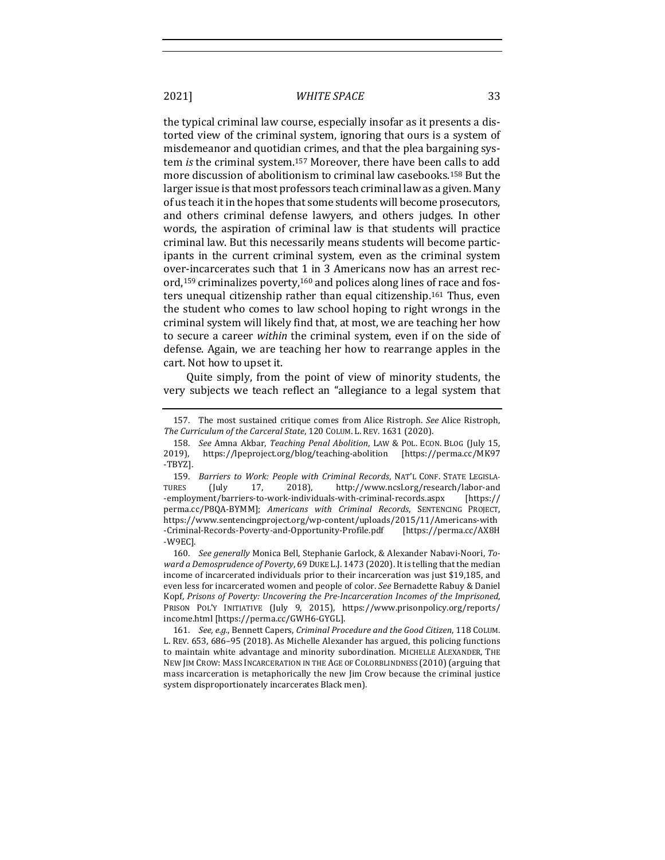the typical criminal law course, especially insofar as it presents a distorted view of the criminal system, ignoring that ours is a system of misdemeanor and quotidian crimes, and that the plea bargaining system *is* the criminal system.<sup>157</sup> Moreover, there have been calls to add more discussion of abolitionism to criminal law casebooks.<sup>158</sup> But the larger issue is that most professors teach criminal law as a given. Many of us teach it in the hopes that some students will become prosecutors, and others criminal defense lawyers, and others judges. In other words, the aspiration of criminal law is that students will practice criminal law. But this necessarily means students will become participants in the current criminal system, even as the criminal system over-incarcerates such that 1 in 3 Americans now has an arrest record,<sup>159</sup> criminalizes poverty,<sup>160</sup> and polices along lines of race and fosters unequal citizenship rather than equal citizenship.<sup>161</sup> Thus, even the student who comes to law school hoping to right wrongs in the criminal system will likely find that, at most, we are teaching her how to secure a career *within* the criminal system, even if on the side of defense. Again, we are teaching her how to rearrange apples in the cart. Not how to upset it.

Quite simply, from the point of view of minority students, the very subjects we teach reflect an "allegiance to a legal system that

160. See generally Monica Bell, Stephanie Garlock, & Alexander Nabavi-Noori, Toward a Demosprudence of Poverty, 69 DUKE L.J. 1473 (2020). It is telling that the median income of incarcerated individuals prior to their incarceration was just \$19,185, and even less for incarcerated women and people of color. *See* Bernadette Rabuy & Daniel Kopf, Prisons of Poverty: Uncovering the Pre-Incarceration Incomes of the Imprisoned, PRISON POL'Y INITIATIVE (July 9, 2015), https://www.prisonpolicy.org/reports/ income.html [https://perma.cc/GWH6-GYGL].

<sup>157.</sup> The most sustained critique comes from Alice Ristroph. See Alice Ristroph, The Curriculum of the Carceral State, 120 COLUM. L. REV. 1631 (2020).

<sup>158.</sup> *See* Amna Akbar, *Teaching Penal Abolition*, LAW & POL. ECON. BLOG (July 15, 2019), https://lpeproject.org/blog/teaching-abolition [https://perma.cc/MK97 -TBYZ].

<sup>159.</sup> *Barriers to Work: People with Criminal Records*, NAT'L CONF. STATE LEGISLA-TURES (July 17, 2018), http://www.ncsl.org/research/labor-and -employment/barriers-to-work-individuals-with-criminal-records.aspx [https:// perma.cc/P8QA-BYMM]; *Americans with Criminal Records*, SENTENCING PROJECT, https://www.sentencingproject.org/wp-content/uploads/2015/11/Americans-with -Criminal-Records-Poverty-and-Opportunity-Profile.pdf [https://perma.cc/AX8H -W9EC].

<sup>161.</sup> *See, e.g.*, Bennett Capers, *Criminal Procedure and the Good Citizen*, 118 COLUM. L. REV. 653, 686–95 (2018). As Michelle Alexander has argued, this policing functions to maintain white advantage and minority subordination. MICHELLE ALEXANDER, THE NEW JIM CROW: MASS INCARCERATION IN THE AGE OF COLORBLINDNESS (2010) (arguing that mass incarceration is metaphorically the new Jim Crow because the criminal justice system disproportionately incarcerates Black men).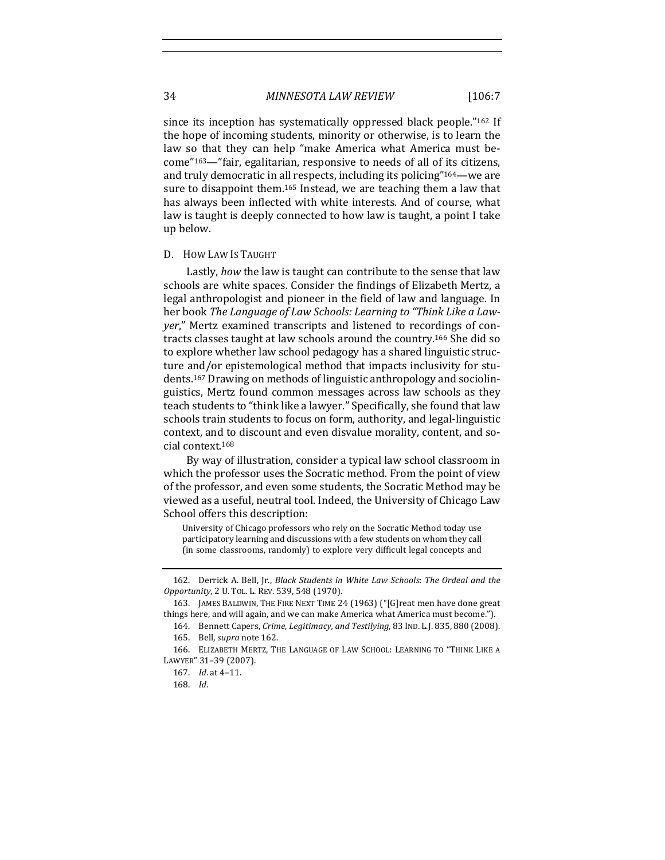since its inception has systematically oppressed black people."162 If the hope of incoming students, minority or otherwise, is to learn the law so that they can help "make America what America must become"<sup>163</sup>—"fair, egalitarian, responsive to needs of all of its citizens, and truly democratic in all respects, including its policing"<sup>164</sup>—we are sure to disappoint them.<sup>165</sup> Instead, we are teaching them a law that has always been inflected with white interests. And of course, what law is taught is deeply connected to how law is taught, a point I take up below.

#### D. How Law Is Taught

Lastly, *how* the law is taught can contribute to the sense that law schools are white spaces. Consider the findings of Elizabeth Mertz, a legal anthropologist and pioneer in the field of law and language. In her book *The Language of Law Schools: Learning to "Think Like a Lawyer*," Mertz examined transcripts and listened to recordings of contracts classes taught at law schools around the country.<sup>166</sup> She did so to explore whether law school pedagogy has a shared linguistic structure and/or epistemological method that impacts inclusivity for students.<sup>167</sup> Drawing on methods of linguistic anthropology and sociolinguistics, Mertz found common messages across law schools as they teach students to "think like a lawyer." Specifically, she found that law schools train students to focus on form, authority, and legal-linguistic context, and to discount and even disvalue morality, content, and social context.<sup>168</sup>

By way of illustration, consider a typical law school classroom in which the professor uses the Socratic method. From the point of view of the professor, and even some students, the Socratic Method may be viewed as a useful, neutral tool. Indeed, the University of Chicago Law School offers this description:

University of Chicago professors who rely on the Socratic Method today use participatory learning and discussions with a few students on whom they call (in some classrooms, randomly) to explore very difficult legal concepts and

<sup>162.</sup> Derrick A. Bell, Jr., *Black Students in White Law Schools: The Ordeal and the Opportunity*, 2 U. TOL. L. REV. 539, 548 (1970).

<sup>163.</sup> JAMES BALDWIN, THE FIRE NEXT TIME 24 (1963) ("[G]reat men have done great things here, and will again, and we can make America what America must become.").

<sup>164.</sup> Bennett Capers, *Crime, Legitimacy, and Testilying*, 83 IND. L.J. 835, 880 (2008). 165. Bell, *supra* note 162.

<sup>166.</sup> ELIZABETH MERTZ, THE LANGUAGE OF LAW SCHOOL: LEARNING TO "THINK LIKE A LAWYER" 31-39 (2007).

<sup>167.</sup> *Id.* at 4-11.

<sup>168.</sup> *Id*.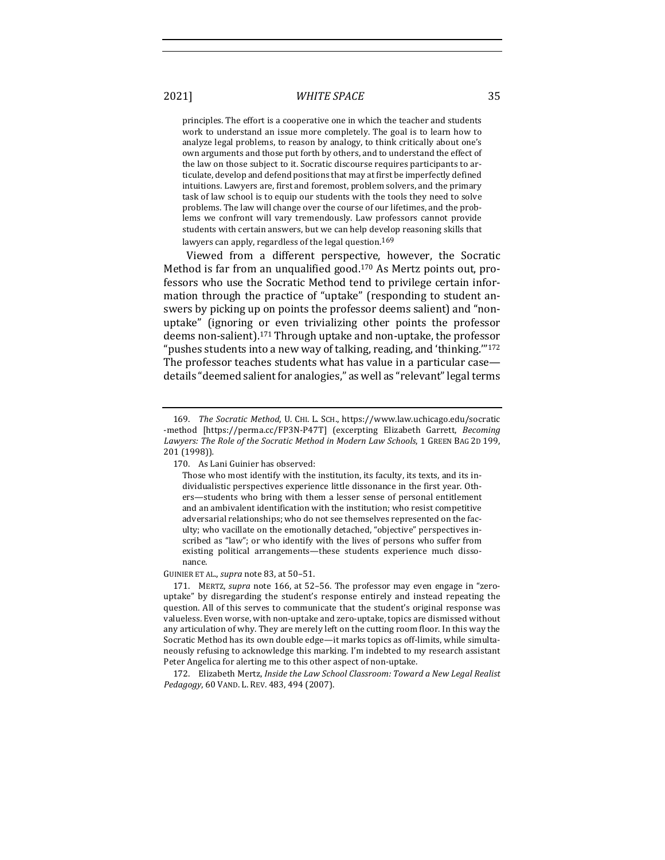principles. The effort is a cooperative one in which the teacher and students work to understand an issue more completely. The goal is to learn how to analyze legal problems, to reason by analogy, to think critically about one's own arguments and those put forth by others, and to understand the effect of the law on those subject to it. Socratic discourse requires participants to articulate, develop and defend positions that may at first be imperfectly defined intuitions. Lawyers are, first and foremost, problem solvers, and the primary task of law school is to equip our students with the tools they need to solve problems. The law will change over the course of our lifetimes, and the problems we confront will vary tremendously. Law professors cannot provide students with certain answers, but we can help develop reasoning skills that lawyers can apply, regardless of the legal question.<sup>169</sup>

Viewed from a different perspective, however, the Socratic Method is far from an unqualified good.<sup>170</sup> As Mertz points out, professors who use the Socratic Method tend to privilege certain information through the practice of "uptake" (responding to student answers by picking up on points the professor deems salient) and "nonuptake" (ignoring or even trivializing other points the professor deems non-salient).<sup>171</sup> Through uptake and non-uptake, the professor " pushes students into a new way of talking, reading, and 'thinking."  $172$ The professor teaches students what has value in a particular case details "deemed salient for analogies," as well as "relevant" legal terms

GUINIER ET AL., *supra* note 83, at 50-51.

171. MERTZ, *supra* note 166, at 52-56. The professor may even engage in "zerouptake" by disregarding the student's response entirely and instead repeating the question. All of this serves to communicate that the student's original response was valueless. Even worse, with non-uptake and zero-uptake, topics are dismissed without any articulation of why. They are merely left on the cutting room floor. In this way the Socratic Method has its own double edge-it marks topics as off-limits, while simultaneously refusing to acknowledge this marking. I'm indebted to my research assistant Peter Angelica for alerting me to this other aspect of non-uptake.

172. Elizabeth Mertz, *Inside the Law School Classroom: Toward a New Legal Realist* Pedagogy, 60 VAND. L. REV. 483, 494 (2007).

<sup>169.</sup> *The Socratic Method*, U. CHI. L. SCH., https://www.law.uchicago.edu/socratic -method [https://perma.cc/FP3N-P47T] (excerpting Elizabeth Garrett, *Becoming* Lawyers: The Role of the Socratic Method in Modern Law Schools, 1 GREEN BAG 2D 199, 201 (1998))*.*

<sup>170.</sup> As Lani Guinier has observed:

Those who most identify with the institution, its faculty, its texts, and its individualistic perspectives experience little dissonance in the first year. Others-students who bring with them a lesser sense of personal entitlement and an ambivalent identification with the institution; who resist competitive adversarial relationships; who do not see themselves represented on the faculty; who vacillate on the emotionally detached, "objective" perspectives inscribed as "law"; or who identify with the lives of persons who suffer from existing political arrangements—these students experience much dissonance.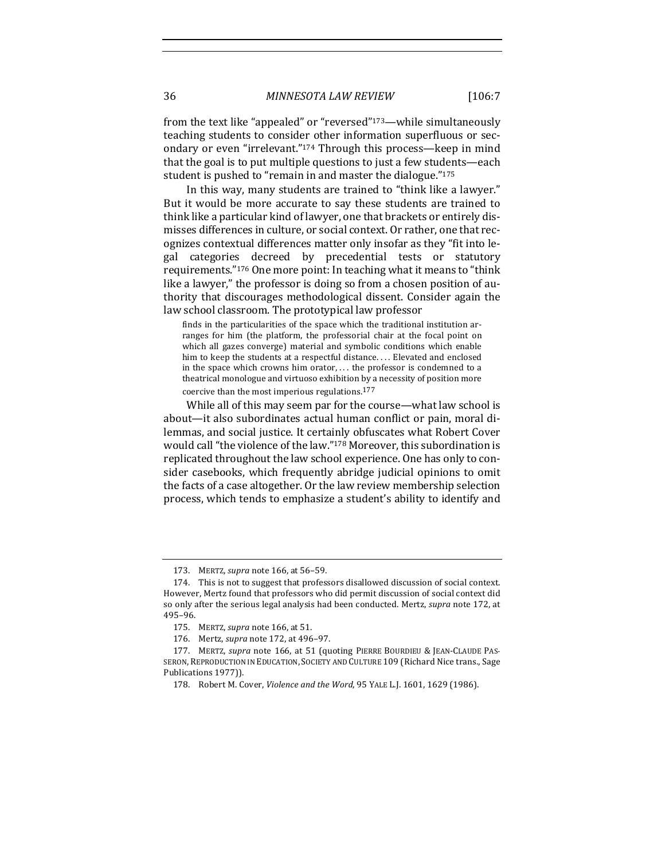from the text like "appealed" or "reversed"<sup>173</sup>—while simultaneously teaching students to consider other information superfluous or secondary or even "irrelevant."<sup>174</sup> Through this process—keep in mind that the goal is to put multiple questions to just a few students—each student is pushed to "remain in and master the dialogue."<sup>175</sup>

In this way, many students are trained to "think like a lawyer." But it would be more accurate to say these students are trained to think like a particular kind of lawyer, one that brackets or entirely dismisses differences in culture, or social context. Or rather, one that recognizes contextual differences matter only insofar as they "fit into legal categories decreed by precedential tests or statutory requirements."<sup>176</sup> One more point: In teaching what it means to "think like a lawyer," the professor is doing so from a chosen position of authority that discourages methodological dissent. Consider again the law school classroom. The prototypical law professor

finds in the particularities of the space which the traditional institution arranges for him (the platform, the professorial chair at the focal point on which all gazes converge) material and symbolic conditions which enable him to keep the students at a respectful distance.... Elevated and enclosed in the space which crowns him orator, ... the professor is condemned to a theatrical monologue and virtuoso exhibition by a necessity of position more coercive than the most imperious regulations. $177$ 

While all of this may seem par for the course—what law school is about—it also subordinates actual human conflict or pain, moral dilemmas, and social justice. It certainly obfuscates what Robert Cover would call "the violence of the law."<sup>178</sup> Moreover, this subordination is replicated throughout the law school experience. One has only to consider casebooks, which frequently abridge judicial opinions to omit the facts of a case altogether. Or the law review membership selection process, which tends to emphasize a student's ability to identify and

<sup>173.</sup> MERTZ, *supra* note 166, at 56-59.

<sup>174.</sup> This is not to suggest that professors disallowed discussion of social context. However, Mertz found that professors who did permit discussion of social context did so only after the serious legal analysis had been conducted. Mertz, *supra* note 172, at 495–96.

<sup>175.</sup> MERTZ, *supra* note 166, at 51.

<sup>176.</sup> Mertz, *supra* note 172, at 496-97.

<sup>177.</sup> MERTZ, *supra* note 166, at 51 (quoting PIERRE BOURDIEU & JEAN-CLAUDE PAS-SERON, REPRODUCTION IN EDUCATION, SOCIETY AND CULTURE 109 (Richard Nice trans., Sage Publications 1977)).

<sup>178.</sup> Robert M. Cover, *Violence and the Word*, 95 YALE L.J. 1601, 1629 (1986).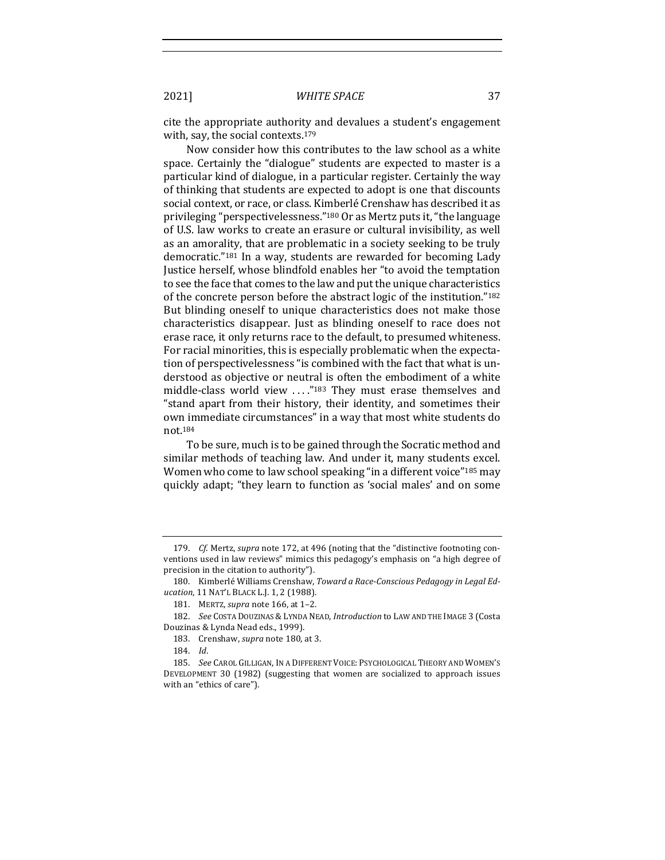cite the appropriate authority and devalues a student's engagement with, say, the social contexts. $179$ 

Now consider how this contributes to the law school as a white space. Certainly the "dialogue" students are expected to master is a particular kind of dialogue, in a particular register. Certainly the way of thinking that students are expected to adopt is one that discounts social context, or race, or class. Kimberlé Crenshaw has described it as privileging "perspectivelessness."<sup>180</sup> Or as Mertz puts it, "the language of U.S. law works to create an erasure or cultural invisibility, as well as an amorality, that are problematic in a society seeking to be truly democratic."<sup>181</sup> In a way, students are rewarded for becoming Lady Justice herself, whose blindfold enables her "to avoid the temptation to see the face that comes to the law and put the unique characteristics of the concrete person before the abstract logic of the institution."<sup>182</sup> But blinding oneself to unique characteristics does not make those characteristics disappear. Just as blinding oneself to race does not erase race, it only returns race to the default, to presumed whiteness. For racial minorities, this is especially problematic when the expectation of perspectivelessness "is combined with the fact that what is understood as objective or neutral is often the embodiment of a white middle-class world view ...."<sup>183</sup> They must erase themselves and "stand apart from their history, their identity, and sometimes their own immediate circumstances" in a way that most white students do not.184

To be sure, much is to be gained through the Socratic method and similar methods of teaching law. And under it, many students excel. Women who come to law school speaking "in a different voice"<sup>185</sup> may quickly adapt; "they learn to function as 'social males' and on some

<sup>179.</sup> *Cf.* Mertz, *supra* note 172, at 496 (noting that the "distinctive footnoting conventions used in law reviews" mimics this pedagogy's emphasis on "a high degree of precision in the citation to authority").

<sup>180.</sup> Kimberlé Williams Crenshaw, Toward a Race-Conscious Pedagogy in Legal Ed*ucation*, 11 NAT'L BLACK L.J. 1, 2 (1988).

<sup>181.</sup> MERTZ, *supra* note 166, at 1-2.

<sup>182.</sup> *See* COSTA DOUZINAS & LYNDA NEAD, *Introduction* to LAW AND THE IMAGE 3 (Costa Douzinas & Lynda Nead eds., 1999).

<sup>183.</sup> Crenshaw, *supra* note 180, at 3.

<sup>184.</sup> *Id*.

<sup>185.</sup> *See* CAROL GILLIGAN, IN A DIFFERENT VOICE: PSYCHOLOGICAL THEORY AND WOMEN'S DEVELOPMENT 30 (1982) (suggesting that women are socialized to approach issues with an "ethics of care").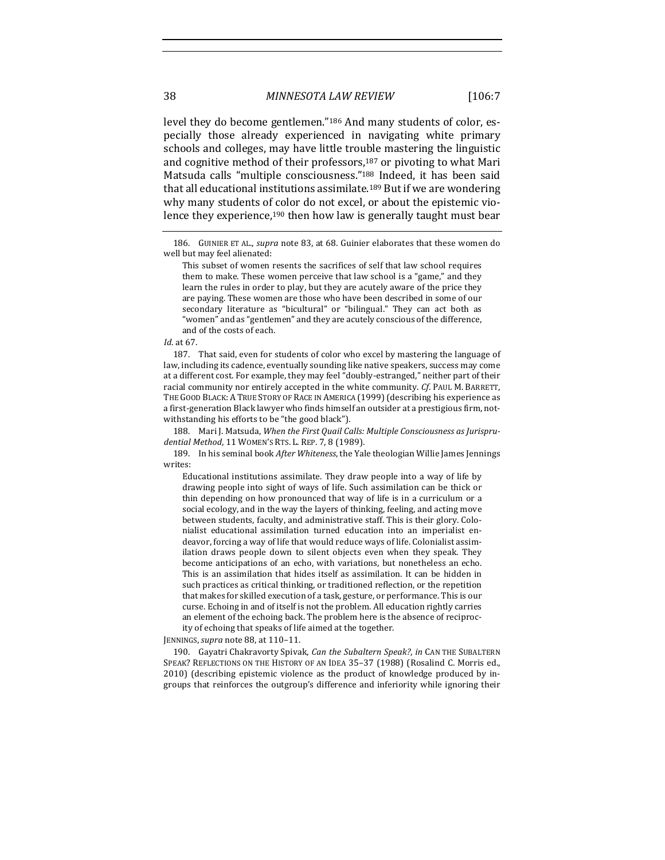level they do become gentlemen."<sup>186</sup> And many students of color, especially those already experienced in navigating white primary schools and colleges, may have little trouble mastering the linguistic and cognitive method of their professors,  $187$  or pivoting to what Mari Matsuda calls "multiple consciousness."<sup>188</sup> Indeed, it has been said that all educational institutions assimilate.<sup>189</sup> But if we are wondering why many students of color do not excel, or about the epistemic violence they experience,<sup>190</sup> then how law is generally taught must bear

*Id.* at 67.

187. That said, even for students of color who excel by mastering the language of law, including its cadence, eventually sounding like native speakers, success may come at a different cost. For example, they may feel "doubly-estranged," neither part of their racial community nor entirely accepted in the white community. *Cf.* PAUL M. BARRETT, THE GOOD BLACK: A TRUE STORY OF RACE IN AMERICA (1999) (describing his experience as a first-generation Black lawyer who finds himself an outsider at a prestigious firm, notwithstanding his efforts to be "the good black").

188. Mari J. Matsuda, When the First Quail Calls: Multiple Consciousness as Jurispru*dential Method*, 11 WOMEN'S RTS. L. REP. 7, 8 (1989).

189. In his seminal book After Whiteness, the Yale theologian Willie James Jennings writes:

Educational institutions assimilate. They draw people into a way of life by drawing people into sight of ways of life. Such assimilation can be thick or thin depending on how pronounced that way of life is in a curriculum or a social ecology, and in the way the layers of thinking, feeling, and acting move between students, faculty, and administrative staff. This is their glory. Colonialist educational assimilation turned education into an imperialist endeavor, forcing a way of life that would reduce ways of life. Colonialist assimilation draws people down to silent objects even when they speak. They become anticipations of an echo, with variations, but nonetheless an echo. This is an assimilation that hides itself as assimilation. It can be hidden in such practices as critical thinking, or traditioned reflection, or the repetition that makes for skilled execution of a task, gesture, or performance. This is our curse. Echoing in and of itself is not the problem. All education rightly carries an element of the echoing back. The problem here is the absence of reciprocity of echoing that speaks of life aimed at the together.

JENNINGS, supra note 88, at 110-11.

190. Gayatri Chakravorty Spivak, *Can the Subaltern Speak?*, *in* CAN THE SUBALTERN SPEAK? REFLECTIONS ON THE HISTORY OF AN IDEA 35-37 (1988) (Rosalind C. Morris ed., 2010) (describing epistemic violence as the product of knowledge produced by ingroups that reinforces the outgroup's difference and inferiority while ignoring their

<sup>186.</sup> GUINIER ET AL., *supra* note 83, at 68. Guinier elaborates that these women do well but may feel alienated:

This subset of women resents the sacrifices of self that law school requires them to make. These women perceive that law school is a "game," and they learn the rules in order to play, but they are acutely aware of the price they are paying. These women are those who have been described in some of our secondary literature as "bicultural" or "bilingual." They can act both as "women" and as "gentlemen" and they are acutely conscious of the difference, and of the costs of each.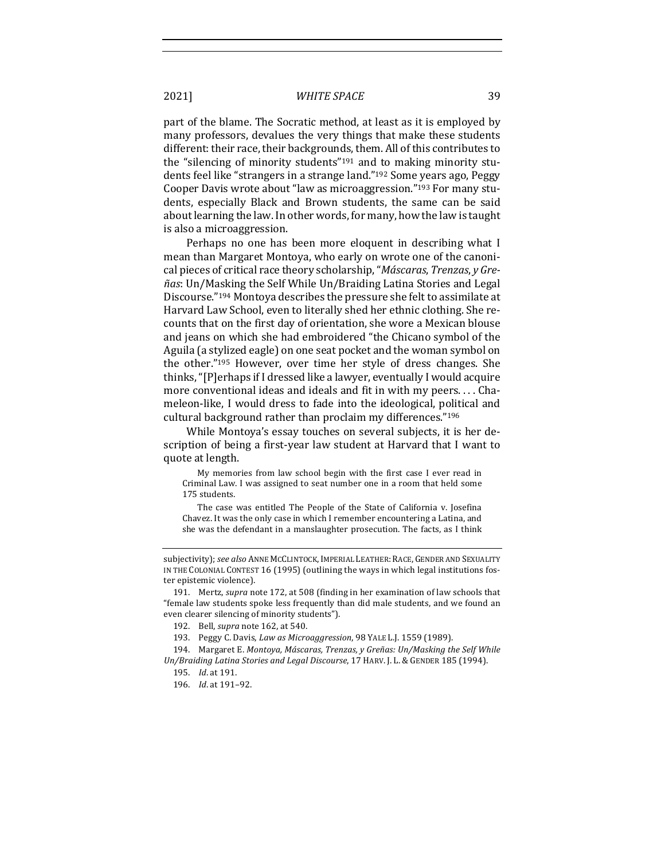part of the blame. The Socratic method, at least as it is employed by many professors, devalues the very things that make these students different: their race, their backgrounds, them. All of this contributes to the "silencing of minority students"<sup>191</sup> and to making minority students feel like "strangers in a strange land."<sup>192</sup> Some years ago, Peggy Cooper Davis wrote about "law as microaggression."<sup>193</sup> For many students, especially Black and Brown students, the same can be said about learning the law. In other words, for many, how the law is taught is also a microaggression.

Perhaps no one has been more eloquent in describing what I mean than Margaret Montoya, who early on wrote one of the canonical pieces of critical race theory scholarship, "*Máscaras*, *Trenzas*, *y* Gre- $\tilde{n}$ as: Un/Masking the Self While Un/Braiding Latina Stories and Legal Discourse."<sup>194</sup> Montoya describes the pressure she felt to assimilate at Harvard Law School, even to literally shed her ethnic clothing. She recounts that on the first day of orientation, she wore a Mexican blouse and jeans on which she had embroidered "the Chicano symbol of the Aguila (a stylized eagle) on one seat pocket and the woman symbol on the other."<sup>195</sup> However, over time her style of dress changes. She thinks, "[P]erhaps if I dressed like a lawyer, eventually I would acquire more conventional ideas and ideals and fit in with my peers.... Chameleon-like, I would dress to fade into the ideological, political and cultural background rather than proclaim my differences."<sup>196</sup>

While Montoya's essay touches on several subjects, it is her description of being a first-year law student at Harvard that I want to quote at length.

My memories from law school begin with the first case I ever read in Criminal Law. I was assigned to seat number one in a room that held some 175 students.

The case was entitled The People of the State of California v. Josefina Chavez. It was the only case in which I remember encountering a Latina, and she was the defendant in a manslaughter prosecution. The facts, as I think

subjectivity); see also ANNE MCCLINTOCK, IMPERIAL LEATHER: RACE, GENDER AND SEXUALITY IN THE COLONIAL CONTEST 16  $(1995)$  (outlining the ways in which legal institutions foster epistemic violence).

<sup>191.</sup> Mertz, *supra* note 172, at 508 (finding in her examination of law schools that "female law students spoke less frequently than did male students, and we found an even clearer silencing of minority students").

<sup>192.</sup> Bell, *supra* note 162, at 540.

<sup>193.</sup> Peggy C. Davis, *Law as Microaggression*, 98 YALE L.J. 1559 (1989).

<sup>194.</sup> Margaret E. Montoya, Máscaras, Trenzas, y Greñas: Un/Masking the Self While Un/Braiding Latina Stories and Legal Discourse, 17 HARV. J. L. & GENDER 185 (1994).

<sup>195.</sup> *Id.* at 191.

<sup>196.</sup> *Id.* at 191-92.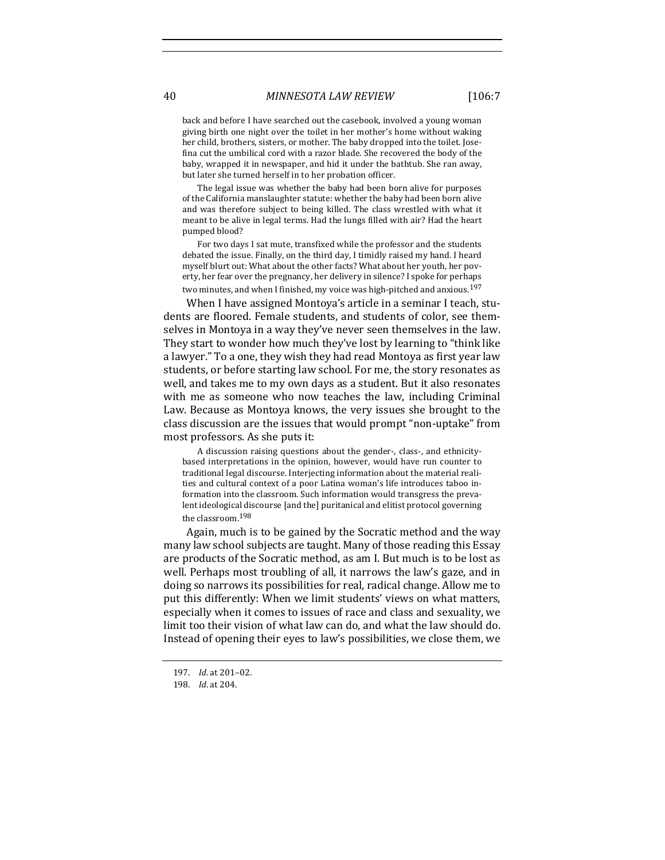back and before I have searched out the casebook, involved a young woman giving birth one night over the toilet in her mother's home without waking her child, brothers, sisters, or mother. The baby dropped into the toilet. Josefina cut the umbilical cord with a razor blade. She recovered the body of the baby, wrapped it in newspaper, and hid it under the bathtub. She ran away, but later she turned herself in to her probation officer.

The legal issue was whether the baby had been born alive for purposes of the California manslaughter statute: whether the baby had been born alive and was therefore subject to being killed. The class wrestled with what it meant to be alive in legal terms. Had the lungs filled with air? Had the heart pumped blood?

For two days I sat mute, transfixed while the professor and the students debated the issue. Finally, on the third day, I timidly raised my hand. I heard myself blurt out: What about the other facts? What about her youth, her poverty, her fear over the pregnancy, her delivery in silence? I spoke for perhaps two minutes, and when I finished, my voice was high-pitched and anxious.<sup>197</sup>

When I have assigned Montoya's article in a seminar I teach, students are floored. Female students, and students of color, see themselves in Montoya in a way they've never seen themselves in the law. They start to wonder how much they've lost by learning to "think like" a lawyer." To a one, they wish they had read Montoya as first year law students, or before starting law school. For me, the story resonates as well, and takes me to my own days as a student. But it also resonates with me as someone who now teaches the law, including Criminal Law. Because as Montoya knows, the very issues she brought to the class discussion are the issues that would prompt "non-uptake" from most professors. As she puts it:

A discussion raising questions about the gender-, class-, and ethnicitybased interpretations in the opinion, however, would have run counter to traditional legal discourse. Interjecting information about the material realities and cultural context of a poor Latina woman's life introduces taboo information into the classroom. Such information would transgress the prevalent ideological discourse [and the] puritanical and elitist protocol governing the classroom.<sup>198</sup>

Again, much is to be gained by the Socratic method and the way many law school subjects are taught. Many of those reading this Essay are products of the Socratic method, as am I. But much is to be lost as well. Perhaps most troubling of all, it narrows the law's gaze, and in doing so narrows its possibilities for real, radical change. Allow me to put this differently: When we limit students' views on what matters, especially when it comes to issues of race and class and sexuality, we limit too their vision of what law can do, and what the law should do. Instead of opening their eyes to law's possibilities, we close them, we

<sup>197.</sup> *Id*. at 201-02.

<sup>198.</sup> *Id.* at 204.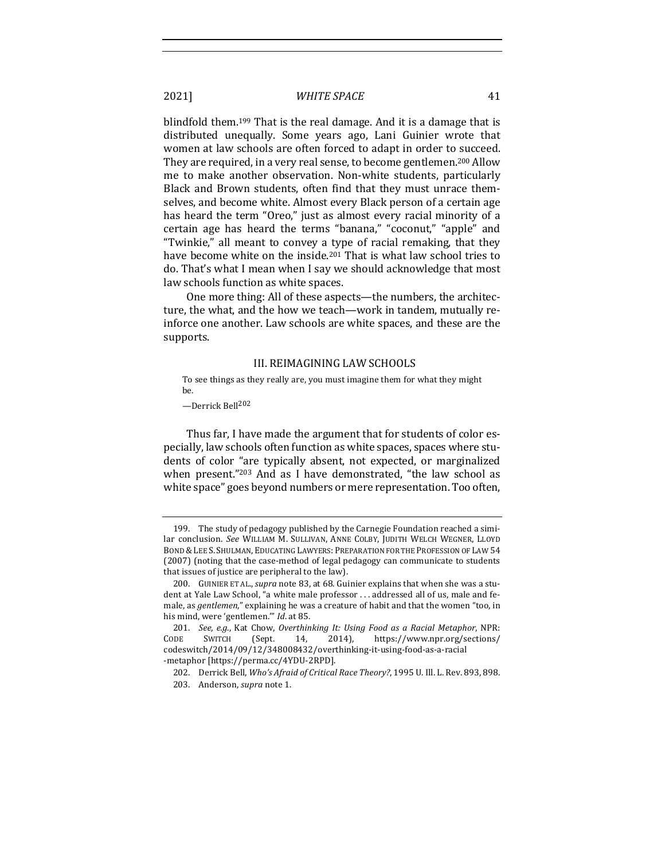blindfold them.<sup>199</sup> That is the real damage. And it is a damage that is distributed unequally. Some years ago, Lani Guinier wrote that women at law schools are often forced to adapt in order to succeed. They are required, in a very real sense, to become gentlemen.<sup>200</sup> Allow me to make another observation. Non-white students, particularly Black and Brown students, often find that they must unrace themselves, and become white. Almost every Black person of a certain age has heard the term "Oreo," just as almost every racial minority of a certain age has heard the terms "banana," "coconut," "apple" and "Twinkie," all meant to convey a type of racial remaking, that they have become white on the inside.<sup>201</sup> That is what law school tries to do. That's what I mean when I say we should acknowledge that most law schools function as white spaces.

One more thing: All of these aspects—the numbers, the architecture, the what, and the how we teach—work in tandem, mutually reinforce one another. Law schools are white spaces, and these are the supports.

#### III. REIMAGINING LAW SCHOOLS

To see things as they really are, you must imagine them for what they might be.

—Derrick Bell202

Thus far, I have made the argument that for students of color especially, law schools often function as white spaces, spaces where students of color "are typically absent, not expected, or marginalized when present."<sup>203</sup> And as I have demonstrated, "the law school as white space" goes beyond numbers or mere representation. Too often,

<sup>199.</sup> The study of pedagogy published by the Carnegie Foundation reached a similar conclusion. See WILLIAM M. SULLIVAN, ANNE COLBY, JUDITH WELCH WEGNER, LLOYD BOND & LEE S. SHULMAN, EDUCATING LAWYERS: PREPARATION FOR THE PROFESSION OF LAW 54 (2007) (noting that the case-method of legal pedagogy can communicate to students that issues of justice are peripheral to the law).

<sup>200.</sup> GUINIER ET AL., *supra* note 83, at 68. Guinier explains that when she was a student at Yale Law School, "a white male professor ... addressed all of us, male and female, as *gentlemen*," explaining he was a creature of habit and that the women "too, in his mind, were 'gentlemen.'" *Id.* at 85.

<sup>201.</sup> *See, e.g.*, Kat Chow, Overthinking It: Using Food as a Racial Metaphor, NPR: CODE SWITCH (Sept. 14, 2014), https://www.npr.org/sections/ codeswitch/2014/09/12/348008432/overthinking-it-using-food-as-a-racial -metaphor [https://perma.cc/4YDU-2RPD].

<sup>202.</sup> Derrick Bell, *Who's Afraid of Critical Race Theory?*, 1995 U. Ill. L. Rev. 893, 898. 203. Anderson, *supra* note 1.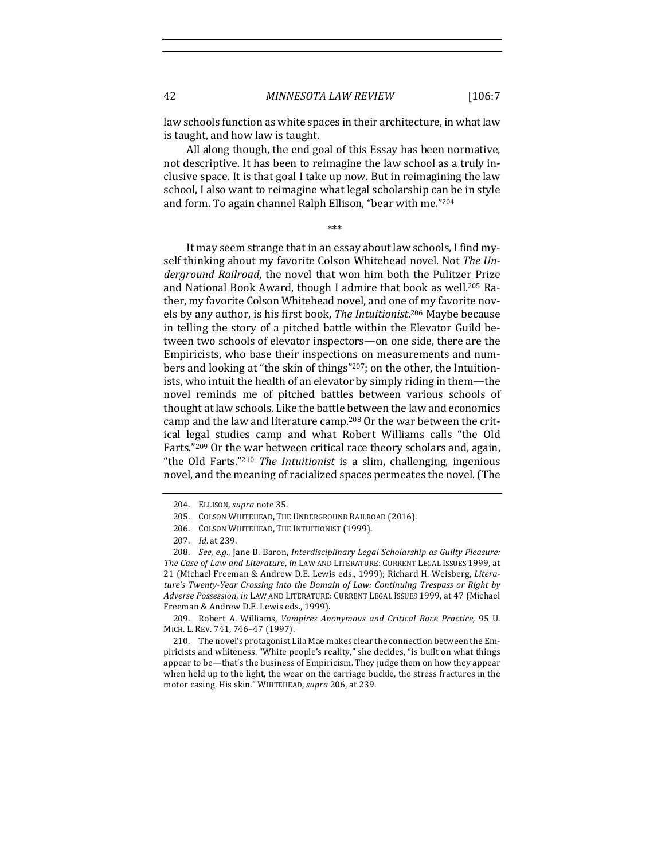law schools function as white spaces in their architecture, in what law is taught, and how law is taught.

All along though, the end goal of this Essay has been normative, not descriptive. It has been to reimagine the law school as a truly inclusive space. It is that goal I take up now. But in reimagining the law school, I also want to reimagine what legal scholarship can be in style and form. To again channel Ralph Ellison, "bear with me."204

 \*\*\* 

It may seem strange that in an essay about law schools, I find myself thinking about my favorite Colson Whitehead novel. Not *The Un*derground Railroad, the novel that won him both the Pulitzer Prize and National Book Award, though I admire that book as well.<sup>205</sup> Rather, my favorite Colson Whitehead novel, and one of my favorite novels by any author, is his first book, The Intuitionist.<sup>206</sup> Maybe because in telling the story of a pitched battle within the Elevator Guild between two schools of elevator inspectors—on one side, there are the Empiricists, who base their inspections on measurements and numbers and looking at "the skin of things"<sup>207</sup>; on the other, the Intuitionists, who intuit the health of an elevator by simply riding in them—the novel reminds me of pitched battles between various schools of thought at law schools. Like the battle between the law and economics camp and the law and literature camp.<sup>208</sup> Or the war between the critical legal studies camp and what Robert Williams calls "the Old Farts."209 Or the war between critical race theory scholars and, again, "the Old Farts."<sup>210</sup> *The Intuitionist* is a slim, challenging, ingenious novel, and the meaning of racialized spaces permeates the novel. (The

209. Robert A. Williams, *Vampires Anonymous and Critical Race Practice*, 95 U. MICH. L. REV. 741, 746-47 (1997).

210. The novel's protagonist Lila Mae makes clear the connection between the Empiricists and whiteness. "White people's reality," she decides, "is built on what things appear to be—that's the business of Empiricism. They judge them on how they appear when held up to the light, the wear on the carriage buckle, the stress fractures in the motor casing. His skin." WHITEHEAD, *supra* 206, at 239.

<sup>204.</sup> ELLISON, *supra* note 35.

<sup>205.</sup> COLSON WHITEHEAD, THE UNDERGROUND RAILROAD (2016).

<sup>206.</sup> COLSON WHITEHEAD, THE INTUITIONIST (1999).

<sup>207.</sup> *Id.* at 239.

<sup>208.</sup> *See, e.g.*, Jane B. Baron, Interdisciplinary Legal Scholarship as Guilty Pleasure: *The Case of Law and Literature, in LAW AND LITERATURE: CURRENT LEGAL ISSUES 1999, at* 21 (Michael Freeman & Andrew D.E. Lewis eds., 1999); Richard H. Weisberg, Litera*ture's* Twenty-Year Crossing into the Domain of Law: Continuing Trespass or Right by Adverse Possession, in LAW AND LITERATURE: CURRENT LEGAL ISSUES 1999, at 47 (Michael Freeman & Andrew D.E. Lewis eds., 1999).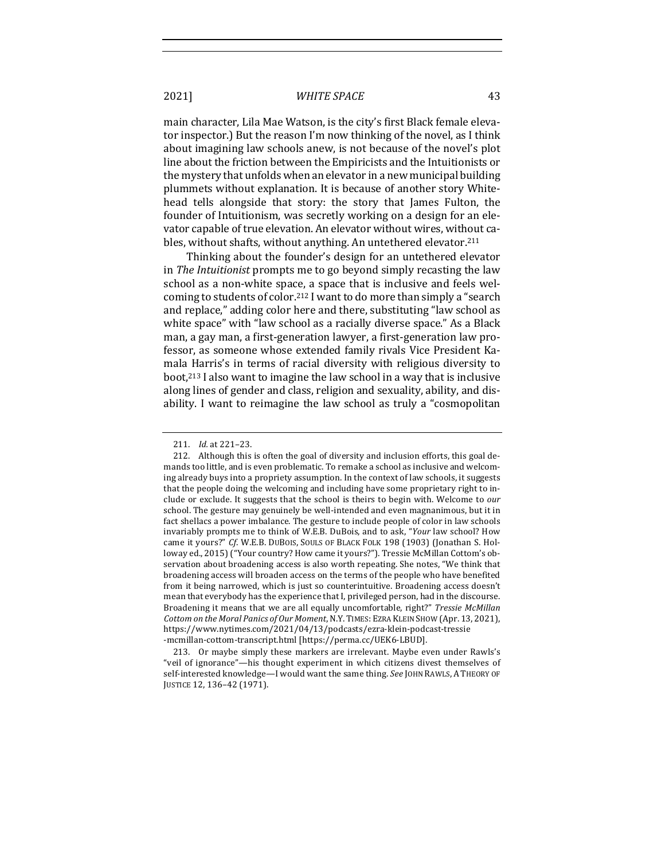main character, Lila Mae Watson, is the city's first Black female elevator inspector.) But the reason I'm now thinking of the novel, as I think about imagining law schools anew, is not because of the novel's plot line about the friction between the Empiricists and the Intuitionists or the mystery that unfolds when an elevator in a new municipal building plummets without explanation. It is because of another story Whitehead tells alongside that story: the story that James Fulton, the founder of Intuitionism, was secretly working on a design for an elevator capable of true elevation. An elevator without wires, without cables, without shafts, without anything. An untethered elevator.<sup>211</sup>

Thinking about the founder's design for an untethered elevator in *The Intuitionist* prompts me to go beyond simply recasting the law school as a non-white space, a space that is inclusive and feels welcoming to students of color.<sup>212</sup> I want to do more than simply a "search and replace," adding color here and there, substituting "law school as white space" with "law school as a racially diverse space." As a Black man, a gay man, a first-generation lawyer, a first-generation law professor, as someone whose extended family rivals Vice President Kamala Harris's in terms of racial diversity with religious diversity to boot, $213$  I also want to imagine the law school in a way that is inclusive along lines of gender and class, religion and sexuality, ability, and disability. I want to reimagine the law school as truly a "cosmopolitan

213. Or maybe simply these markers are irrelevant. Maybe even under Rawls's "veil of ignorance"—his thought experiment in which citizens divest themselves of self-interested knowledge—I would want the same thing. See JOHN RAWLS, A THEORY OF JUSTICE 12, 136-42 (1971).

<sup>211.</sup> *Id.* at 221-23.

<sup>212.</sup> Although this is often the goal of diversity and inclusion efforts, this goal demands too little, and is even problematic. To remake a school as inclusive and welcoming already buys into a propriety assumption. In the context of law schools, it suggests that the people doing the welcoming and including have some proprietary right to include or exclude. It suggests that the school is theirs to begin with. Welcome to *our* school. The gesture may genuinely be well-intended and even magnanimous, but it in fact shellacs a power imbalance. The gesture to include people of color in law schools invariably prompts me to think of W.E.B. DuBois, and to ask, "Your law school? How came it yours?" *Cf.* W.E.B. DUBOIS, SOULS OF BLACK FOLK 198 (1903) (Jonathan S. Holloway ed., 2015) ("Your country? How came it yours?"). Tressie McMillan Cottom's observation about broadening access is also worth repeating. She notes, "We think that broadening access will broaden access on the terms of the people who have benefited from it being narrowed, which is just so counterintuitive. Broadening access doesn't mean that everybody has the experience that I, privileged person, had in the discourse. Broadening it means that we are all equally uncomfortable, right?" *Tressie McMillan Cottom on the Moral Panics of Our Moment*, N.Y. TIMES: EZRA KLEIN SHOW (Apr. 13, 2021), https://www.nytimes.com/2021/04/13/podcasts/ezra-klein-podcast-tressie -mcmillan-cottom-transcript.html [https://perma.cc/UEK6-LBUD].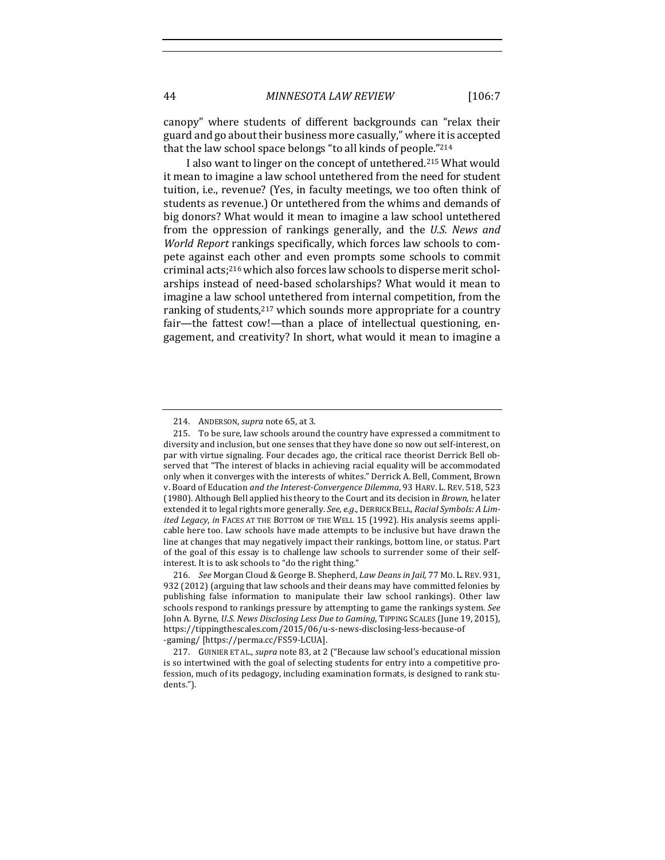canopy" where students of different backgrounds can "relax their guard and go about their business more casually," where it is accepted that the law school space belongs "to all kinds of people."214

I also want to linger on the concept of untethered.<sup>215</sup> What would it mean to imagine a law school untethered from the need for student tuition, i.e., revenue? (Yes, in faculty meetings, we too often think of students as revenue.) Or untethered from the whims and demands of big donors? What would it mean to imagine a law school untethered from the oppression of rankings generally, and the *U.S. News and World Report* rankings specifically, which forces law schools to compete against each other and even prompts some schools to commit criminal  $\arctan(216)$  which also forces law schools to disperse merit scholarships instead of need-based scholarships? What would it mean to imagine a law school untethered from internal competition, from the ranking of students,<sup>217</sup> which sounds more appropriate for a country fair—the fattest cow!—than a place of intellectual questioning, engagement, and creativity? In short, what would it mean to imagine a

<sup>214.</sup> ANDERSON, *supra* note 65, at 3.

<sup>215.</sup> To be sure, law schools around the country have expressed a commitment to diversity and inclusion, but one senses that they have done so now out self-interest, on par with virtue signaling. Four decades ago, the critical race theorist Derrick Bell observed that "The interest of blacks in achieving racial equality will be accommodated only when it converges with the interests of whites." Derrick A. Bell, Comment, Brown v. Board of Education *and the Interest-Convergence Dilemma*, 93 HARV. L. REV. 518, 523 (1980). Although Bell applied his theory to the Court and its decision in *Brown*, he later extended it to legal rights more generally. *See, e.g.*, DERRICK BELL, *Racial Symbols: A Limited Legacy*, *in* FACES AT THE BOTTOM OF THE WELL 15 (1992). His analysis seems applicable here too. Law schools have made attempts to be inclusive but have drawn the line at changes that may negatively impact their rankings, bottom line, or status. Part of the goal of this essay is to challenge law schools to surrender some of their selfinterest. It is to ask schools to "do the right thing."

<sup>216.</sup> *See* Morgan Cloud & George B. Shepherd, *Law Deans in Jail*, 77 Mo. L. REV. 931, 932 (2012) (arguing that law schools and their deans may have committed felonies by publishing false information to manipulate their law school rankings). Other law schools respond to rankings pressure by attempting to game the rankings system. See John A. Byrne, *U.S. News Disclosing Less Due to Gaming*, TIPPING SCALES (June 19, 2015), https://tippingthescales.com/2015/06/u-s-news-disclosing-less-because-of -gaming/ [https://perma.cc/FS59-LCUA].

<sup>217.</sup> GUINIER ET AL., *supra* note 83, at 2 ("Because law school's educational mission is so intertwined with the goal of selecting students for entry into a competitive profession, much of its pedagogy, including examination formats, is designed to rank students.").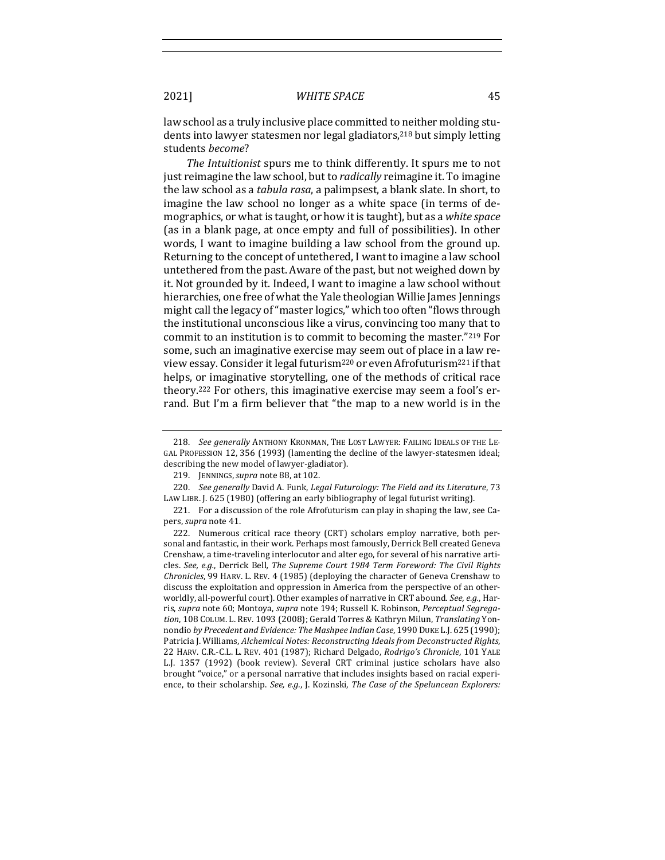law school as a truly inclusive place committed to neither molding students into lawyer statesmen nor legal gladiators,<sup>218</sup> but simply letting students *become*?

*The Intuitionist* spurs me to think differently. It spurs me to not just reimagine the law school, but to *radically* reimagine it. To imagine the law school as a *tabula rasa*, a palimpsest, a blank slate. In short, to imagine the law school no longer as a white space (in terms of demographics, or what is taught, or how it is taught), but as a white space (as in a blank page, at once empty and full of possibilities). In other words, I want to imagine building a law school from the ground up. Returning to the concept of untethered, I want to imagine a law school untethered from the past. Aware of the past, but not weighed down by it. Not grounded by it. Indeed. I want to imagine a law school without hierarchies, one free of what the Yale theologian Willie James Jennings might call the legacy of "master logics," which too often "flows through the institutional unconscious like a virus, convincing too many that to commit to an institution is to commit to becoming the master."219 For some, such an imaginative exercise may seem out of place in a law review essay. Consider it legal futurism<sup>220</sup> or even Afrofuturism<sup>221</sup> if that helps, or imaginative storytelling, one of the methods of critical race theory.<sup>222</sup> For others, this imaginative exercise may seem a fool's errand. But I'm a firm believer that "the map to a new world is in the

<sup>218.</sup> *See generally* ANTHONY KRONMAN, THE LOST LAWYER: FAILING IDEALS OF THE LE-GAL PROFESSION 12, 356 (1993) (lamenting the decline of the lawyer-statesmen ideal; describing the new model of lawyer-gladiator).

<sup>219.</sup> JENNINGS, *supra* note 88, at 102.

<sup>220.</sup> *See generally* David A. Funk, *Legal Futurology: The Field and its Literature*, 73 LAW LIBR. J. 625 (1980) (offering an early bibliography of legal futurist writing).

<sup>221.</sup> For a discussion of the role Afrofuturism can play in shaping the law, see Capers, *supra* note 41.

<sup>222.</sup> Numerous critical race theory (CRT) scholars employ narrative, both personal and fantastic, in their work. Perhaps most famously, Derrick Bell created Geneva Crenshaw, a time-traveling interlocutor and alter ego, for several of his narrative articles. See, e.g., Derrick Bell, The Supreme Court 1984 Term Foreword: The Civil Rights *Chronicles*, 99 HARV. L. REV. 4 (1985) (deploying the character of Geneva Crenshaw to discuss the exploitation and oppression in America from the perspective of an otherworldly, all-powerful court). Other examples of narrative in CRT abound. See, e.g., Harris, supra note 60; Montoya, supra note 194; Russell K. Robinson, Perceptual Segregation, 108 COLUM. L. REV. 1093 (2008); Gerald Torres & Kathryn Milun, *Translating* Yonnondio by Precedent and Evidence: The Mashpee Indian Case, 1990 DUKE L.J. 625 (1990); Patricia J. Williams, *Alchemical Notes: Reconstructing Ideals from Deconstructed Rights*, 22 HARV. C.R.-C.L. L. REV. 401 (1987); Richard Delgado, *Rodrigo's Chronicle*, 101 YALE L.J. 1357 (1992) (book review). Several CRT criminal justice scholars have also brought "voice," or a personal narrative that includes insights based on racial experience, to their scholarship. See, e.g., J. Kozinski, *The Case of the Speluncean Explorers:*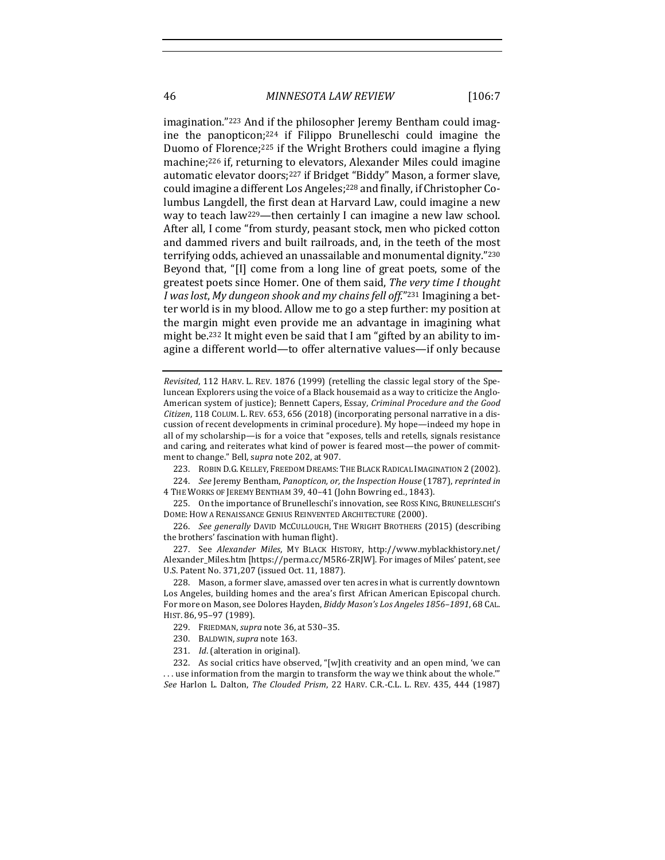46 *MINNESOTA LAW REVIEW* [106:7

imagination."<sup>223</sup> And if the philosopher Jeremy Bentham could imagine the panopticon; $224$  if Filippo Brunelleschi could imagine the Duomo of Florence;<sup>225</sup> if the Wright Brothers could imagine a flying machine;<sup>226</sup> if, returning to elevators, Alexander Miles could imagine automatic elevator doors;<sup>227</sup> if Bridget "Biddy" Mason, a former slave, could imagine a different Los Angeles;<sup>228</sup> and finally, if Christopher Columbus Langdell, the first dean at Harvard Law, could imagine a new way to teach law<sup>229</sup>—then certainly I can imagine a new law school. After all, I come "from sturdy, peasant stock, men who picked cotton and dammed rivers and built railroads, and, in the teeth of the most terrifying odds, achieved an unassailable and monumental dignity."230 Beyond that, "[I] come from a long line of great poets, some of the greatest poets since Homer. One of them said, *The very time I thought I* was lost, My dungeon shook and my chains fell off."<sup>231</sup> Imagining a better world is in my blood. Allow me to go a step further: my position at the margin might even provide me an advantage in imagining what might be.<sup>232</sup> It might even be said that I am "gifted by an ability to imagine a different world—to offer alternative values—if only because

*Revisited*, 112 HARV. L. REV. 1876 (1999) (retelling the classic legal story of the Speluncean Explorers using the voice of a Black housemaid as a way to criticize the Anglo-American system of justice); Bennett Capers, Essay, *Criminal Procedure and the Good* Citizen, 118 COLUM. L. REV. 653, 656 (2018) (incorporating personal narrative in a discussion of recent developments in criminal procedure). My hope—indeed my hope in all of my scholarship—is for a voice that "exposes, tells and retells, signals resistance and caring, and reiterates what kind of power is feared most-the power of commitment to change." Bell, supra note 202, at 907.

223. ROBIN D.G. KELLEY, FREEDOM DREAMS: THE BLACK RADICAL IMAGINATION 2 (2002).

224. *See* Jeremy Bentham, Panopticon, or, the Inspection House (1787), reprinted in

4 THE WORKS OF JEREMY BENTHAM 39, 40-41 (John Bowring ed., 1843).

225. On the importance of Brunelleschi's innovation, see ROSS KING, BRUNELLESCHI'S DOME: HOW A RENAISSANCE GENIUS REINVENTED ARCHITECTURE (2000).

226. *See generally* DAVID MCCULLOUGH, THE WRIGHT BROTHERS (2015) (describing the brothers' fascination with human flight).

227. See Alexander Miles, MY BLACK HISTORY, http://www.myblackhistory.net/ Alexander\_Miles.htm [https://perma.cc/M5R6-ZRJW]. For images of Miles' patent, see U.S. Patent No. 371,207 (issued Oct. 11, 1887).

228. Mason, a former slave, amassed over ten acres in what is currently downtown Los Angeles, building homes and the area's first African American Episcopal church. For more on Mason, see Dolores Hayden, *Biddy Mason's Los Angeles* 1856-1891, 68 CAL. HIST. 86, 95–97 (1989).

231. *Id.* (alteration in original).

232. As social critics have observed, "[w]ith creativity and an open mind, 'we can  $\dots$  use information from the margin to transform the way we think about the whole." *See* Harlon L. Dalton, *The Clouded Prism*, 22 HARV. C.R.-C.L. L. REV. 435, 444 (1987)

<sup>229.</sup> FRIEDMAN, *supra* note 36, at 530-35.

<sup>230.</sup> BALDWIN, *supra* note 163.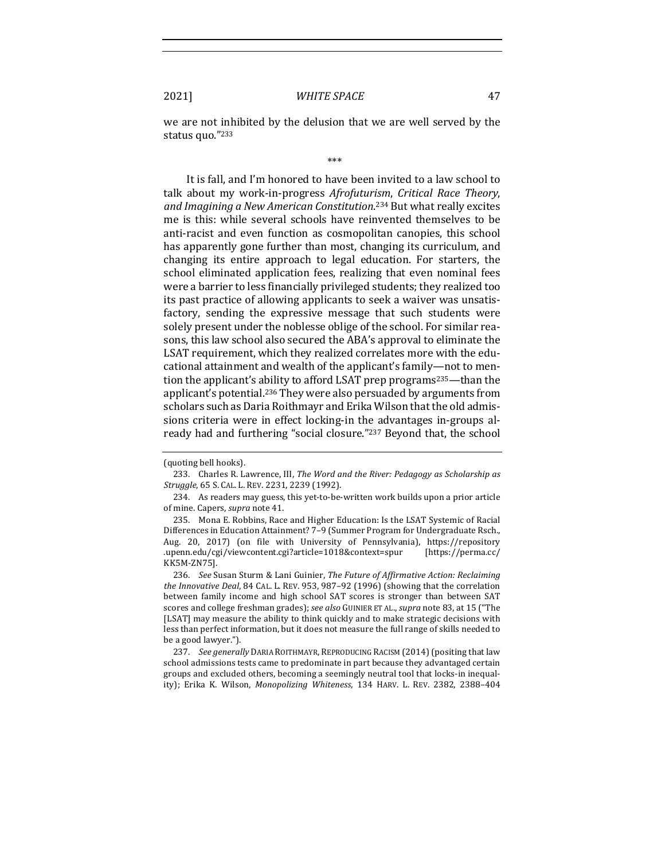we are not inhibited by the delusion that we are well served by the status quo."233

#### \*\*\*

It is fall, and I'm honored to have been invited to a law school to talk about my work-in-progress *Afrofuturism*, *Critical Race Theory*, and Imagining a New American Constitution.<sup>234</sup> But what really excites me is this: while several schools have reinvented themselves to be anti-racist and even function as cosmopolitan canopies, this school has apparently gone further than most, changing its curriculum, and changing its entire approach to legal education. For starters, the school eliminated application fees, realizing that even nominal fees were a barrier to less financially privileged students; they realized too its past practice of allowing applicants to seek a waiver was unsatisfactory, sending the expressive message that such students were solely present under the noblesse oblige of the school. For similar reasons, this law school also secured the ABA's approval to eliminate the LSAT requirement, which they realized correlates more with the educational attainment and wealth of the applicant's family—not to mention the applicant's ability to afford LSAT prep programs<sup>235</sup>—than the applicant's potential.<sup>236</sup> They were also persuaded by arguments from scholars such as Daria Roithmayr and Erika Wilson that the old admissions criteria were in effect locking-in the advantages in-groups already had and furthering "social closure."<sup>237</sup> Beyond that, the school

<sup>(</sup>quoting bell hooks).

<sup>233.</sup> Charles R. Lawrence, III, *The Word and the River: Pedagogy as Scholarship as Struggle*, 65 S. CAL. L. REV. 2231, 2239 (1992).

<sup>234.</sup> As readers may guess, this yet-to-be-written work builds upon a prior article of mine. Capers, *supra* note 41.

<sup>235.</sup> Mona E. Robbins, Race and Higher Education: Is the LSAT Systemic of Racial Differences in Education Attainment? 7-9 (Summer Program for Undergraduate Rsch., Aug. 20, 2017) (on file with University of Pennsylvania), https://repository .upenn.edu/cgi/viewcontent.cgi?article=1018&context=spur [https://perma.cc/ KK5M-ZN75].

<sup>236.</sup> *See* Susan Sturm & Lani Guinier, *The Future of Affirmative Action: Reclaiming the Innovative Deal*, 84 CAL. L. REV. 953, 987-92 (1996) (showing that the correlation between family income and high school SAT scores is stronger than between SAT scores and college freshman grades); *see also* GUINIER ET AL., *supra* note 83, at 15 ("The [LSAT] may measure the ability to think quickly and to make strategic decisions with less than perfect information, but it does not measure the full range of skills needed to be a good lawyer.").

<sup>237.</sup> *See generally* DARIA ROITHMAYR, REPRODUCING RACISM (2014) (positing that law school admissions tests came to predominate in part because they advantaged certain groups and excluded others, becoming a seemingly neutral tool that locks-in inequality); Erika K. Wilson, *Monopolizing Whiteness*, 134 HARV. L. REV. 2382, 2388-404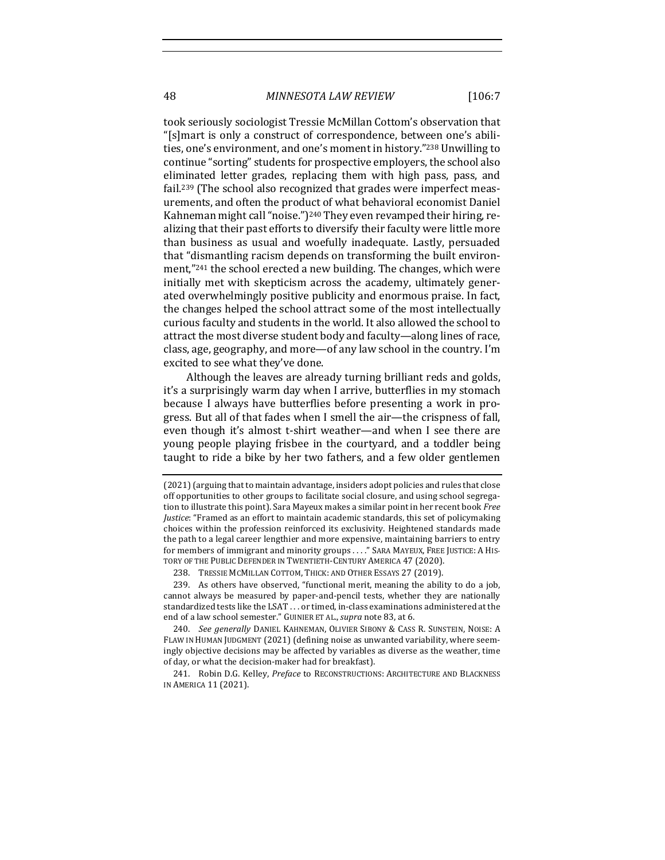48 *MINNESOTA LAW REVIEW* [106:7

took seriously sociologist Tressie McMillan Cottom's observation that "[s]mart is only a construct of correspondence, between one's abilities, one's environment, and one's moment in history."<sup>238</sup> Unwilling to continue "sorting" students for prospective employers, the school also eliminated letter grades, replacing them with high pass, pass, and fail.<sup>239</sup> (The school also recognized that grades were imperfect measurements, and often the product of what behavioral economist Daniel Kahneman might call "noise.")<sup>240</sup> They even revamped their hiring, realizing that their past efforts to diversify their faculty were little more than business as usual and woefully inadequate. Lastly, persuaded that "dismantling racism depends on transforming the built environment,"<sup>241</sup> the school erected a new building. The changes, which were initially met with skepticism across the academy, ultimately generated overwhelmingly positive publicity and enormous praise. In fact, the changes helped the school attract some of the most intellectually curious faculty and students in the world. It also allowed the school to attract the most diverse student body and faculty—along lines of race, class, age, geography, and more—of any law school in the country. I'm excited to see what they've done.

Although the leaves are already turning brilliant reds and golds, it's a surprisingly warm day when I arrive, butterflies in my stomach because I always have butterflies before presenting a work in progress. But all of that fades when I smell the air—the crispness of fall, even though it's almost t-shirt weather—and when I see there are young people playing frisbee in the courtyard, and a toddler being taught to ride a bike by her two fathers, and a few older gentlemen

<sup>(2021) (</sup>arguing that to maintain advantage, insiders adopt policies and rules that close off opportunities to other groups to facilitate social closure, and using school segregation to illustrate this point). Sara Mayeux makes a similar point in her recent book Free *Justice*: "Framed as an effort to maintain academic standards, this set of policymaking choices within the profession reinforced its exclusivity. Heightened standards made the path to a legal career lengthier and more expensive, maintaining barriers to entry for members of immigrant and minority groups . . . . " SARA MAYEUX, FREE JUSTICE: A HIS-TORY OF THE PUBLIC DEFENDER IN TWENTIETH-CENTURY AMERICA 47 (2020).

<sup>238.</sup> TRESSIE MCMILLAN COTTOM, THICK: AND OTHER ESSAYS 27 (2019).

<sup>239.</sup> As others have observed, "functional merit, meaning the ability to do a job, cannot always be measured by paper-and-pencil tests, whether they are nationally standardized tests like the LSAT . . . or timed, in-class examinations administered at the end of a law school semester." GUINIER ET AL., *supra* note 83, at 6.

<sup>240.</sup> *See generally* DANIEL KAHNEMAN, OLIVIER SIBONY & CASS R. SUNSTEIN, NOISE: A FLAW IN HUMAN JUDGMENT (2021) (defining noise as unwanted variability, where seemingly objective decisions may be affected by variables as diverse as the weather, time of day, or what the decision-maker had for breakfast).

<sup>241.</sup> Robin D.G. Kelley, Preface to RECONSTRUCTIONS: ARCHITECTURE AND BLACKNESS IN AMERICA 11 (2021).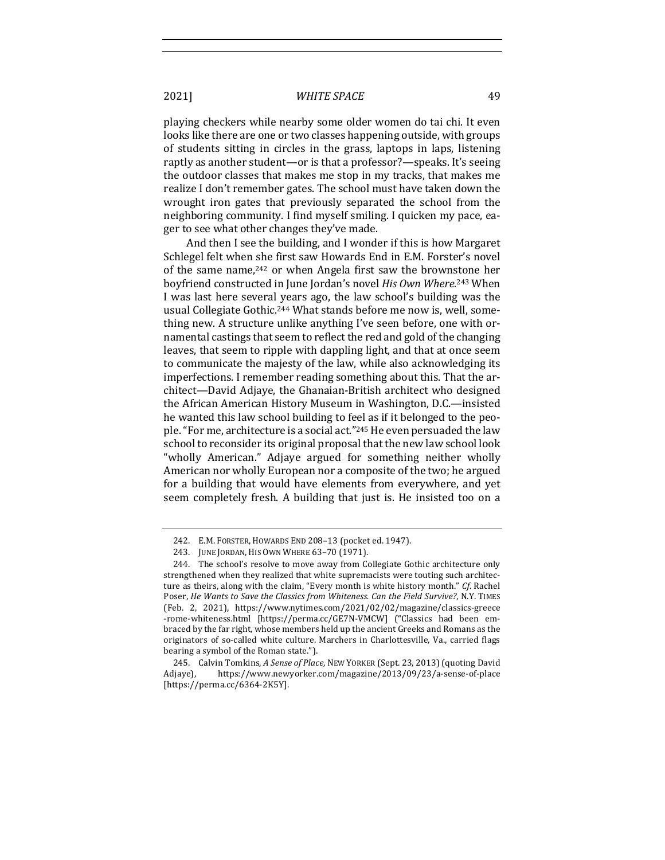playing checkers while nearby some older women do tai chi. It even looks like there are one or two classes happening outside, with groups of students sitting in circles in the grass, laptops in laps, listening raptly as another student—or is that a professor?—speaks. It's seeing the outdoor classes that makes me stop in my tracks, that makes me realize I don't remember gates. The school must have taken down the wrought iron gates that previously separated the school from the neighboring community. I find myself smiling. I quicken my pace, eager to see what other changes they've made.

And then I see the building, and I wonder if this is how Margaret Schlegel felt when she first saw Howards End in E.M. Forster's novel of the same name, $242$  or when Angela first saw the brownstone her boyfriend constructed in June Jordan's novel *His Own Where*.<sup>243</sup> When I was last here several years ago, the law school's building was the usual Collegiate Gothic.<sup>244</sup> What stands before me now is, well, something new. A structure unlike anything I've seen before, one with ornamental castings that seem to reflect the red and gold of the changing leaves, that seem to ripple with dappling light, and that at once seem to communicate the majesty of the law, while also acknowledging its imperfections. I remember reading something about this. That the architect—David Adjaye, the Ghanaian-British architect who designed the African American History Museum in Washington, D.C.—insisted he wanted this law school building to feel as if it belonged to the people. "For me, architecture is a social act."<sup>245</sup> He even persuaded the law school to reconsider its original proposal that the new law school look "wholly American." Adjaye argued for something neither wholly American nor wholly European nor a composite of the two; he argued for a building that would have elements from everywhere, and yet seem completely fresh. A building that just is. He insisted too on a

<sup>242.</sup> E.M. FORSTER, HOWARDS END 208-13 (pocket ed. 1947).

<sup>243.</sup> JUNE JORDAN, HIS OWN WHERE 63-70 (1971).

<sup>244.</sup> The school's resolve to move away from Collegiate Gothic architecture only strengthened when they realized that white supremacists were touting such architecture as theirs, along with the claim, "Every month is white history month." Cf. Rachel Poser, *He Wants to Save the Classics from Whiteness. Can the Field Survive?*, N.Y. TIMES (Feb. 2, 2021), https://www.nytimes.com/2021/02/02/magazine/classics-greece -rome-whiteness.html [https://perma.cc/GE7N-VMCW] ("Classics had been embraced by the far right, whose members held up the ancient Greeks and Romans as the originators of so-called white culture. Marchers in Charlottesville, Va., carried flags bearing a symbol of the Roman state.").

<sup>245.</sup> Calvin Tomkins, A Sense of Place, NEW YORKER (Sept. 23, 2013) (quoting David Adjaye), https://www.newyorker.com/magazine/2013/09/23/a-sense-of-place [https://perma.cc/6364-2K5Y].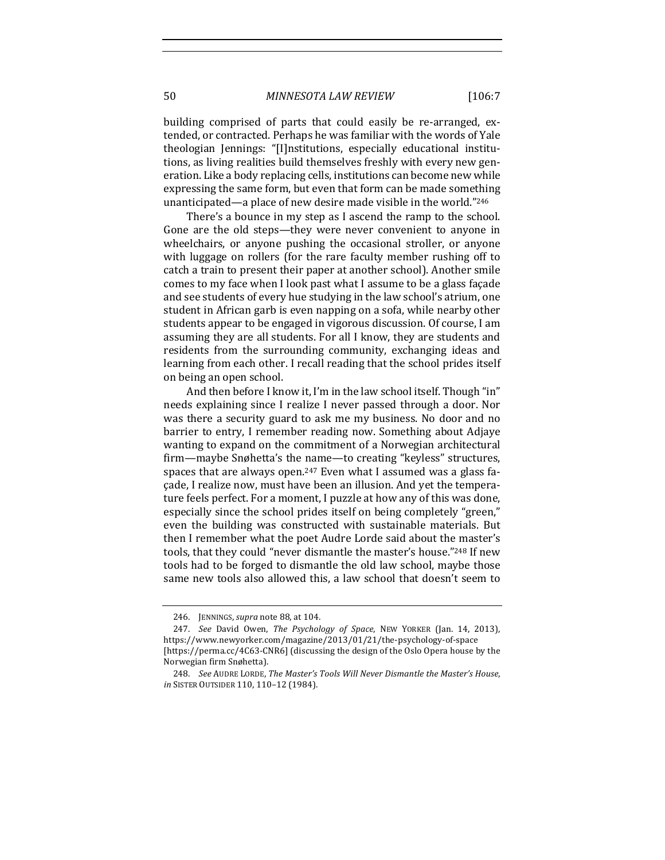50 *MINNESOTA LAW REVIEW* [106:7

building comprised of parts that could easily be re-arranged, extended, or contracted. Perhaps he was familiar with the words of Yale theologian Jennings: "[I]nstitutions, especially educational institutions, as living realities build themselves freshly with every new generation. Like a body replacing cells, institutions can become new while expressing the same form, but even that form can be made something unanticipated—a place of new desire made visible in the world."246

There's a bounce in my step as I ascend the ramp to the school. Gone are the old steps—they were never convenient to anyone in wheelchairs, or anyone pushing the occasional stroller, or anyone with luggage on rollers (for the rare faculty member rushing off to catch a train to present their paper at another school). Another smile comes to my face when I look past what I assume to be a glass façade and see students of every hue studying in the law school's atrium, one student in African garb is even napping on a sofa, while nearby other students appear to be engaged in vigorous discussion. Of course, I am assuming they are all students. For all I know, they are students and residents from the surrounding community, exchanging ideas and learning from each other. I recall reading that the school prides itself on being an open school.

And then before I know it, I'm in the law school itself. Though "in" needs explaining since I realize I never passed through a door. Nor was there a security guard to ask me my business. No door and no barrier to entry, I remember reading now. Something about Adjaye wanting to expand on the commitment of a Norwegian architectural firm—maybe Snøhetta's the name—to creating "keyless" structures, spaces that are always open.<sup>247</sup> Even what I assumed was a glass facade, I realize now, must have been an illusion. And yet the temperature feels perfect. For a moment, I puzzle at how any of this was done, especially since the school prides itself on being completely "green," even the building was constructed with sustainable materials. But then I remember what the poet Audre Lorde said about the master's tools, that they could "never dismantle the master's house."248 If new tools had to be forged to dismantle the old law school, maybe those same new tools also allowed this, a law school that doesn't seem to

<sup>246.</sup> JENNINGS, *supra* note 88, at 104.

<sup>247.</sup> *See* David Owen, *The Psychology of Space*, NEW YORKER (Jan. 14, 2013), https://www.newyorker.com/magazine/2013/01/21/the-psychology-of-space [https://perma.cc/4C63-CNR6] (discussing the design of the Oslo Opera house by the Norwegian firm Snøhetta).

<sup>248.</sup> *See* AUDRE LORDE, *The Master's Tools Will Never Dismantle the Master's House*, *in* SISTER OUTSIDER 110, 110-12 (1984).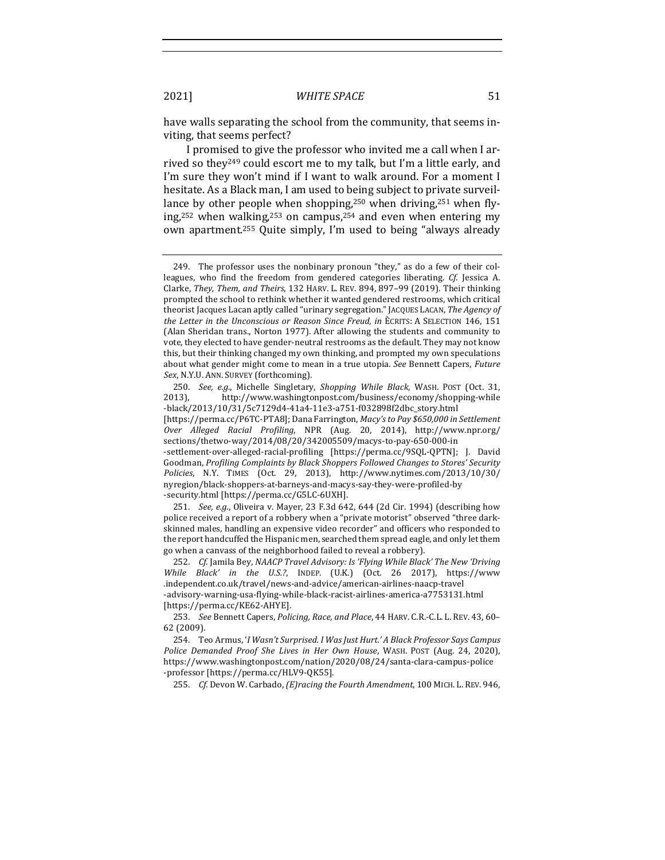have walls separating the school from the community, that seems inviting, that seems perfect?

I promised to give the professor who invited me a call when I arrived so they<sup>249</sup> could escort me to my talk, but I'm a little early, and I'm sure they won't mind if I want to walk around. For a moment I hesitate. As a Black man, I am used to being subject to private surveillance by other people when shopping,<sup>250</sup> when driving,<sup>251</sup> when flying,<sup>252</sup> when walking,<sup>253</sup> on campus,<sup>254</sup> and even when entering my own apartment.<sup>255</sup> Quite simply, I'm used to being "always already

255. *Cf.* Devon W. Carbado, (E)racing the Fourth Amendment, 100 MICH. L. REV. 946,

<sup>249.</sup> The professor uses the nonbinary pronoun "they," as do a few of their colleagues, who find the freedom from gendered categories liberating. *Cf.* Jessica A. Clarke, *They, Them, and Theirs*, 132 HARV. L. REV. 894, 897–99 (2019). Their thinking prompted the school to rethink whether it wanted gendered restrooms, which critical theorist Jacques Lacan aptly called "urinary segregation." JACQUES LACAN, The Agency of the Letter in the Unconscious or Reason Since Freud, in ÈCRITS: A SELECTION 146, 151 (Alan Sheridan trans., Norton 1977). After allowing the students and community to vote, they elected to have gender-neutral restrooms as the default. They may not know this, but their thinking changed my own thinking, and prompted my own speculations about what gender might come to mean in a true utopia. See Bennett Capers, *Future Sex*, N.Y.U. ANN. SURVEY (forthcoming).

<sup>250.</sup> *See, e.g.*, Michelle Singletary, Shopping While Black, WASH. POST (Oct. 31, 2013), http://www.washingtonpost.com/business/economy/shopping-while -black/2013/10/31/5c7129d4-41a4-11e3-a751-f032898f2dbc\_story.html 

<sup>[</sup>https://perma.cc/P6TC-PTA8]; Dana Farrington, *Macy's to Pay \$650,000 in Settlement Over Alleged Racial Profiling*, NPR (Aug. 20, 2014), http://www.npr.org/ sections/thetwo-way/2014/08/20/342005509/macys-to-pay-650-000-in

<sup>-</sup>settlement-over-alleged-racial-profiling [https://perma.cc/9SQL-QPTN]; J. David Goodman, *Profiling Complaints by Black Shoppers Followed Changes to Stores' Security Policies*, N.Y. TIMES (Oct. 29, 2013), http://www.nytimes.com/2013/10/30/ nyregion/black-shoppers-at-barneys-and-macys-say-they-were-profiled-by -security.html [https://perma.cc/G5LC-6UXH].

<sup>251.</sup> *See, e.g.*, Oliveira v. Mayer, 23 F.3d 642, 644 (2d Cir. 1994) (describing how police received a report of a robbery when a "private motorist" observed "three darkskinned males, handling an expensive video recorder" and officers who responded to the report handcuffed the Hispanic men, searched them spread eagle, and only let them go when a canvass of the neighborhood failed to reveal a robbery).

<sup>252.</sup> *Cf.* Jamila Bey, *NAACP Travel Advisory: Is 'Flying While Black' The New 'Driving* While Black' in the U.S.?, INDEP. (U.K.) (Oct. 26 2017), https://www .independent.co.uk/travel/news-and-advice/american-airlines-naacp-travel -advisory-warning-usa-flying-while-black-racist-airlines-america-a7753131.html [https://perma.cc/KE62-AHYE].

<sup>253.</sup> See Bennett Capers, *Policing, Race, and Place*, 44 HARV. C.R.-C.L. L. REV. 43, 60-62 (2009).

<sup>254.</sup> Teo Armus, '*I Wasn't Surprised. I Was Just Hurt.' A Black Professor Says Campus* Police Demanded Proof She Lives in Her Own House, WASH. POST (Aug. 24, 2020), https://www.washingtonpost.com/nation/2020/08/24/santa-clara-campus-police -professor [https://perma.cc/HLV9-QK55].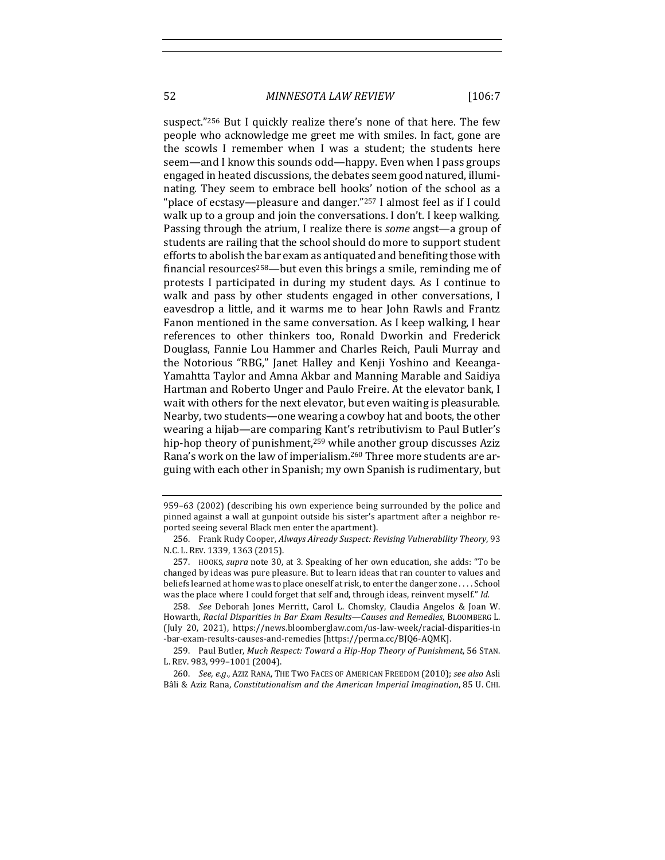52 *MINNESOTA LAW REVIEW* [106:7

suspect."<sup>256</sup> But I quickly realize there's none of that here. The few people who acknowledge me greet me with smiles. In fact, gone are the scowls I remember when I was a student; the students here seem—and I know this sounds odd—happy. Even when I pass groups engaged in heated discussions, the debates seem good natured, illuminating. They seem to embrace bell hooks' notion of the school as a "place of ecstasy—pleasure and danger."<sup>257</sup> I almost feel as if I could walk up to a group and join the conversations. I don't. I keep walking. Passing through the atrium, I realize there is *some* angst—a group of students are railing that the school should do more to support student efforts to abolish the bar exam as antiquated and benefiting those with financial resources<sup>258</sup>—but even this brings a smile, reminding me of protests I participated in during my student days. As I continue to walk and pass by other students engaged in other conversations, I eavesdrop a little, and it warms me to hear John Rawls and Frantz Fanon mentioned in the same conversation. As I keep walking, I hear references to other thinkers too, Ronald Dworkin and Frederick Douglass, Fannie Lou Hammer and Charles Reich, Pauli Murray and the Notorious "RBG," Janet Halley and Kenji Yoshino and Keeanga-Yamahtta Taylor and Amna Akbar and Manning Marable and Saidiya Hartman and Roberto Unger and Paulo Freire. At the elevator bank, I wait with others for the next elevator, but even waiting is pleasurable. Nearby, two students—one wearing a cowboy hat and boots, the other wearing a hijab—are comparing Kant's retributivism to Paul Butler's hip-hop theory of punishment, $259$  while another group discusses Aziz Rana's work on the law of imperialism.<sup>260</sup> Three more students are arguing with each other in Spanish; my own Spanish is rudimentary, but

<sup>959-63 (2002) (</sup>describing his own experience being surrounded by the police and pinned against a wall at gunpoint outside his sister's apartment after a neighbor reported seeing several Black men enter the apartment).

<sup>256.</sup> Frank Rudy Cooper, *Always Already Suspect: Revising Vulnerability Theory*, 93 N.C. L. REV. 1339, 1363 (2015).

<sup>257.</sup> HOOKS, *supra* note 30, at 3. Speaking of her own education, she adds: "To be changed by ideas was pure pleasure. But to learn ideas that ran counter to values and beliefs learned at home was to place oneself at risk, to enter the danger zone . . . . School was the place where I could forget that self and, through ideas, reinvent myself." Id.

<sup>258.</sup> *See* Deborah Jones Merritt, Carol L. Chomsky, Claudia Angelos & Joan W. Howarth, *Racial Disparities in Bar Exam Results—Causes and Remedies*, BLOOMBERG L. (July 20, 2021), https://news.bloomberglaw.com/us-law-week/racial-disparities-in -bar-exam-results-causes-and-remedies [https://perma.cc/BJQ6-AQMK].

<sup>259.</sup> Paul Butler, *Much Respect: Toward a Hip-Hop Theory of Punishment*, 56 STAN. L. REV. 983, 999-1001 (2004).

<sup>260.</sup> *See, e.g.*, Aziz RANA, THE TWO FACES OF AMERICAN FREEDOM (2010); see also Asli Bâli & Aziz Rana, *Constitutionalism and the American Imperial Imagination*, 85 U. CHI.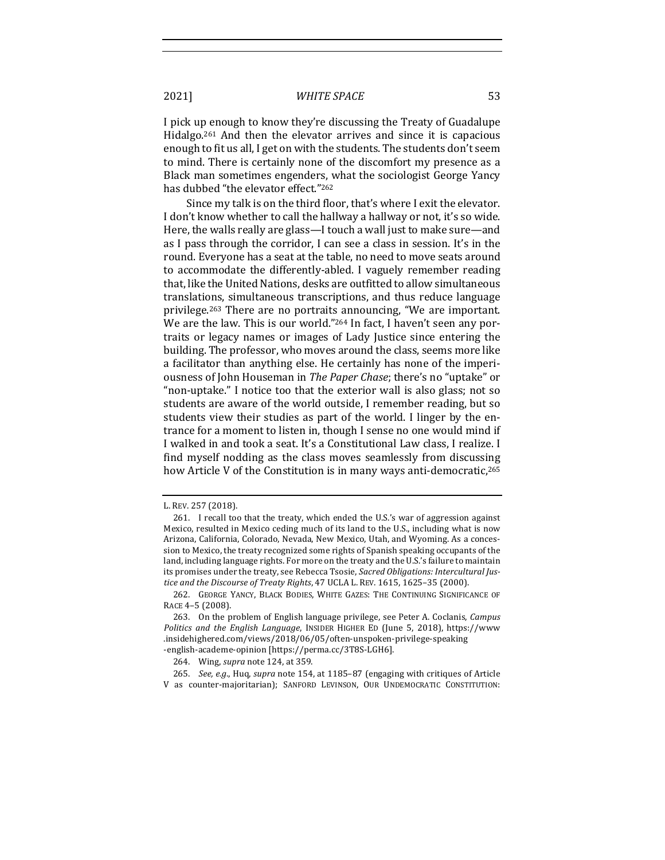I pick up enough to know they're discussing the Treaty of Guadalupe Hidalgo.<sup>261</sup> And then the elevator arrives and since it is capacious enough to fit us all, I get on with the students. The students don't seem to mind. There is certainly none of the discomfort my presence as a Black man sometimes engenders, what the sociologist George Yancy has dubbed "the elevator effect."<sup>262</sup>

Since my talk is on the third floor, that's where I exit the elevator. I don't know whether to call the hallway a hallway or not, it's so wide. Here, the walls really are glass-I touch a wall just to make sure-and as I pass through the corridor, I can see a class in session. It's in the round. Everyone has a seat at the table, no need to move seats around to accommodate the differently-abled. I vaguely remember reading that, like the United Nations, desks are outfitted to allow simultaneous translations, simultaneous transcriptions, and thus reduce language privilege.<sup>263</sup> There are no portraits announcing, "We are important. We are the law. This is our world."<sup>264</sup> In fact, I haven't seen any portraits or legacy names or images of Lady Justice since entering the building. The professor, who moves around the class, seems more like a facilitator than anything else. He certainly has none of the imperiousness of John Houseman in *The Paper Chase*; there's no "uptake" or "non-uptake." I notice too that the exterior wall is also glass; not so students are aware of the world outside, I remember reading, but so students view their studies as part of the world. I linger by the entrance for a moment to listen in, though I sense no one would mind if I walked in and took a seat. It's a Constitutional Law class. I realize. I find myself nodding as the class moves seamlessly from discussing how Article V of the Constitution is in many ways anti-democratic,<sup>265</sup>

L. REV. 257 (2018).

<sup>261.</sup> I recall too that the treaty, which ended the U.S.'s war of aggression against Mexico, resulted in Mexico ceding much of its land to the U.S., including what is now Arizona, California, Colorado, Nevada, New Mexico, Utah, and Wyoming. As a concession to Mexico, the treaty recognized some rights of Spanish speaking occupants of the land, including language rights. For more on the treaty and the U.S.'s failure to maintain its promises under the treaty, see Rebecca Tsosie, Sacred Obligations: Intercultural Justice and the Discourse of Treaty Rights, 47 UCLA L. REV. 1615, 1625-35 (2000).

<sup>262.</sup> GEORGE YANCY, BLACK BODIES, WHITE GAZES: THE CONTINUING SIGNIFICANCE OF RACE 4-5 (2008).

<sup>263.</sup> On the problem of English language privilege, see Peter A. Coclanis, *Campus* Politics and the English Language, INSIDER HIGHER ED (June 5, 2018), https://www .insidehighered.com/views/2018/06/05/often-unspoken-privilege-speaking -english-academe-opinion [https://perma.cc/3T8S-LGH6].

<sup>264.</sup> Wing, *supra* note 124, at 359.

<sup>265.</sup> *See, e.g.*, Huq, *supra* note 154, at 1185-87 (engaging with critiques of Article V as counter-majoritarian); SANFORD LEVINSON, OUR UNDEMOCRATIC CONSTITUTION: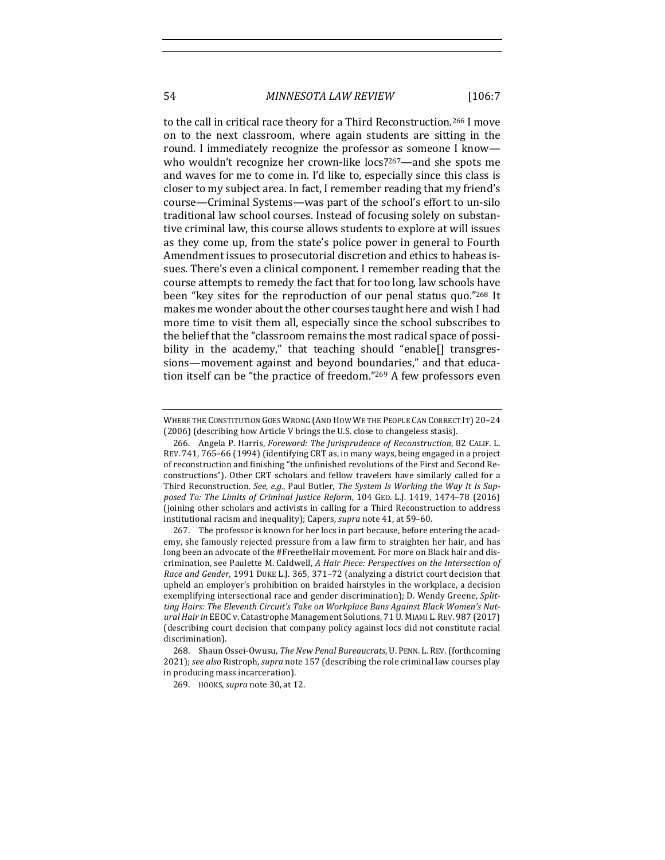54 *MINNESOTA LAW REVIEW* [106:7

to the call in critical race theory for a Third Reconstruction.<sup>266</sup> I move on to the next classroom, where again students are sitting in the round. I immediately recognize the professor as someone I know who wouldn't recognize her crown-like  $\log 2^{267}$ —and she spots me and waves for me to come in. I'd like to, especially since this class is closer to my subject area. In fact, I remember reading that my friend's course—Criminal Systems—was part of the school's effort to un-silo traditional law school courses. Instead of focusing solely on substantive criminal law, this course allows students to explore at will issues as they come up, from the state's police power in general to Fourth Amendment issues to prosecutorial discretion and ethics to habeas issues. There's even a clinical component. I remember reading that the course attempts to remedy the fact that for too long, law schools have been "key sites for the reproduction of our penal status quo."268 It makes me wonder about the other courses taught here and wish I had more time to visit them all, especially since the school subscribes to the belief that the "classroom remains the most radical space of possibility in the academy," that teaching should "enable[] transgressions—movement against and beyond boundaries," and that education itself can be "the practice of freedom."<sup>269</sup> A few professors even

WHERE THE CONSTITUTION GOES WRONG (AND HOW WE THE PEOPLE CAN CORRECT IT) 20-24 (2006) (describing how Article V brings the U.S. close to changeless stasis).

<sup>266.</sup> Angela P. Harris, *Foreword: The Jurisprudence of Reconstruction*, 82 CALIF. L. REV. 741, 765-66 (1994) (identifying CRT as, in many ways, being engaged in a project of reconstruction and finishing "the unfinished revolutions of the First and Second Reconstructions"). Other CRT scholars and fellow travelers have similarly called for a Third Reconstruction. See, e.g., Paul Butler, *The System Is Working the Way It Is Sup*posed To: The Limits of Criminal Justice Reform, 104 GEO. L.J. 1419, 1474-78 (2016) (joining other scholars and activists in calling for a Third Reconstruction to address institutional racism and inequality); Capers, *supra* note 41, at 59-60.

<sup>267.</sup> The professor is known for her locs in part because, before entering the academy, she famously rejected pressure from a law firm to straighten her hair, and has long been an advocate of the #FreetheHair movement. For more on Black hair and discrimination, see Paulette M. Caldwell, *A Hair Piece: Perspectives on the Intersection of Race and Gender*, 1991 DUKE L.J. 365, 371-72 (analyzing a district court decision that upheld an employer's prohibition on braided hairstyles in the workplace, a decision exemplifying intersectional race and gender discrimination); D. Wendy Greene, Splitting Hairs: The Eleventh Circuit's Take on Workplace Bans Against Black Women's Natural Hair in EEOC v. Catastrophe Management Solutions, 71 U. MIAMI L. REV. 987 (2017) (describing court decision that company policy against locs did not constitute racial discrimination).

<sup>268.</sup> Shaun Ossei-Owusu, *The New Penal Bureaucrats*, U. PENN. L. REV. (forthcoming 2021); see also Ristroph, *supra* note 157 (describing the role criminal law courses play in producing mass incarceration).

<sup>269.</sup> HOOKS, *supra* note 30, at 12.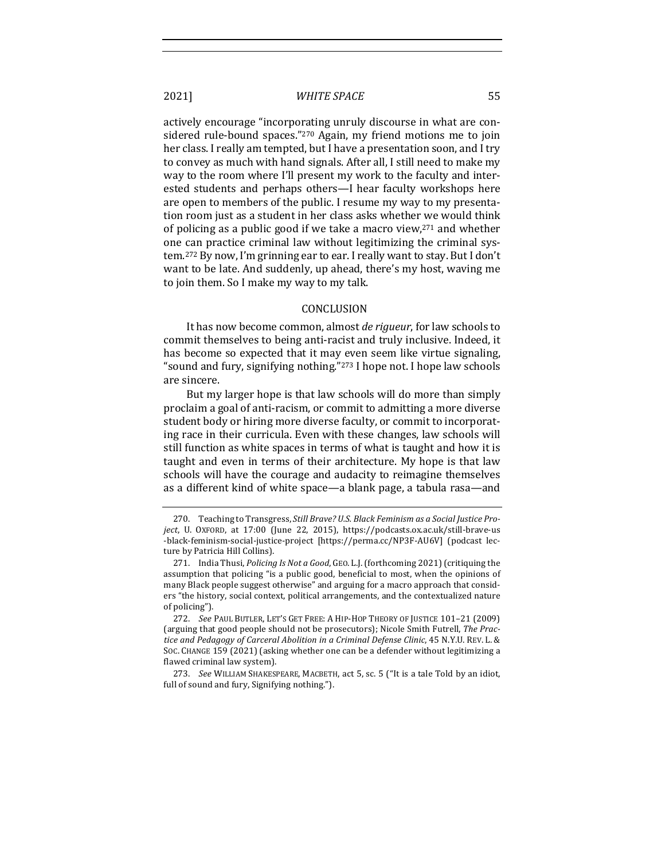actively encourage "incorporating unruly discourse in what are considered rule-bound spaces." $270$  Again, my friend motions me to join her class. I really am tempted, but I have a presentation soon, and I try to convey as much with hand signals. After all, I still need to make my way to the room where I'll present my work to the faculty and interested students and perhaps others—I hear faculty workshops here are open to members of the public. I resume my way to my presentation room just as a student in her class asks whether we would think of policing as a public good if we take a macro view,  $271$  and whether one can practice criminal law without legitimizing the criminal system.<sup>272</sup> By now, I'm grinning ear to ear. I really want to stay. But I don't want to be late. And suddenly, up ahead, there's my host, waving me to join them. So I make my way to my talk.

#### CONCLUSION

It has now become common, almost *de rigueur*, for law schools to commit themselves to being anti-racist and truly inclusive. Indeed, it has become so expected that it may even seem like virtue signaling, "sound and fury, signifying nothing."<sup>273</sup> I hope not. I hope law schools are sincere.

But my larger hope is that law schools will do more than simply proclaim a goal of anti-racism, or commit to admitting a more diverse student body or hiring more diverse faculty, or commit to incorporating race in their curricula. Even with these changes, law schools will still function as white spaces in terms of what is taught and how it is taught and even in terms of their architecture. My hope is that law schools will have the courage and audacity to reimagine themselves as a different kind of white space—a blank page, a tabula rasa—and

273. *See* WILLIAM SHAKESPEARE, MACBETH, act 5, sc. 5 ("It is a tale Told by an idiot, full of sound and fury, Signifying nothing.").

<sup>270.</sup> Teaching to Transgress, *Still Brave? U.S. Black Feminism as a Social Justice Pro*ject, U. OXFORD, at 17:00 (June 22, 2015), https://podcasts.ox.ac.uk/still-brave-us -black-feminism-social-justice-project [https://perma.cc/NP3F-AU6V] (podcast lecture by Patricia Hill Collins).

<sup>271.</sup> India Thusi, *Policing Is Not a Good*, GEO. L.J. (forthcoming 2021) (critiquing the assumption that policing "is a public good, beneficial to most, when the opinions of many Black people suggest otherwise" and arguing for a macro approach that considers "the history, social context, political arrangements, and the contextualized nature of policing").

<sup>272.</sup> *See* PAUL BUTLER, LET'S GET FREE: A HIP-HOP THEORY OF JUSTICE 101-21 (2009) (arguing that good people should not be prosecutors); Nicole Smith Futrell, *The Prac*tice and Pedagogy of Carceral Abolition in a Criminal Defense Clinic, 45 N.Y.U. REV. L. & SOC. CHANGE 159 (2021) (asking whether one can be a defender without legitimizing a flawed criminal law system).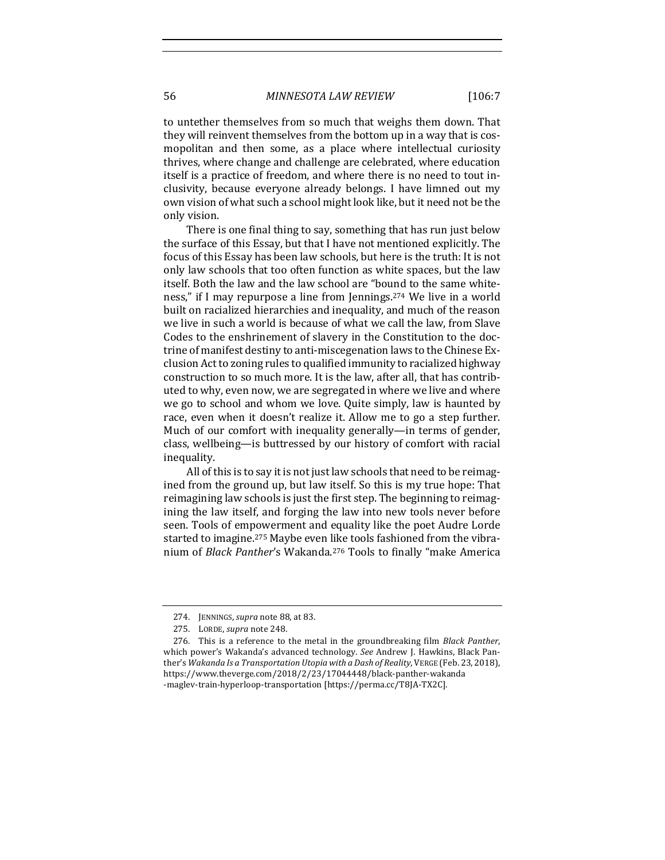to untether themselves from so much that weighs them down. That they will reinvent themselves from the bottom up in a way that is cosmopolitan and then some, as a place where intellectual curiosity thrives, where change and challenge are celebrated, where education itself is a practice of freedom, and where there is no need to tout inclusivity, because everyone already belongs. I have limned out my own vision of what such a school might look like, but it need not be the only vision.

There is one final thing to say, something that has run just below the surface of this Essay, but that I have not mentioned explicitly. The focus of this Essay has been law schools, but here is the truth: It is not only law schools that too often function as white spaces, but the law itself. Both the law and the law school are "bound to the same whiteness," if I may repurpose a line from Jennings.<sup>274</sup> We live in a world built on racialized hierarchies and inequality, and much of the reason we live in such a world is because of what we call the law, from Slave Codes to the enshrinement of slavery in the Constitution to the doctrine of manifest destiny to anti-miscegenation laws to the Chinese Exclusion Act to zoning rules to qualified immunity to racialized highway construction to so much more. It is the law, after all, that has contributed to why, even now, we are segregated in where we live and where we go to school and whom we love. Quite simply, law is haunted by race, even when it doesn't realize it. Allow me to go a step further. Much of our comfort with inequality generally—in terms of gender, class, wellbeing—is buttressed by our history of comfort with racial inequality. 

All of this is to say it is not just law schools that need to be reimagined from the ground up, but law itself. So this is my true hope: That reimagining law schools is just the first step. The beginning to reimagining the law itself, and forging the law into new tools never before seen. Tools of empowerment and equality like the poet Audre Lorde started to imagine.<sup>275</sup> Maybe even like tools fashioned from the vibranium of *Black Panther's* Wakanda.<sup>276</sup> Tools to finally "make America

<sup>274.</sup> JENNINGS, *supra* note 88, at 83.

<sup>275.</sup> LORDE, *supra* note 248.

<sup>276.</sup> This is a reference to the metal in the groundbreaking film *Black Panther*, which power's Wakanda's advanced technology. See Andrew J. Hawkins, Black Panther's Wakanda Is a Transportation Utopia with a Dash of Reality, VERGE (Feb. 23, 2018), https://www.theverge.com/2018/2/23/17044448/black-panther-wakanda -maglev-train-hyperloop-transportation [https://perma.cc/T8JA-TX2C].